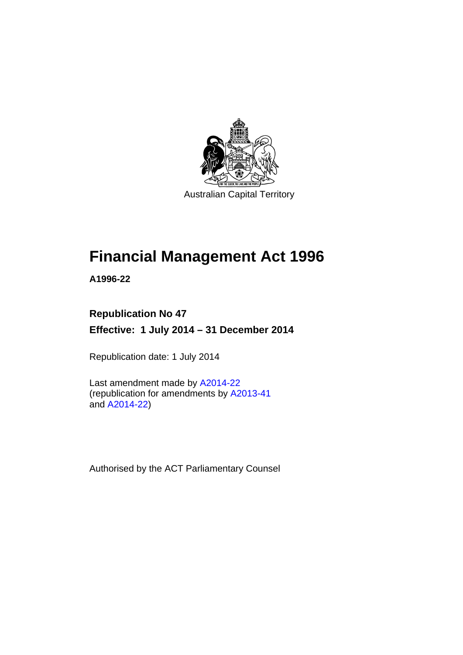

Australian Capital Territory

# **Financial Management Act 1996**

**A1996-22** 

### **Republication No 47**

**Effective: 1 July 2014 – 31 December 2014** 

Republication date: 1 July 2014

Last amendment made by [A2014-22](http://www.legislation.act.gov.au/a/2014-22/default.asp) (republication for amendments by [A2013-41](http://www.legislation.act.gov.au/a/2013-41/default.asp) and [A2014-22](http://www.legislation.act.gov.au/a/2014-22/default.asp))

Authorised by the ACT Parliamentary Counsel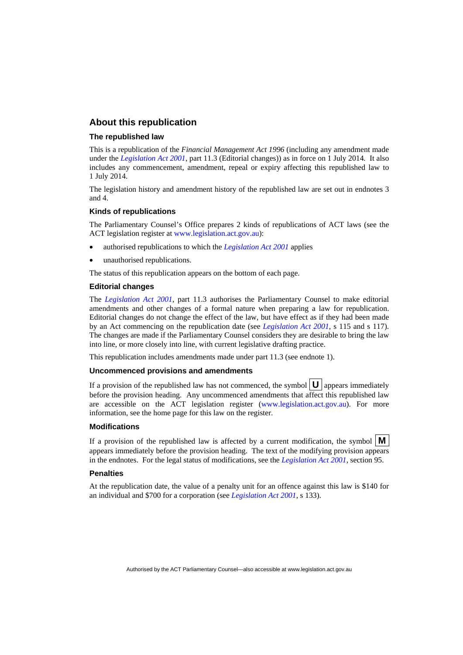#### **About this republication**

#### **The republished law**

This is a republication of the *Financial Management Act 1996* (including any amendment made under the *[Legislation Act 2001](http://www.legislation.act.gov.au/a/2001-14)*, part 11.3 (Editorial changes)) as in force on 1 July 2014*.* It also includes any commencement, amendment, repeal or expiry affecting this republished law to 1 July 2014.

The legislation history and amendment history of the republished law are set out in endnotes 3 and 4.

#### **Kinds of republications**

The Parliamentary Counsel's Office prepares 2 kinds of republications of ACT laws (see the ACT legislation register at [www.legislation.act.gov.au](http://www.legislation.act.gov.au/)):

- authorised republications to which the *[Legislation Act 2001](http://www.legislation.act.gov.au/a/2001-14)* applies
- unauthorised republications.

The status of this republication appears on the bottom of each page.

#### **Editorial changes**

The *[Legislation Act 2001](http://www.legislation.act.gov.au/a/2001-14)*, part 11.3 authorises the Parliamentary Counsel to make editorial amendments and other changes of a formal nature when preparing a law for republication. Editorial changes do not change the effect of the law, but have effect as if they had been made by an Act commencing on the republication date (see *[Legislation Act 2001](http://www.legislation.act.gov.au/a/2001-14)*, s 115 and s 117). The changes are made if the Parliamentary Counsel considers they are desirable to bring the law into line, or more closely into line, with current legislative drafting practice.

This republication includes amendments made under part 11.3 (see endnote 1).

#### **Uncommenced provisions and amendments**

If a provision of the republished law has not commenced, the symbol  $\mathbf{U}$  appears immediately before the provision heading. Any uncommenced amendments that affect this republished law are accessible on the ACT legislation register [\(www.legislation.act.gov.au\)](http://www.legislation.act.gov.au/). For more information, see the home page for this law on the register.

#### **Modifications**

If a provision of the republished law is affected by a current modification, the symbol  $\mathbf{M}$ appears immediately before the provision heading. The text of the modifying provision appears in the endnotes. For the legal status of modifications, see the *[Legislation Act 2001](http://www.legislation.act.gov.au/a/2001-14)*, section 95.

#### **Penalties**

At the republication date, the value of a penalty unit for an offence against this law is \$140 for an individual and \$700 for a corporation (see *[Legislation Act 2001](http://www.legislation.act.gov.au/a/2001-14)*, s 133).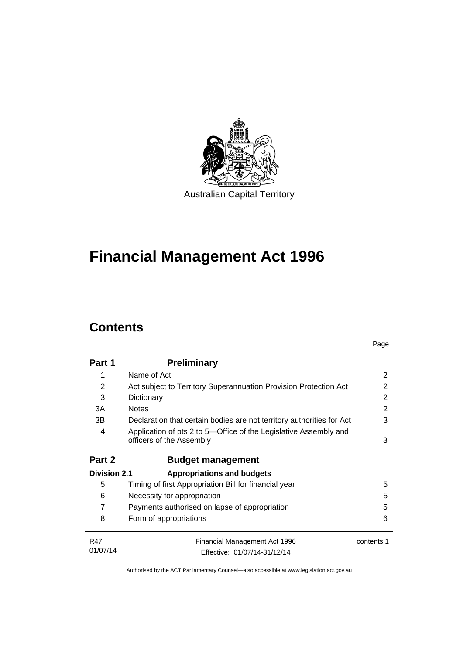

# **Financial Management Act 1996**

# **Contents**

|                     |                                                                                              | Page       |
|---------------------|----------------------------------------------------------------------------------------------|------------|
| Part 1              | <b>Preliminary</b>                                                                           |            |
| 1                   | Name of Act                                                                                  | 2          |
| 2                   | Act subject to Territory Superannuation Provision Protection Act                             | 2          |
| 3                   | Dictionary                                                                                   | 2          |
| 3A                  | <b>Notes</b>                                                                                 | 2          |
| 3B                  | Declaration that certain bodies are not territory authorities for Act                        | 3          |
| 4                   | Application of pts 2 to 5-Office of the Legislative Assembly and<br>officers of the Assembly | 3          |
| Part 2              | <b>Budget management</b>                                                                     |            |
| <b>Division 2.1</b> | <b>Appropriations and budgets</b>                                                            |            |
| 5                   | Timing of first Appropriation Bill for financial year                                        | 5          |
| 6                   | Necessity for appropriation                                                                  | 5          |
| 7                   | Payments authorised on lapse of appropriation                                                | 5          |
| 8                   | Form of appropriations                                                                       | 6          |
| <b>R47</b>          | Financial Management Act 1996                                                                | contents 1 |
| 01/07/14            | Effective: 01/07/14-31/12/14                                                                 |            |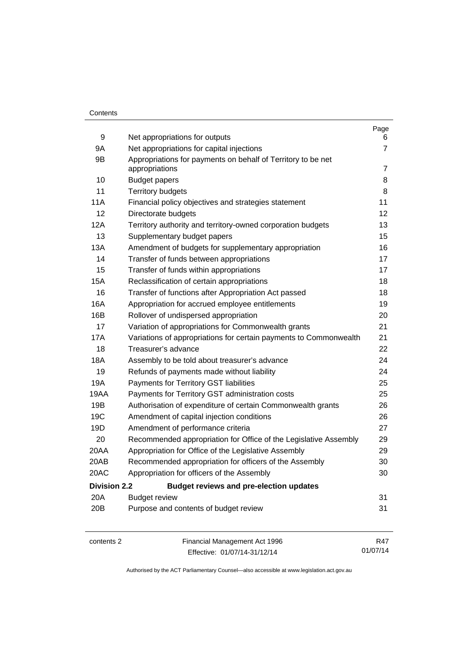#### **Contents**

|                     |                                                                                | Page           |
|---------------------|--------------------------------------------------------------------------------|----------------|
| 9                   | Net appropriations for outputs                                                 | 6              |
| 9Α                  | Net appropriations for capital injections                                      | 7              |
| 9B                  | Appropriations for payments on behalf of Territory to be net<br>appropriations | $\overline{7}$ |
| 10                  | <b>Budget papers</b>                                                           | 8              |
| 11                  | <b>Territory budgets</b>                                                       | 8              |
| 11A                 | Financial policy objectives and strategies statement                           | 11             |
| 12                  | Directorate budgets                                                            | 12             |
| 12A                 | Territory authority and territory-owned corporation budgets                    | 13             |
| 13                  | Supplementary budget papers                                                    | 15             |
| 13A                 | Amendment of budgets for supplementary appropriation                           | 16             |
| 14                  | Transfer of funds between appropriations                                       | 17             |
| 15                  | Transfer of funds within appropriations                                        | 17             |
| <b>15A</b>          | Reclassification of certain appropriations                                     | 18             |
| 16                  | Transfer of functions after Appropriation Act passed                           | 18             |
| 16A                 | Appropriation for accrued employee entitlements                                | 19             |
| 16B                 | Rollover of undispersed appropriation                                          | 20             |
| 17                  | Variation of appropriations for Commonwealth grants                            | 21             |
| 17A                 | Variations of appropriations for certain payments to Commonwealth              | 21             |
| 18                  | Treasurer's advance                                                            | 22             |
| 18A                 | Assembly to be told about treasurer's advance                                  | 24             |
| 19                  | Refunds of payments made without liability                                     | 24             |
| 19A                 | Payments for Territory GST liabilities                                         | 25             |
| 19AA                | Payments for Territory GST administration costs                                | 25             |
| 19B                 | Authorisation of expenditure of certain Commonwealth grants                    | 26             |
| 19C                 | Amendment of capital injection conditions                                      | 26             |
| 19D                 | Amendment of performance criteria                                              | 27             |
| 20                  | Recommended appropriation for Office of the Legislative Assembly               | 29             |
| 20AA                | Appropriation for Office of the Legislative Assembly                           | 29             |
| 20AB                | Recommended appropriation for officers of the Assembly                         | 30             |
| 20AC                | Appropriation for officers of the Assembly                                     | 30             |
| <b>Division 2.2</b> | <b>Budget reviews and pre-election updates</b>                                 |                |
| 20A                 | <b>Budget review</b>                                                           | 31             |
| 20B                 | Purpose and contents of budget review                                          | 31             |
|                     |                                                                                |                |
|                     |                                                                                |                |

contents 2 Financial Management Act 1996 Effective: 01/07/14-31/12/14

R47 01/07/14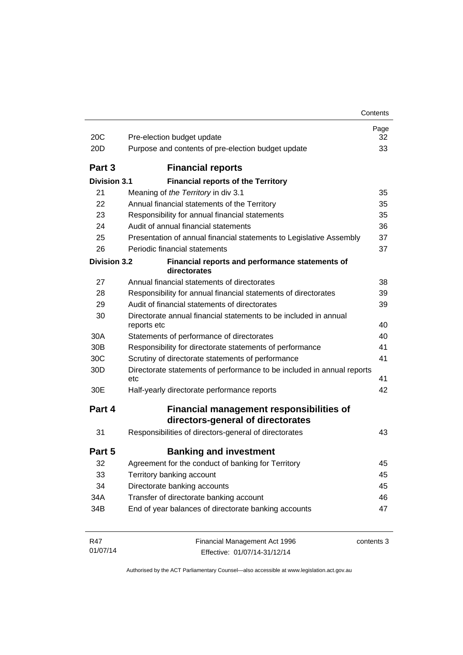| 20C                 | Pre-election budget update                                                           | Page<br>32 |
|---------------------|--------------------------------------------------------------------------------------|------------|
| 20 <sub>D</sub>     | Purpose and contents of pre-election budget update                                   | 33         |
| Part 3              | <b>Financial reports</b>                                                             |            |
| <b>Division 3.1</b> | <b>Financial reports of the Territory</b>                                            |            |
| 21                  | Meaning of the Territory in div 3.1                                                  | 35         |
| 22                  | Annual financial statements of the Territory                                         | 35         |
| 23                  | Responsibility for annual financial statements                                       | 35         |
| 24                  | Audit of annual financial statements                                                 | 36         |
| 25                  | Presentation of annual financial statements to Legislative Assembly                  | 37         |
| 26                  | Periodic financial statements                                                        | 37         |
| <b>Division 3.2</b> | Financial reports and performance statements of<br>directorates                      |            |
| 27                  | Annual financial statements of directorates                                          | 38         |
| 28                  | Responsibility for annual financial statements of directorates                       | 39         |
| 29                  | Audit of financial statements of directorates                                        | 39         |
| 30                  | Directorate annual financial statements to be included in annual<br>reports etc      | 40         |
| 30A                 | Statements of performance of directorates                                            | 40         |
| 30 <sub>B</sub>     | Responsibility for directorate statements of performance                             | 41         |
| 30C                 | Scrutiny of directorate statements of performance                                    | 41         |
| 30 <sub>D</sub>     | Directorate statements of performance to be included in annual reports<br>etc        | 41         |
| 30E                 | Half-yearly directorate performance reports                                          | 42         |
| Part 4              | <b>Financial management responsibilities of</b><br>directors-general of directorates |            |
| 31                  | Responsibilities of directors-general of directorates                                | 43         |
| Part 5              | <b>Banking and investment</b>                                                        |            |
| 32                  | Agreement for the conduct of banking for Territory                                   | 45         |
| 33                  | Territory banking account                                                            | 45         |
| 34                  | Directorate banking accounts                                                         | 45         |
| 34A                 | Transfer of directorate banking account                                              | 46         |
| 34B                 | End of year balances of directorate banking accounts                                 | 47         |
| R47<br>01/07/14     | Financial Management Act 1996<br>Effective: 01/07/14-31/12/14                        | contents 3 |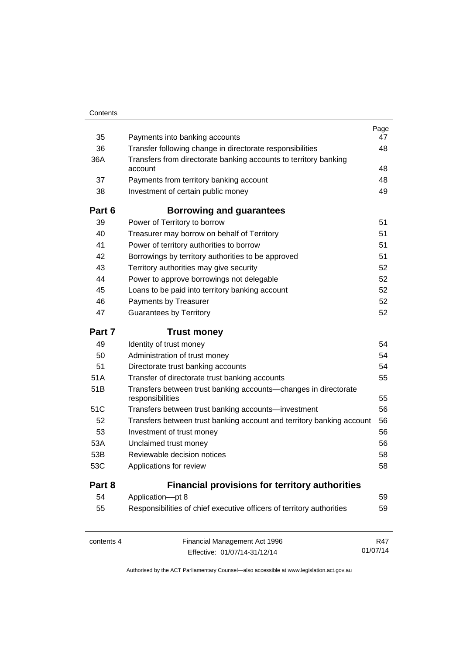| 35              | Payments into banking accounts                                                            | Page<br>47 |
|-----------------|-------------------------------------------------------------------------------------------|------------|
| 36              | Transfer following change in directorate responsibilities                                 | 48         |
| 36A             | Transfers from directorate banking accounts to territory banking                          |            |
|                 | account                                                                                   | 48         |
| 37              | Payments from territory banking account                                                   | 48         |
| 38              | Investment of certain public money                                                        | 49         |
| Part 6          | <b>Borrowing and guarantees</b>                                                           |            |
| 39              | Power of Territory to borrow                                                              | 51         |
| 40              | Treasurer may borrow on behalf of Territory                                               | 51         |
| 41              | Power of territory authorities to borrow                                                  | 51         |
| 42              | Borrowings by territory authorities to be approved                                        | 51         |
| 43              | Territory authorities may give security                                                   | 52         |
| 44              | Power to approve borrowings not delegable                                                 | 52         |
| 45              | Loans to be paid into territory banking account                                           | 52         |
| 46              | Payments by Treasurer                                                                     | 52         |
| 47              | <b>Guarantees by Territory</b>                                                            | 52         |
| Part 7          | <b>Trust money</b>                                                                        |            |
|                 |                                                                                           |            |
| 49              | Identity of trust money                                                                   | 54         |
| 50              | Administration of trust money                                                             | 54         |
| 51              | Directorate trust banking accounts                                                        | 54         |
| 51A             | Transfer of directorate trust banking accounts                                            | 55         |
| 51 <sub>B</sub> | Transfers between trust banking accounts-changes in directorate                           |            |
|                 | responsibilities                                                                          | 55         |
| 51C             | Transfers between trust banking accounts-investment                                       | 56         |
| 52              | Transfers between trust banking account and territory banking account                     | 56         |
| 53<br>53A       | Investment of trust money                                                                 | 56         |
|                 | Unclaimed trust money                                                                     | 56         |
| 53B<br>53C      | Reviewable decision notices<br>Applications for review                                    | 58<br>58   |
| Part 8          |                                                                                           |            |
| 54              | <b>Financial provisions for territory authorities</b>                                     | 59         |
| 55              | Application-pt 8<br>Responsibilities of chief executive officers of territory authorities | 59         |

contents 4 Financial Management Act 1996 Effective: 01/07/14-31/12/14

R47 01/07/14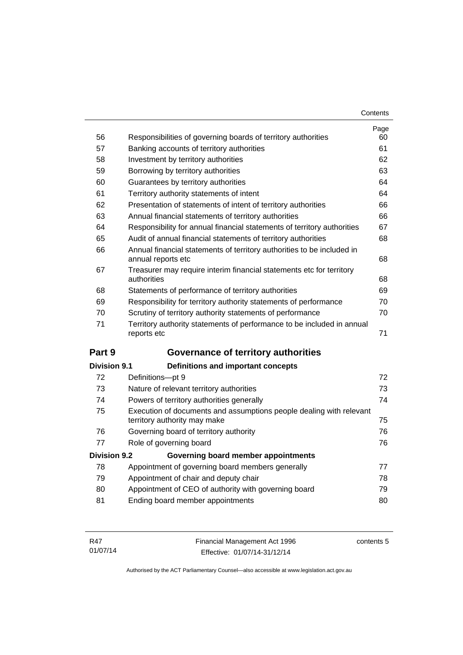| Contents |
|----------|
|----------|

| 56                  | Responsibilities of governing boards of territory authorities                                       | Page<br>60 |
|---------------------|-----------------------------------------------------------------------------------------------------|------------|
| 57                  | Banking accounts of territory authorities                                                           | 61         |
| 58                  | Investment by territory authorities                                                                 | 62         |
| 59                  | Borrowing by territory authorities                                                                  | 63         |
| 60                  | Guarantees by territory authorities                                                                 | 64         |
| 61                  | Territory authority statements of intent                                                            | 64         |
| 62                  | Presentation of statements of intent of territory authorities                                       | 66         |
| 63                  | Annual financial statements of territory authorities                                                | 66         |
| 64                  | Responsibility for annual financial statements of territory authorities                             | 67         |
| 65                  | Audit of annual financial statements of territory authorities                                       | 68         |
| 66                  | Annual financial statements of territory authorities to be included in<br>annual reports etc        | 68         |
| 67                  | Treasurer may require interim financial statements etc for territory<br>authorities                 | 68         |
| 68                  | Statements of performance of territory authorities                                                  | 69         |
| 69                  | Responsibility for territory authority statements of performance                                    | 70         |
| 70                  | Scrutiny of territory authority statements of performance                                           | 70         |
| 71                  | Territory authority statements of performance to be included in annual<br>reports etc               | 71         |
| Part 9              | Governance of territory authorities                                                                 |            |
| <b>Division 9.1</b> | <b>Definitions and important concepts</b>                                                           |            |
| 72                  | Definitions-pt 9                                                                                    | 72         |
| 73                  | Nature of relevant territory authorities                                                            | 73         |
| 74                  | Powers of territory authorities generally                                                           | 74         |
| 75                  | Execution of documents and assumptions people dealing with relevant<br>territory authority may make | 75         |
| 76                  | Governing board of territory authority                                                              | 76         |
| 77                  | Role of governing board                                                                             | 76         |
| <b>Division 9.2</b> | Governing board member appointments                                                                 |            |
| 78                  | Appointment of governing board members generally                                                    | 77         |
| 79                  | Appointment of chair and deputy chair                                                               | 78         |
| 80                  | Appointment of CEO of authority with governing board                                                | 79         |
| 81                  |                                                                                                     | 80         |
|                     | Ending board member appointments                                                                    |            |

| R47      | Financial Management Act 1996 | contents 5 |
|----------|-------------------------------|------------|
| 01/07/14 | Effective: 01/07/14-31/12/14  |            |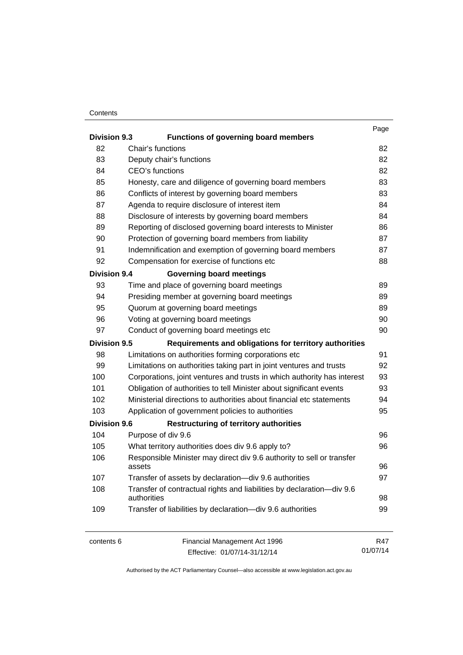#### **Contents**

|                     |                                                                                      | Page     |
|---------------------|--------------------------------------------------------------------------------------|----------|
| <b>Division 9.3</b> | <b>Functions of governing board members</b>                                          |          |
| 82                  | Chair's functions                                                                    | 82       |
| 83                  | Deputy chair's functions                                                             | 82       |
| 84                  | CEO's functions                                                                      | 82       |
| 85                  | Honesty, care and diligence of governing board members                               | 83       |
| 86                  | Conflicts of interest by governing board members                                     | 83       |
| 87                  | Agenda to require disclosure of interest item                                        | 84       |
| 88                  | Disclosure of interests by governing board members                                   | 84       |
| 89                  | Reporting of disclosed governing board interests to Minister                         | 86       |
| 90                  | Protection of governing board members from liability                                 | 87       |
| 91                  | Indemnification and exemption of governing board members                             | 87       |
| 92                  | Compensation for exercise of functions etc                                           | 88       |
| <b>Division 9.4</b> | <b>Governing board meetings</b>                                                      |          |
| 93                  | Time and place of governing board meetings                                           | 89       |
| 94                  | Presiding member at governing board meetings                                         | 89       |
| 95                  | Quorum at governing board meetings                                                   | 89       |
| 96                  | Voting at governing board meetings                                                   | 90       |
| 97                  | Conduct of governing board meetings etc                                              | 90       |
| <b>Division 9.5</b> | Requirements and obligations for territory authorities                               |          |
| 98                  | Limitations on authorities forming corporations etc                                  | 91       |
| 99                  | Limitations on authorities taking part in joint ventures and trusts                  | 92       |
| 100                 | Corporations, joint ventures and trusts in which authority has interest              | 93       |
| 101                 | Obligation of authorities to tell Minister about significant events                  | 93       |
| 102                 | Ministerial directions to authorities about financial etc statements                 | 94       |
| 103                 | Application of government policies to authorities                                    | 95       |
| <b>Division 9.6</b> | <b>Restructuring of territory authorities</b>                                        |          |
| 104                 | Purpose of div 9.6                                                                   | 96       |
| 105                 | What territory authorities does div 9.6 apply to?                                    | 96       |
| 106                 | Responsible Minister may direct div 9.6 authority to sell or transfer<br>assets      | 96       |
| 107                 | Transfer of assets by declaration-div 9.6 authorities                                | 97       |
| 108                 | Transfer of contractual rights and liabilities by declaration-div 9.6<br>authorities | 98       |
| 109                 | Transfer of liabilities by declaration-div 9.6 authorities                           | 99       |
| contents 6          | Financial Management Act 1996                                                        | R47      |
|                     | Effective: 01/07/14-31/12/14                                                         | 01/07/14 |

Effective: 01/07/14-31/12/14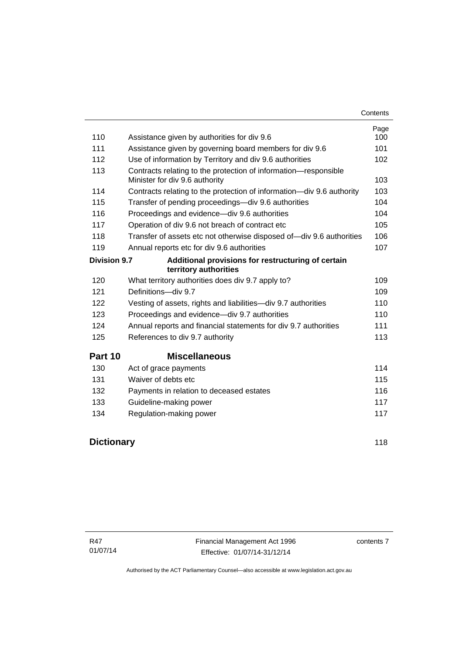| Contents |
|----------|
|----------|

| 110                 | Assistance given by authorities for div 9.6                                 | Page<br>100 |
|---------------------|-----------------------------------------------------------------------------|-------------|
| 111                 | Assistance given by governing board members for div 9.6                     | 101         |
| 112                 | Use of information by Territory and div 9.6 authorities                     | 102         |
| 113                 | Contracts relating to the protection of information-responsible             |             |
|                     | Minister for div 9.6 authority                                              | 103         |
| 114                 | Contracts relating to the protection of information-div 9.6 authority       | 103         |
| 115                 | Transfer of pending proceedings—div 9.6 authorities                         | 104         |
| 116                 | Proceedings and evidence—div 9.6 authorities                                | 104         |
| 117                 | Operation of div 9.6 not breach of contract etc                             | 105         |
| 118                 | Transfer of assets etc not otherwise disposed of-div 9.6 authorities        | 106         |
| 119                 | Annual reports etc for div 9.6 authorities                                  | 107         |
| <b>Division 9.7</b> | Additional provisions for restructuring of certain<br>territory authorities |             |
| 120                 | What territory authorities does div 9.7 apply to?                           | 109         |
| 121                 | Definitions-div 9.7                                                         | 109         |
| 122                 | Vesting of assets, rights and liabilities-div 9.7 authorities               | 110         |
| 123                 | Proceedings and evidence—div 9.7 authorities                                | 110         |
| 124                 | Annual reports and financial statements for div 9.7 authorities             | 111         |
| 125                 | References to div 9.7 authority                                             | 113         |
| Part 10             | <b>Miscellaneous</b>                                                        |             |
| 130                 | Act of grace payments                                                       | 114         |
| 131                 | Waiver of debts etc                                                         | 115         |
| 132                 | Payments in relation to deceased estates                                    | 116         |
| 133                 | Guideline-making power                                                      | 117         |
| 134                 | Regulation-making power                                                     | 117         |
|                     |                                                                             |             |

# **[Dictionary](#page-127-0)** [118](#page-127-0)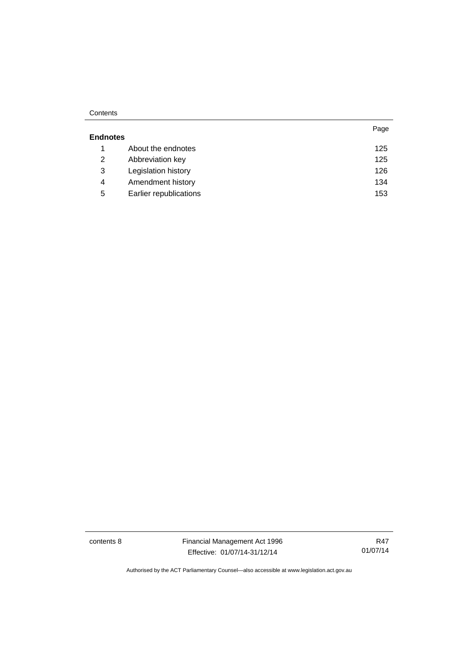#### **Contents**

|                 |                        | Page |
|-----------------|------------------------|------|
| <b>Endnotes</b> |                        |      |
|                 | About the endnotes     | 125  |
| 2               | Abbreviation key       | 125  |
| 3               | Legislation history    | 126  |
| 4               | Amendment history      | 134  |
| 5               | Earlier republications | 153  |

contents 8 Financial Management Act 1996 Effective: 01/07/14-31/12/14

R47 01/07/14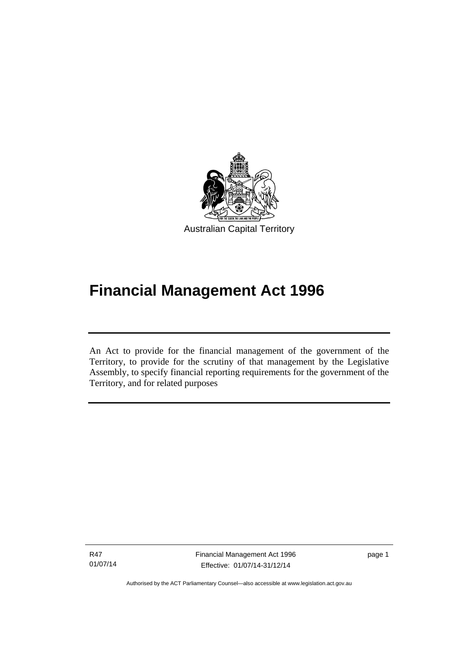

# **Financial Management Act 1996**

An Act to provide for the financial management of the government of the Territory, to provide for the scrutiny of that management by the Legislative Assembly, to specify financial reporting requirements for the government of the Territory, and for related purposes

R47 01/07/14

l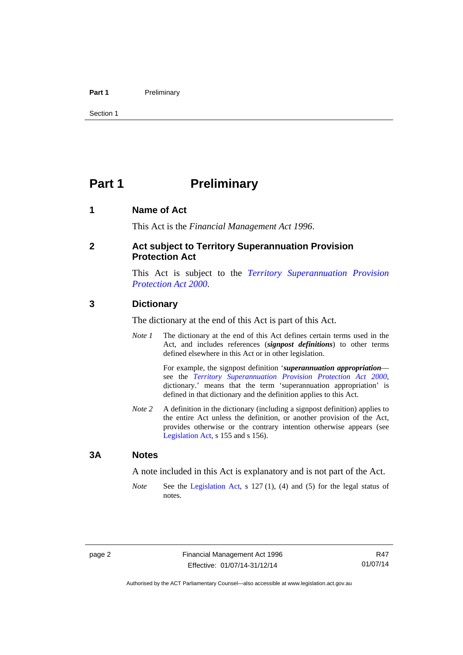#### Part 1 **Preliminary**

Section 1

## <span id="page-11-0"></span>**Part 1** Preliminary

#### <span id="page-11-1"></span>**1 Name of Act**

This Act is the *Financial Management Act 1996*.

#### <span id="page-11-2"></span>**2 Act subject to Territory Superannuation Provision Protection Act**

This Act is subject to the *[Territory Superannuation Provision](http://www.legislation.act.gov.au/a/2000-21)  [Protection Act 2000](http://www.legislation.act.gov.au/a/2000-21)*.

#### <span id="page-11-3"></span>**3 Dictionary**

The dictionary at the end of this Act is part of this Act.

*Note 1* The dictionary at the end of this Act defines certain terms used in the Act, and includes references (*signpost definitions*) to other terms defined elsewhere in this Act or in other legislation.

> For example, the signpost definition '*superannuation appropriation* see the *[Territory Superannuation Provision Protection Act 2000](http://www.legislation.act.gov.au/a/2000-21)*, dictionary.' means that the term 'superannuation appropriation' is defined in that dictionary and the definition applies to this Act.

*Note 2* A definition in the dictionary (including a signpost definition) applies to the entire Act unless the definition, or another provision of the Act, provides otherwise or the contrary intention otherwise appears (see [Legislation Act,](http://www.legislation.act.gov.au/a/2001-14) s 155 and s 156).

#### <span id="page-11-4"></span>**3A Notes**

A note included in this Act is explanatory and is not part of the Act.

*Note* See the [Legislation Act,](http://www.legislation.act.gov.au/a/2001-14) s 127 (1), (4) and (5) for the legal status of notes.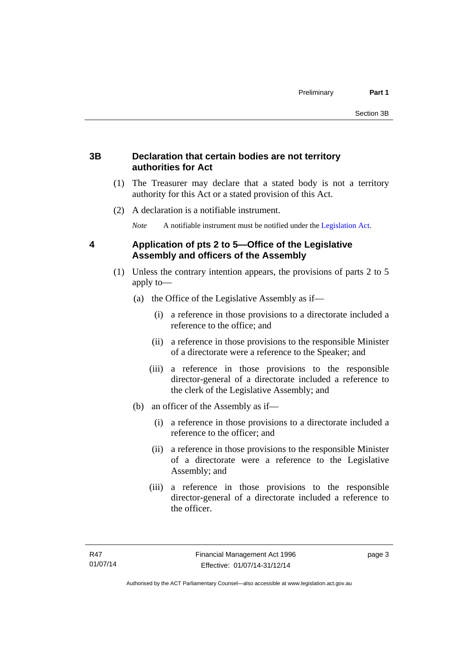#### <span id="page-12-0"></span>**3B Declaration that certain bodies are not territory authorities for Act**

- (1) The Treasurer may declare that a stated body is not a territory authority for this Act or a stated provision of this Act.
- (2) A declaration is a notifiable instrument.

*Note* A notifiable instrument must be notified under the [Legislation Act](http://www.legislation.act.gov.au/a/2001-14).

#### <span id="page-12-1"></span>**4 Application of pts 2 to 5—Office of the Legislative Assembly and officers of the Assembly**

- (1) Unless the contrary intention appears, the provisions of parts 2 to 5 apply to—
	- (a) the Office of the Legislative Assembly as if—
		- (i) a reference in those provisions to a directorate included a reference to the office; and
		- (ii) a reference in those provisions to the responsible Minister of a directorate were a reference to the Speaker; and
		- (iii) a reference in those provisions to the responsible director-general of a directorate included a reference to the clerk of the Legislative Assembly; and
	- (b) an officer of the Assembly as if—
		- (i) a reference in those provisions to a directorate included a reference to the officer; and
		- (ii) a reference in those provisions to the responsible Minister of a directorate were a reference to the Legislative Assembly; and
		- (iii) a reference in those provisions to the responsible director-general of a directorate included a reference to the officer.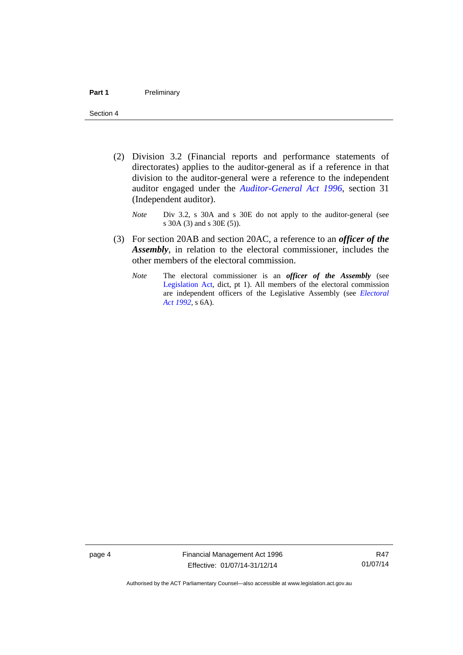- (2) Division 3.2 (Financial reports and performance statements of directorates) applies to the auditor-general as if a reference in that division to the auditor-general were a reference to the independent auditor engaged under the *[Auditor-General Act 1996](http://www.legislation.act.gov.au/a/1996-23)*, section 31 (Independent auditor).
	- *Note* Div 3.2, s 30A and s 30E do not apply to the auditor-general (see s 30A (3) and s 30E (5)).
- (3) For section 20AB and section 20AC, a reference to an *officer of the Assembly*, in relation to the electoral commissioner, includes the other members of the electoral commission.
	- *Note* The electoral commissioner is an *officer of the Assembly* (see [Legislation Act](http://www.legislation.act.gov.au/a/2001-14), dict, pt 1). All members of the electoral commission are independent officers of the Legislative Assembly (see *[Electoral](http://www.legislation.act.gov.au/a/1992-71)  [Act 1992](http://www.legislation.act.gov.au/a/1992-71)*, s 6A).

page 4 Financial Management Act 1996 Effective: 01/07/14-31/12/14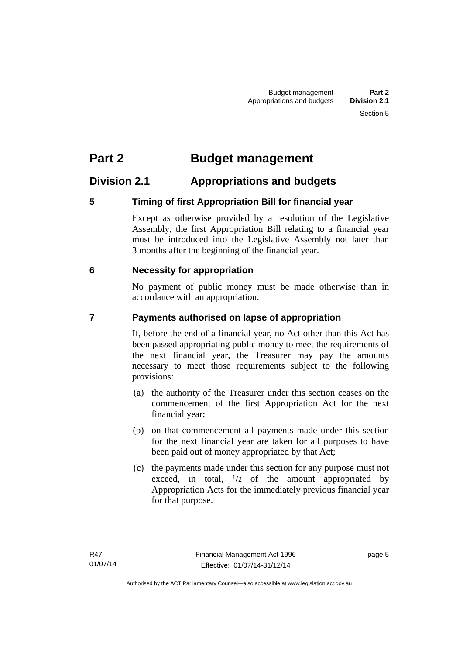# <span id="page-14-0"></span>**Part 2 Budget management**

### <span id="page-14-1"></span>**Division 2.1 Appropriations and budgets**

### <span id="page-14-2"></span>**5 Timing of first Appropriation Bill for financial year**

Except as otherwise provided by a resolution of the Legislative Assembly, the first Appropriation Bill relating to a financial year must be introduced into the Legislative Assembly not later than 3 months after the beginning of the financial year.

#### <span id="page-14-3"></span> **6 Necessity for appropriation**

No payment of public money must be made otherwise than in accordance with an appropriation.

### <span id="page-14-4"></span>**7 Payments authorised on lapse of appropriation**

If, before the end of a financial year, no Act other than this Act has been passed appropriating public money to meet the requirements of the next financial year, the Treasurer may pay the amounts necessary to meet those requirements subject to the following provisions:

- (a) the authority of the Treasurer under this section ceases on the commencement of the first Appropriation Act for the next financial year;
- (b) on that commencement all payments made under this section for the next financial year are taken for all purposes to have been paid out of money appropriated by that Act;
- (c) the payments made under this section for any purpose must not exceed, in total,  $\frac{1}{2}$  of the amount appropriated by Appropriation Acts for the immediately previous financial year for that purpose.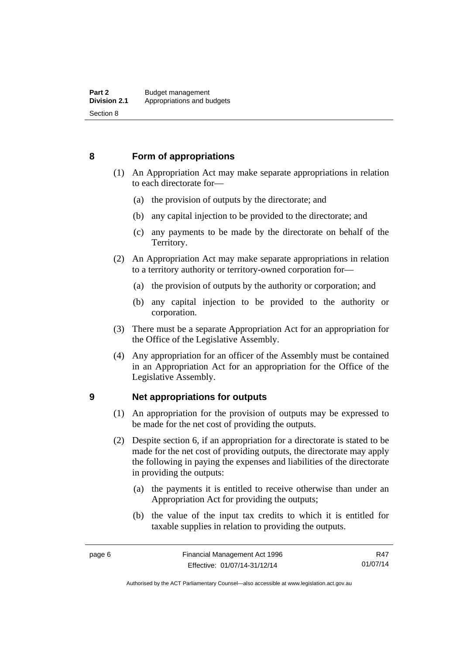#### <span id="page-15-0"></span>**8 Form of appropriations**

- (1) An Appropriation Act may make separate appropriations in relation to each directorate for—
	- (a) the provision of outputs by the directorate; and
	- (b) any capital injection to be provided to the directorate; and
	- (c) any payments to be made by the directorate on behalf of the Territory.
- (2) An Appropriation Act may make separate appropriations in relation to a territory authority or territory-owned corporation for—
	- (a) the provision of outputs by the authority or corporation; and
	- (b) any capital injection to be provided to the authority or corporation.
- (3) There must be a separate Appropriation Act for an appropriation for the Office of the Legislative Assembly.
- (4) Any appropriation for an officer of the Assembly must be contained in an Appropriation Act for an appropriation for the Office of the Legislative Assembly.

#### <span id="page-15-1"></span>**9 Net appropriations for outputs**

- (1) An appropriation for the provision of outputs may be expressed to be made for the net cost of providing the outputs.
- (2) Despite section 6, if an appropriation for a directorate is stated to be made for the net cost of providing outputs, the directorate may apply the following in paying the expenses and liabilities of the directorate in providing the outputs:
	- (a) the payments it is entitled to receive otherwise than under an Appropriation Act for providing the outputs;
	- (b) the value of the input tax credits to which it is entitled for taxable supplies in relation to providing the outputs.

R47 01/07/14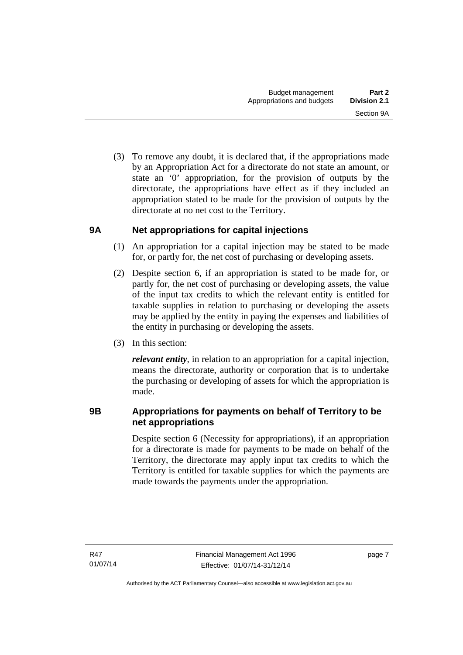(3) To remove any doubt, it is declared that, if the appropriations made by an Appropriation Act for a directorate do not state an amount, or state an '0' appropriation, for the provision of outputs by the directorate, the appropriations have effect as if they included an appropriation stated to be made for the provision of outputs by the directorate at no net cost to the Territory.

#### <span id="page-16-0"></span>**9A Net appropriations for capital injections**

- (1) An appropriation for a capital injection may be stated to be made for, or partly for, the net cost of purchasing or developing assets.
- (2) Despite section 6, if an appropriation is stated to be made for, or partly for, the net cost of purchasing or developing assets, the value of the input tax credits to which the relevant entity is entitled for taxable supplies in relation to purchasing or developing the assets may be applied by the entity in paying the expenses and liabilities of the entity in purchasing or developing the assets.
- (3) In this section:

*relevant entity*, in relation to an appropriation for a capital injection, means the directorate, authority or corporation that is to undertake the purchasing or developing of assets for which the appropriation is made.

#### <span id="page-16-1"></span>**9B Appropriations for payments on behalf of Territory to be net appropriations**

Despite section 6 (Necessity for appropriations), if an appropriation for a directorate is made for payments to be made on behalf of the Territory, the directorate may apply input tax credits to which the Territory is entitled for taxable supplies for which the payments are made towards the payments under the appropriation.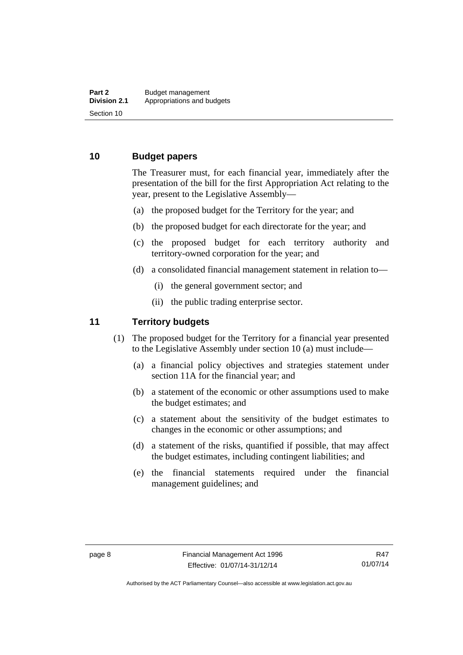#### <span id="page-17-0"></span>**10 Budget papers**

The Treasurer must, for each financial year, immediately after the presentation of the bill for the first Appropriation Act relating to the year, present to the Legislative Assembly—

- (a) the proposed budget for the Territory for the year; and
- (b) the proposed budget for each directorate for the year; and
- (c) the proposed budget for each territory authority and territory-owned corporation for the year; and
- (d) a consolidated financial management statement in relation to—
	- (i) the general government sector; and
	- (ii) the public trading enterprise sector.

#### <span id="page-17-1"></span>**11 Territory budgets**

- (1) The proposed budget for the Territory for a financial year presented to the Legislative Assembly under section 10 (a) must include—
	- (a) a financial policy objectives and strategies statement under section 11A for the financial year; and
	- (b) a statement of the economic or other assumptions used to make the budget estimates; and
	- (c) a statement about the sensitivity of the budget estimates to changes in the economic or other assumptions; and
	- (d) a statement of the risks, quantified if possible, that may affect the budget estimates, including contingent liabilities; and
	- (e) the financial statements required under the financial management guidelines; and

Authorised by the ACT Parliamentary Counsel—also accessible at www.legislation.act.gov.au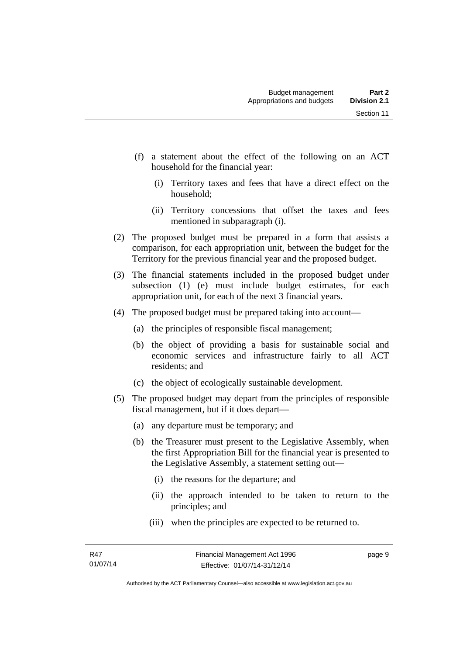- (f) a statement about the effect of the following on an ACT household for the financial year:
	- (i) Territory taxes and fees that have a direct effect on the household;
	- (ii) Territory concessions that offset the taxes and fees mentioned in subparagraph (i).
- (2) The proposed budget must be prepared in a form that assists a comparison, for each appropriation unit, between the budget for the Territory for the previous financial year and the proposed budget.
- (3) The financial statements included in the proposed budget under subsection (1) (e) must include budget estimates, for each appropriation unit, for each of the next 3 financial years.
- (4) The proposed budget must be prepared taking into account—
	- (a) the principles of responsible fiscal management;
	- (b) the object of providing a basis for sustainable social and economic services and infrastructure fairly to all ACT residents; and
	- (c) the object of ecologically sustainable development.
- (5) The proposed budget may depart from the principles of responsible fiscal management, but if it does depart—
	- (a) any departure must be temporary; and
	- (b) the Treasurer must present to the Legislative Assembly, when the first Appropriation Bill for the financial year is presented to the Legislative Assembly, a statement setting out—
		- (i) the reasons for the departure; and
		- (ii) the approach intended to be taken to return to the principles; and
		- (iii) when the principles are expected to be returned to.

page 9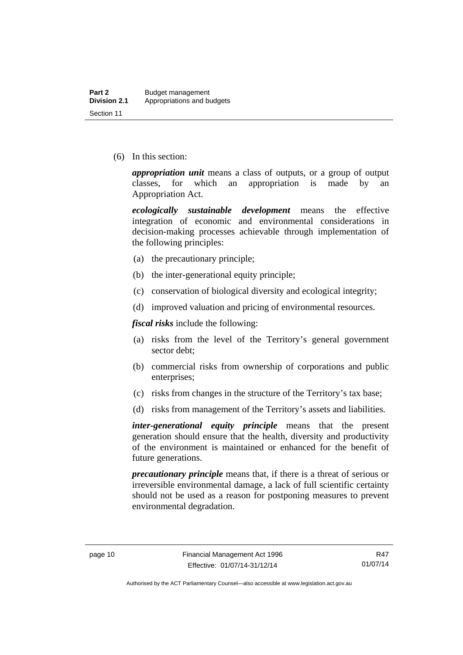(6) In this section:

*appropriation unit* means a class of outputs, or a group of output classes, for which an appropriation is made by an Appropriation Act.

*ecologically sustainable development* means the effective integration of economic and environmental considerations in decision-making processes achievable through implementation of the following principles:

- (a) the precautionary principle;
- (b) the inter-generational equity principle;
- (c) conservation of biological diversity and ecological integrity;
- (d) improved valuation and pricing of environmental resources.

*fiscal risks* include the following:

- (a) risks from the level of the Territory's general government sector debt;
- (b) commercial risks from ownership of corporations and public enterprises;
- (c) risks from changes in the structure of the Territory's tax base;
- (d) risks from management of the Territory's assets and liabilities.

*inter-generational equity principle* means that the present generation should ensure that the health, diversity and productivity of the environment is maintained or enhanced for the benefit of future generations.

*precautionary principle* means that, if there is a threat of serious or irreversible environmental damage, a lack of full scientific certainty should not be used as a reason for postponing measures to prevent environmental degradation.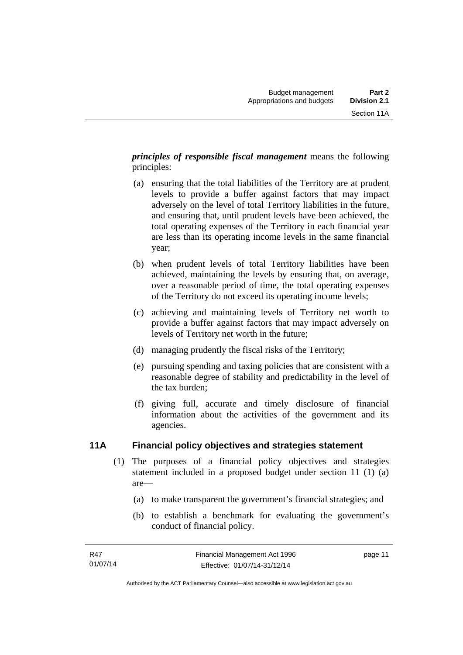*principles of responsible fiscal management* means the following principles:

- (a) ensuring that the total liabilities of the Territory are at prudent levels to provide a buffer against factors that may impact adversely on the level of total Territory liabilities in the future, and ensuring that, until prudent levels have been achieved, the total operating expenses of the Territory in each financial year are less than its operating income levels in the same financial year;
- (b) when prudent levels of total Territory liabilities have been achieved, maintaining the levels by ensuring that, on average, over a reasonable period of time, the total operating expenses of the Territory do not exceed its operating income levels;
- (c) achieving and maintaining levels of Territory net worth to provide a buffer against factors that may impact adversely on levels of Territory net worth in the future;
- (d) managing prudently the fiscal risks of the Territory;
- (e) pursuing spending and taxing policies that are consistent with a reasonable degree of stability and predictability in the level of the tax burden;
- (f) giving full, accurate and timely disclosure of financial information about the activities of the government and its agencies.

### <span id="page-20-0"></span>**11A Financial policy objectives and strategies statement**

- (1) The purposes of a financial policy objectives and strategies statement included in a proposed budget under section 11 (1) (a) are—
	- (a) to make transparent the government's financial strategies; and
	- (b) to establish a benchmark for evaluating the government's conduct of financial policy.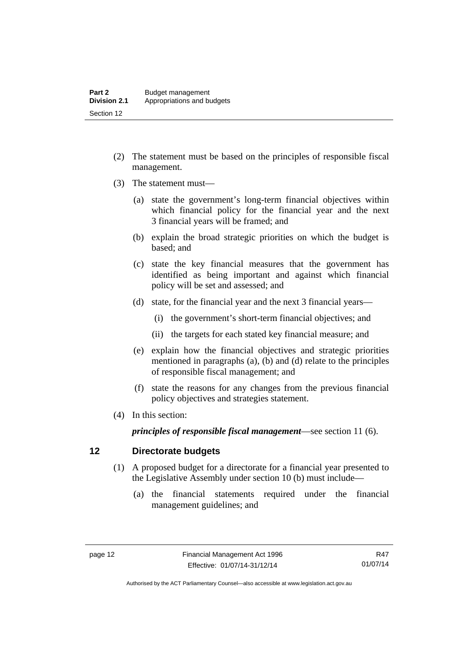- (2) The statement must be based on the principles of responsible fiscal management.
- (3) The statement must—
	- (a) state the government's long-term financial objectives within which financial policy for the financial year and the next 3 financial years will be framed; and
	- (b) explain the broad strategic priorities on which the budget is based; and
	- (c) state the key financial measures that the government has identified as being important and against which financial policy will be set and assessed; and
	- (d) state, for the financial year and the next 3 financial years—
		- (i) the government's short-term financial objectives; and
		- (ii) the targets for each stated key financial measure; and
	- (e) explain how the financial objectives and strategic priorities mentioned in paragraphs (a), (b) and (d) relate to the principles of responsible fiscal management; and
	- (f) state the reasons for any changes from the previous financial policy objectives and strategies statement.
- (4) In this section:

*principles of responsible fiscal management*—see section 11 (6).

#### <span id="page-21-0"></span>**12 Directorate budgets**

- (1) A proposed budget for a directorate for a financial year presented to the Legislative Assembly under section 10 (b) must include—
	- (a) the financial statements required under the financial management guidelines; and

Authorised by the ACT Parliamentary Counsel—also accessible at www.legislation.act.gov.au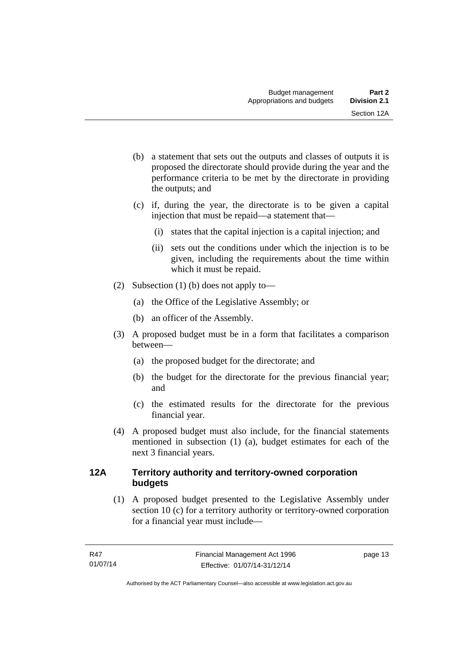- (b) a statement that sets out the outputs and classes of outputs it is proposed the directorate should provide during the year and the performance criteria to be met by the directorate in providing the outputs; and
- (c) if, during the year, the directorate is to be given a capital injection that must be repaid—a statement that—
	- (i) states that the capital injection is a capital injection; and
	- (ii) sets out the conditions under which the injection is to be given, including the requirements about the time within which it must be repaid.
- (2) Subsection (1) (b) does not apply to—
	- (a) the Office of the Legislative Assembly; or
	- (b) an officer of the Assembly.
- (3) A proposed budget must be in a form that facilitates a comparison between—
	- (a) the proposed budget for the directorate; and
	- (b) the budget for the directorate for the previous financial year; and
	- (c) the estimated results for the directorate for the previous financial year.
- (4) A proposed budget must also include, for the financial statements mentioned in subsection (1) (a), budget estimates for each of the next 3 financial years.

#### <span id="page-22-0"></span>**12A Territory authority and territory-owned corporation budgets**

(1) A proposed budget presented to the Legislative Assembly under section 10 (c) for a territory authority or territory-owned corporation for a financial year must include—

page 13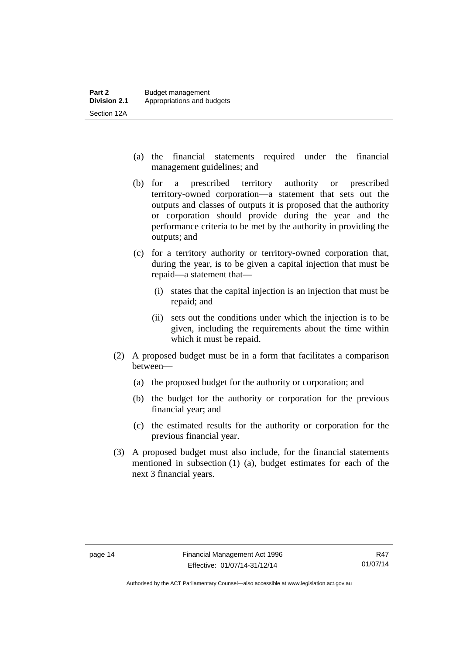- (a) the financial statements required under the financial management guidelines; and
- (b) for a prescribed territory authority or prescribed territory-owned corporation—a statement that sets out the outputs and classes of outputs it is proposed that the authority or corporation should provide during the year and the performance criteria to be met by the authority in providing the outputs; and
- (c) for a territory authority or territory-owned corporation that, during the year, is to be given a capital injection that must be repaid—a statement that—
	- (i) states that the capital injection is an injection that must be repaid; and
	- (ii) sets out the conditions under which the injection is to be given, including the requirements about the time within which it must be repaid.
- (2) A proposed budget must be in a form that facilitates a comparison between—
	- (a) the proposed budget for the authority or corporation; and
	- (b) the budget for the authority or corporation for the previous financial year; and
	- (c) the estimated results for the authority or corporation for the previous financial year.
- (3) A proposed budget must also include, for the financial statements mentioned in subsection (1) (a), budget estimates for each of the next 3 financial years.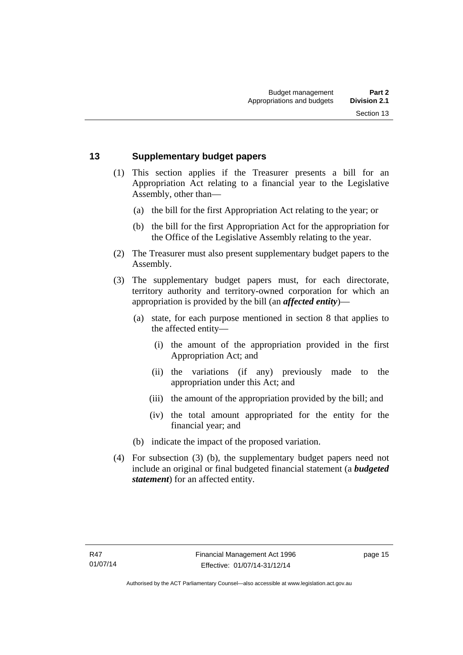#### <span id="page-24-0"></span>**13 Supplementary budget papers**

- (1) This section applies if the Treasurer presents a bill for an Appropriation Act relating to a financial year to the Legislative Assembly, other than—
	- (a) the bill for the first Appropriation Act relating to the year; or
	- (b) the bill for the first Appropriation Act for the appropriation for the Office of the Legislative Assembly relating to the year.
- (2) The Treasurer must also present supplementary budget papers to the Assembly.
- (3) The supplementary budget papers must, for each directorate, territory authority and territory-owned corporation for which an appropriation is provided by the bill (an *affected entity*)—
	- (a) state, for each purpose mentioned in section 8 that applies to the affected entity—
		- (i) the amount of the appropriation provided in the first Appropriation Act; and
		- (ii) the variations (if any) previously made to the appropriation under this Act; and
		- (iii) the amount of the appropriation provided by the bill; and
		- (iv) the total amount appropriated for the entity for the financial year; and
	- (b) indicate the impact of the proposed variation.
- (4) For subsection (3) (b), the supplementary budget papers need not include an original or final budgeted financial statement (a *budgeted statement*) for an affected entity.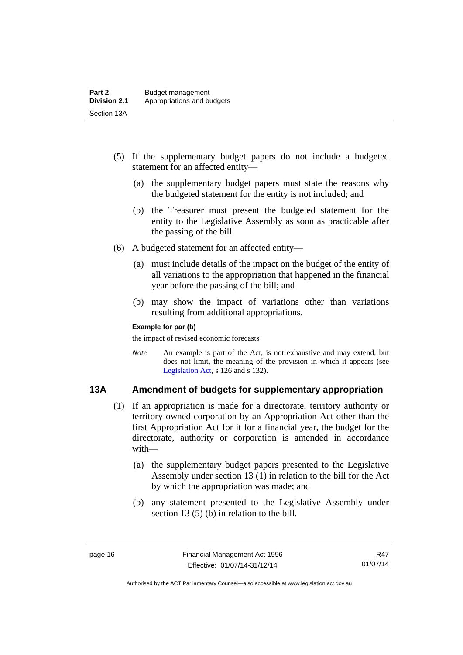- (5) If the supplementary budget papers do not include a budgeted statement for an affected entity—
	- (a) the supplementary budget papers must state the reasons why the budgeted statement for the entity is not included; and
	- (b) the Treasurer must present the budgeted statement for the entity to the Legislative Assembly as soon as practicable after the passing of the bill.
- (6) A budgeted statement for an affected entity—
	- (a) must include details of the impact on the budget of the entity of all variations to the appropriation that happened in the financial year before the passing of the bill; and
	- (b) may show the impact of variations other than variations resulting from additional appropriations.

#### **Example for par (b)**

the impact of revised economic forecasts

*Note* An example is part of the Act, is not exhaustive and may extend, but does not limit, the meaning of the provision in which it appears (see [Legislation Act,](http://www.legislation.act.gov.au/a/2001-14) s 126 and s 132).

#### <span id="page-25-0"></span>**13A Amendment of budgets for supplementary appropriation**

- (1) If an appropriation is made for a directorate, territory authority or territory-owned corporation by an Appropriation Act other than the first Appropriation Act for it for a financial year, the budget for the directorate, authority or corporation is amended in accordance with—
	- (a) the supplementary budget papers presented to the Legislative Assembly under section 13 (1) in relation to the bill for the Act by which the appropriation was made; and
	- (b) any statement presented to the Legislative Assembly under section 13 (5) (b) in relation to the bill.

R47 01/07/14

Authorised by the ACT Parliamentary Counsel—also accessible at www.legislation.act.gov.au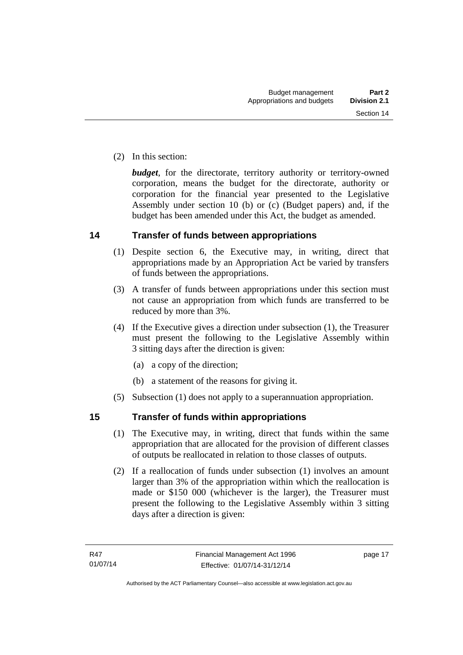(2) In this section:

*budget*, for the directorate, territory authority or territory-owned corporation, means the budget for the directorate, authority or corporation for the financial year presented to the Legislative Assembly under section 10 (b) or (c) (Budget papers) and, if the budget has been amended under this Act, the budget as amended.

#### <span id="page-26-0"></span>**14 Transfer of funds between appropriations**

- (1) Despite section 6, the Executive may, in writing, direct that appropriations made by an Appropriation Act be varied by transfers of funds between the appropriations.
- (3) A transfer of funds between appropriations under this section must not cause an appropriation from which funds are transferred to be reduced by more than 3%.
- (4) If the Executive gives a direction under subsection (1), the Treasurer must present the following to the Legislative Assembly within 3 sitting days after the direction is given:
	- (a) a copy of the direction;
	- (b) a statement of the reasons for giving it.
- (5) Subsection (1) does not apply to a superannuation appropriation.

#### <span id="page-26-1"></span>**15 Transfer of funds within appropriations**

- (1) The Executive may, in writing, direct that funds within the same appropriation that are allocated for the provision of different classes of outputs be reallocated in relation to those classes of outputs.
- (2) If a reallocation of funds under subsection (1) involves an amount larger than 3% of the appropriation within which the reallocation is made or \$150 000 (whichever is the larger), the Treasurer must present the following to the Legislative Assembly within 3 sitting days after a direction is given: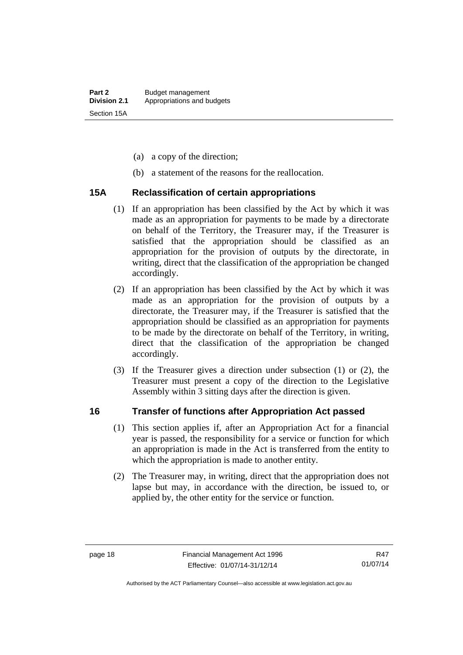- (a) a copy of the direction;
- (b) a statement of the reasons for the reallocation.

#### <span id="page-27-0"></span>**15A Reclassification of certain appropriations**

- (1) If an appropriation has been classified by the Act by which it was made as an appropriation for payments to be made by a directorate on behalf of the Territory, the Treasurer may, if the Treasurer is satisfied that the appropriation should be classified as an appropriation for the provision of outputs by the directorate, in writing, direct that the classification of the appropriation be changed accordingly.
- (2) If an appropriation has been classified by the Act by which it was made as an appropriation for the provision of outputs by a directorate, the Treasurer may, if the Treasurer is satisfied that the appropriation should be classified as an appropriation for payments to be made by the directorate on behalf of the Territory, in writing, direct that the classification of the appropriation be changed accordingly.
- (3) If the Treasurer gives a direction under subsection (1) or (2), the Treasurer must present a copy of the direction to the Legislative Assembly within 3 sitting days after the direction is given.

#### <span id="page-27-1"></span>**16 Transfer of functions after Appropriation Act passed**

- (1) This section applies if, after an Appropriation Act for a financial year is passed, the responsibility for a service or function for which an appropriation is made in the Act is transferred from the entity to which the appropriation is made to another entity.
- (2) The Treasurer may, in writing, direct that the appropriation does not lapse but may, in accordance with the direction, be issued to, or applied by, the other entity for the service or function.

Authorised by the ACT Parliamentary Counsel—also accessible at www.legislation.act.gov.au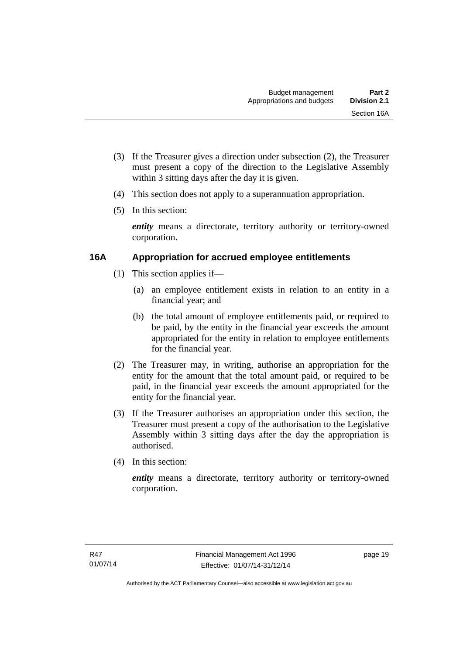- (3) If the Treasurer gives a direction under subsection (2), the Treasurer must present a copy of the direction to the Legislative Assembly within 3 sitting days after the day it is given.
- (4) This section does not apply to a superannuation appropriation.
- (5) In this section:

*entity* means a directorate, territory authority or territory-owned corporation.

#### <span id="page-28-0"></span>**16A Appropriation for accrued employee entitlements**

- (1) This section applies if—
	- (a) an employee entitlement exists in relation to an entity in a financial year; and
	- (b) the total amount of employee entitlements paid, or required to be paid, by the entity in the financial year exceeds the amount appropriated for the entity in relation to employee entitlements for the financial year.
- (2) The Treasurer may, in writing, authorise an appropriation for the entity for the amount that the total amount paid, or required to be paid, in the financial year exceeds the amount appropriated for the entity for the financial year.
- (3) If the Treasurer authorises an appropriation under this section, the Treasurer must present a copy of the authorisation to the Legislative Assembly within 3 sitting days after the day the appropriation is authorised.
- (4) In this section:

*entity* means a directorate, territory authority or territory-owned corporation.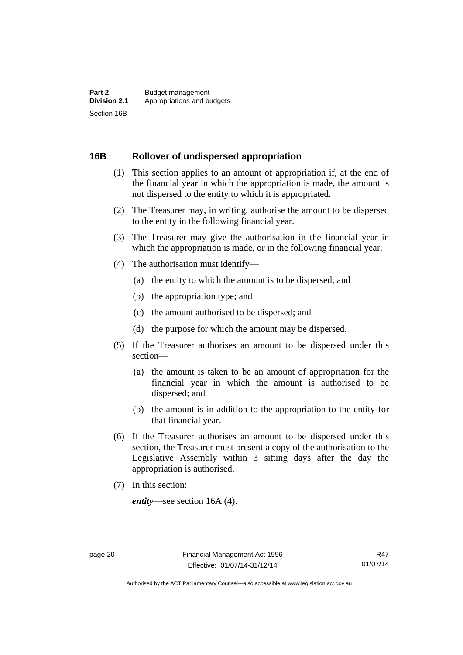#### <span id="page-29-0"></span>**16B Rollover of undispersed appropriation**

- (1) This section applies to an amount of appropriation if, at the end of the financial year in which the appropriation is made, the amount is not dispersed to the entity to which it is appropriated.
- (2) The Treasurer may, in writing, authorise the amount to be dispersed to the entity in the following financial year.
- (3) The Treasurer may give the authorisation in the financial year in which the appropriation is made, or in the following financial year.
- (4) The authorisation must identify—
	- (a) the entity to which the amount is to be dispersed; and
	- (b) the appropriation type; and
	- (c) the amount authorised to be dispersed; and
	- (d) the purpose for which the amount may be dispersed.
- (5) If the Treasurer authorises an amount to be dispersed under this section—
	- (a) the amount is taken to be an amount of appropriation for the financial year in which the amount is authorised to be dispersed; and
	- (b) the amount is in addition to the appropriation to the entity for that financial year.
- (6) If the Treasurer authorises an amount to be dispersed under this section, the Treasurer must present a copy of the authorisation to the Legislative Assembly within 3 sitting days after the day the appropriation is authorised.
- (7) In this section:

*entity*—see section 16A (4).

Authorised by the ACT Parliamentary Counsel—also accessible at www.legislation.act.gov.au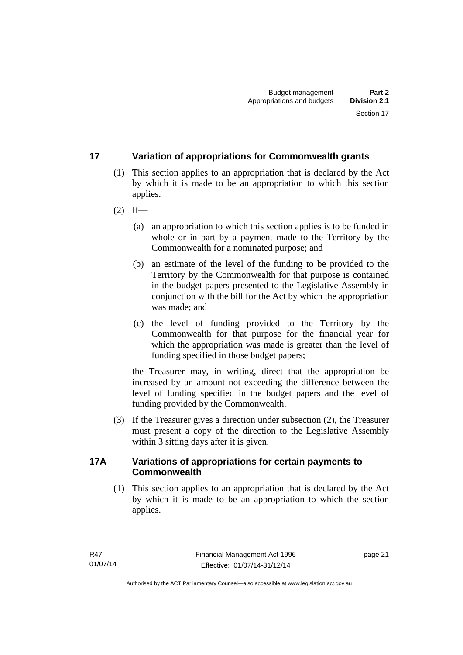#### <span id="page-30-0"></span>**17 Variation of appropriations for Commonwealth grants**

- (1) This section applies to an appropriation that is declared by the Act by which it is made to be an appropriation to which this section applies.
- $(2)$  If—
	- (a) an appropriation to which this section applies is to be funded in whole or in part by a payment made to the Territory by the Commonwealth for a nominated purpose; and
	- (b) an estimate of the level of the funding to be provided to the Territory by the Commonwealth for that purpose is contained in the budget papers presented to the Legislative Assembly in conjunction with the bill for the Act by which the appropriation was made; and
	- (c) the level of funding provided to the Territory by the Commonwealth for that purpose for the financial year for which the appropriation was made is greater than the level of funding specified in those budget papers;

the Treasurer may, in writing, direct that the appropriation be increased by an amount not exceeding the difference between the level of funding specified in the budget papers and the level of funding provided by the Commonwealth.

 (3) If the Treasurer gives a direction under subsection (2), the Treasurer must present a copy of the direction to the Legislative Assembly within 3 sitting days after it is given.

#### <span id="page-30-1"></span>**17A Variations of appropriations for certain payments to Commonwealth**

 (1) This section applies to an appropriation that is declared by the Act by which it is made to be an appropriation to which the section applies.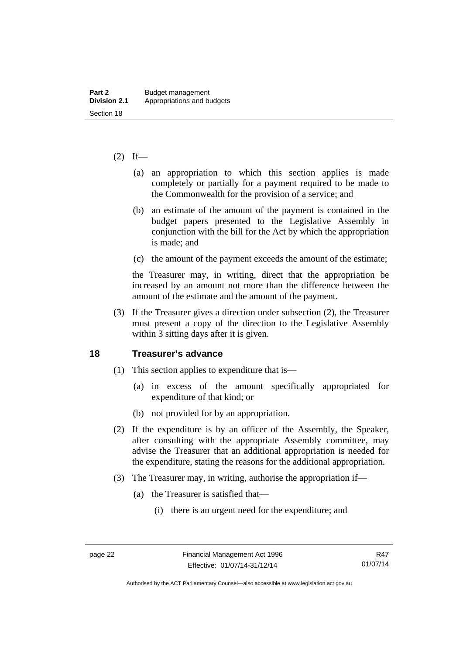#### $(2)$  If—

- (a) an appropriation to which this section applies is made completely or partially for a payment required to be made to the Commonwealth for the provision of a service; and
- (b) an estimate of the amount of the payment is contained in the budget papers presented to the Legislative Assembly in conjunction with the bill for the Act by which the appropriation is made; and
- (c) the amount of the payment exceeds the amount of the estimate;

the Treasurer may, in writing, direct that the appropriation be increased by an amount not more than the difference between the amount of the estimate and the amount of the payment.

 (3) If the Treasurer gives a direction under subsection (2), the Treasurer must present a copy of the direction to the Legislative Assembly within 3 sitting days after it is given.

#### <span id="page-31-0"></span>**18 Treasurer's advance**

- (1) This section applies to expenditure that is—
	- (a) in excess of the amount specifically appropriated for expenditure of that kind; or
	- (b) not provided for by an appropriation.
- (2) If the expenditure is by an officer of the Assembly, the Speaker, after consulting with the appropriate Assembly committee, may advise the Treasurer that an additional appropriation is needed for the expenditure, stating the reasons for the additional appropriation.
- (3) The Treasurer may, in writing, authorise the appropriation if—
	- (a) the Treasurer is satisfied that—
		- (i) there is an urgent need for the expenditure; and

Authorised by the ACT Parliamentary Counsel—also accessible at www.legislation.act.gov.au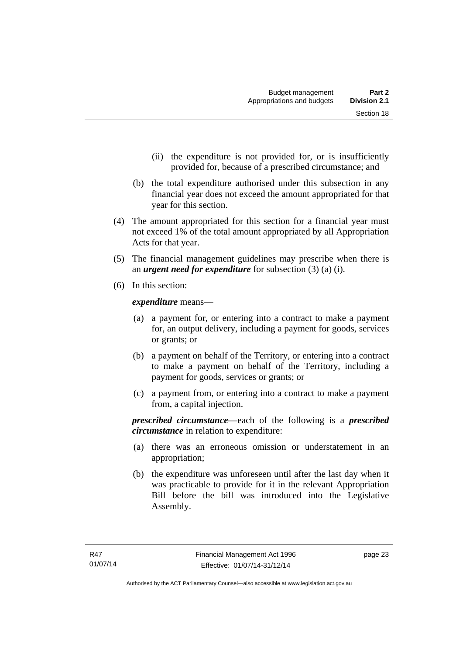- (ii) the expenditure is not provided for, or is insufficiently provided for, because of a prescribed circumstance; and
- (b) the total expenditure authorised under this subsection in any financial year does not exceed the amount appropriated for that year for this section.
- (4) The amount appropriated for this section for a financial year must not exceed 1% of the total amount appropriated by all Appropriation Acts for that year.
- (5) The financial management guidelines may prescribe when there is an *urgent need for expenditure* for subsection (3) (a) (i).
- (6) In this section:

*expenditure* means—

- (a) a payment for, or entering into a contract to make a payment for, an output delivery, including a payment for goods, services or grants; or
- (b) a payment on behalf of the Territory, or entering into a contract to make a payment on behalf of the Territory, including a payment for goods, services or grants; or
- (c) a payment from, or entering into a contract to make a payment from, a capital injection.

*prescribed circumstance*—each of the following is a *prescribed circumstance* in relation to expenditure:

- (a) there was an erroneous omission or understatement in an appropriation;
- (b) the expenditure was unforeseen until after the last day when it was practicable to provide for it in the relevant Appropriation Bill before the bill was introduced into the Legislative Assembly.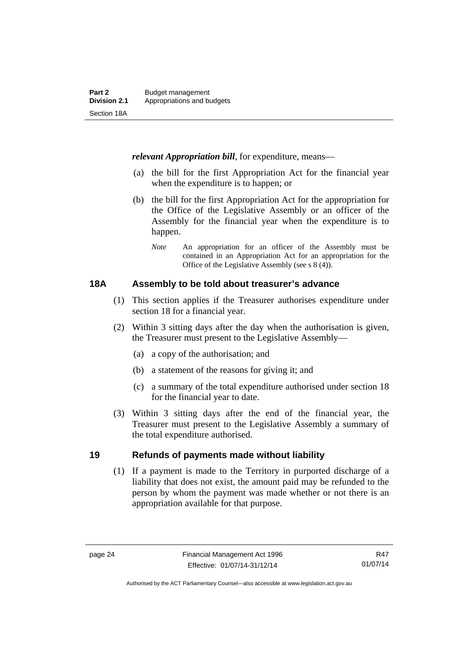*relevant Appropriation bill*, for expenditure, means—

- (a) the bill for the first Appropriation Act for the financial year when the expenditure is to happen; or
- (b) the bill for the first Appropriation Act for the appropriation for the Office of the Legislative Assembly or an officer of the Assembly for the financial year when the expenditure is to happen.
	- *Note* An appropriation for an officer of the Assembly must be contained in an Appropriation Act for an appropriation for the Office of the Legislative Assembly (see s 8 (4)).

#### <span id="page-33-0"></span>**18A Assembly to be told about treasurer's advance**

- (1) This section applies if the Treasurer authorises expenditure under section 18 for a financial year.
- (2) Within 3 sitting days after the day when the authorisation is given, the Treasurer must present to the Legislative Assembly—
	- (a) a copy of the authorisation; and
	- (b) a statement of the reasons for giving it; and
	- (c) a summary of the total expenditure authorised under section 18 for the financial year to date.
- (3) Within 3 sitting days after the end of the financial year, the Treasurer must present to the Legislative Assembly a summary of the total expenditure authorised.

#### <span id="page-33-1"></span>**19 Refunds of payments made without liability**

(1) If a payment is made to the Territory in purported discharge of a liability that does not exist, the amount paid may be refunded to the person by whom the payment was made whether or not there is an appropriation available for that purpose.

Authorised by the ACT Parliamentary Counsel—also accessible at www.legislation.act.gov.au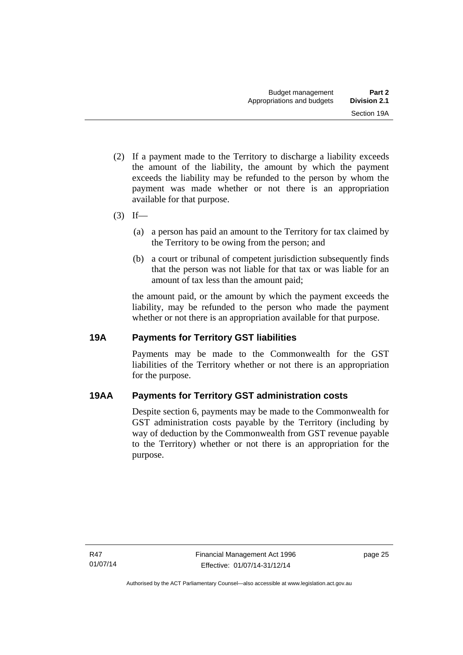- (2) If a payment made to the Territory to discharge a liability exceeds the amount of the liability, the amount by which the payment exceeds the liability may be refunded to the person by whom the payment was made whether or not there is an appropriation available for that purpose.
- $(3)$  If—
	- (a) a person has paid an amount to the Territory for tax claimed by the Territory to be owing from the person; and
	- (b) a court or tribunal of competent jurisdiction subsequently finds that the person was not liable for that tax or was liable for an amount of tax less than the amount paid;

the amount paid, or the amount by which the payment exceeds the liability, may be refunded to the person who made the payment whether or not there is an appropriation available for that purpose.

#### <span id="page-34-0"></span>**19A Payments for Territory GST liabilities**

Payments may be made to the Commonwealth for the GST liabilities of the Territory whether or not there is an appropriation for the purpose.

#### <span id="page-34-1"></span>**19AA Payments for Territory GST administration costs**

Despite section 6, payments may be made to the Commonwealth for GST administration costs payable by the Territory (including by way of deduction by the Commonwealth from GST revenue payable to the Territory) whether or not there is an appropriation for the purpose.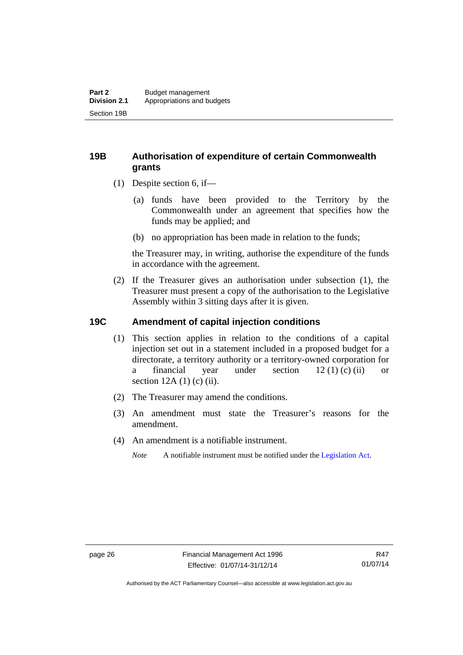#### <span id="page-35-0"></span>**19B Authorisation of expenditure of certain Commonwealth grants**

- (1) Despite section 6, if—
	- (a) funds have been provided to the Territory by the Commonwealth under an agreement that specifies how the funds may be applied; and
	- (b) no appropriation has been made in relation to the funds;

the Treasurer may, in writing, authorise the expenditure of the funds in accordance with the agreement.

 (2) If the Treasurer gives an authorisation under subsection (1), the Treasurer must present a copy of the authorisation to the Legislative Assembly within 3 sitting days after it is given.

#### <span id="page-35-1"></span>**19C Amendment of capital injection conditions**

- (1) This section applies in relation to the conditions of a capital injection set out in a statement included in a proposed budget for a directorate, a territory authority or a territory-owned corporation for a financial year under section 12 (1) (c) (ii) or section  $12A(1)$  (c) (ii).
- (2) The Treasurer may amend the conditions.
- (3) An amendment must state the Treasurer's reasons for the amendment.
- (4) An amendment is a notifiable instrument.

*Note* A notifiable instrument must be notified under the [Legislation Act](http://www.legislation.act.gov.au/a/2001-14).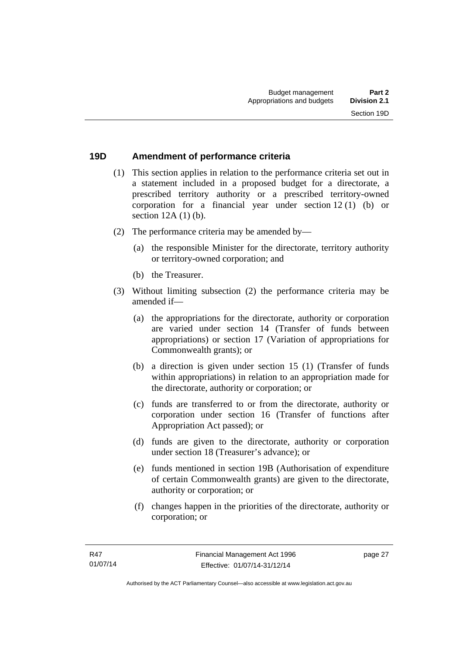### **19D Amendment of performance criteria**

- (1) This section applies in relation to the performance criteria set out in a statement included in a proposed budget for a directorate, a prescribed territory authority or a prescribed territory-owned corporation for a financial year under section 12 (1) (b) or section 12A (1) (b).
- (2) The performance criteria may be amended by—
	- (a) the responsible Minister for the directorate, territory authority or territory-owned corporation; and
	- (b) the Treasurer.
- (3) Without limiting subsection (2) the performance criteria may be amended if—
	- (a) the appropriations for the directorate, authority or corporation are varied under section 14 (Transfer of funds between appropriations) or section 17 (Variation of appropriations for Commonwealth grants); or
	- (b) a direction is given under section 15 (1) (Transfer of funds within appropriations) in relation to an appropriation made for the directorate, authority or corporation; or
	- (c) funds are transferred to or from the directorate, authority or corporation under section 16 (Transfer of functions after Appropriation Act passed); or
	- (d) funds are given to the directorate, authority or corporation under section 18 (Treasurer's advance); or
	- (e) funds mentioned in section 19B (Authorisation of expenditure of certain Commonwealth grants) are given to the directorate, authority or corporation; or
	- (f) changes happen in the priorities of the directorate, authority or corporation; or

page 27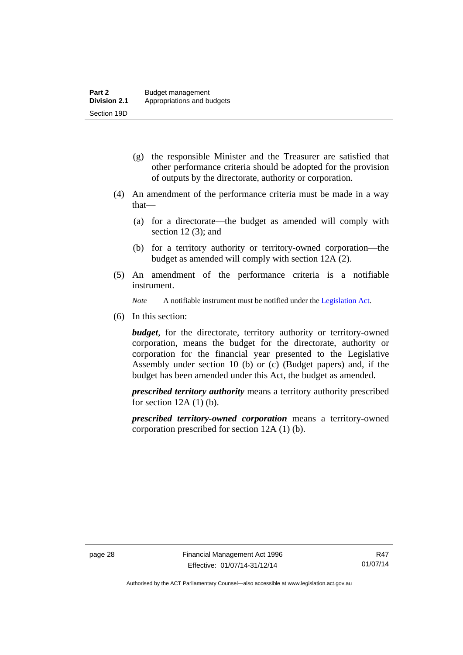- (g) the responsible Minister and the Treasurer are satisfied that other performance criteria should be adopted for the provision of outputs by the directorate, authority or corporation.
- (4) An amendment of the performance criteria must be made in a way that—
	- (a) for a directorate—the budget as amended will comply with section  $12(3)$ ; and
	- (b) for a territory authority or territory-owned corporation—the budget as amended will comply with section 12A (2).
- (5) An amendment of the performance criteria is a notifiable instrument.

*Note* A notifiable instrument must be notified under the [Legislation Act](http://www.legislation.act.gov.au/a/2001-14).

(6) In this section:

*budget*, for the directorate, territory authority or territory-owned corporation, means the budget for the directorate, authority or corporation for the financial year presented to the Legislative Assembly under section 10 (b) or (c) (Budget papers) and, if the budget has been amended under this Act, the budget as amended.

*prescribed territory authority* means a territory authority prescribed for section  $12A(1)(b)$ .

*prescribed territory-owned corporation* means a territory-owned corporation prescribed for section 12A (1) (b).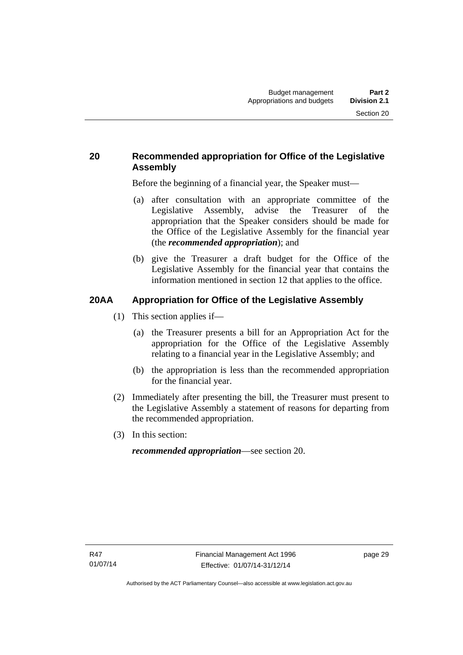## **20 Recommended appropriation for Office of the Legislative Assembly**

Before the beginning of a financial year, the Speaker must—

- (a) after consultation with an appropriate committee of the Legislative Assembly, advise the Treasurer of the appropriation that the Speaker considers should be made for the Office of the Legislative Assembly for the financial year (the *recommended appropriation*); and
- (b) give the Treasurer a draft budget for the Office of the Legislative Assembly for the financial year that contains the information mentioned in section 12 that applies to the office.

## **20AA Appropriation for Office of the Legislative Assembly**

- (1) This section applies if—
	- (a) the Treasurer presents a bill for an Appropriation Act for the appropriation for the Office of the Legislative Assembly relating to a financial year in the Legislative Assembly; and
	- (b) the appropriation is less than the recommended appropriation for the financial year.
- (2) Immediately after presenting the bill, the Treasurer must present to the Legislative Assembly a statement of reasons for departing from the recommended appropriation.
- (3) In this section:

*recommended appropriation*—see section 20.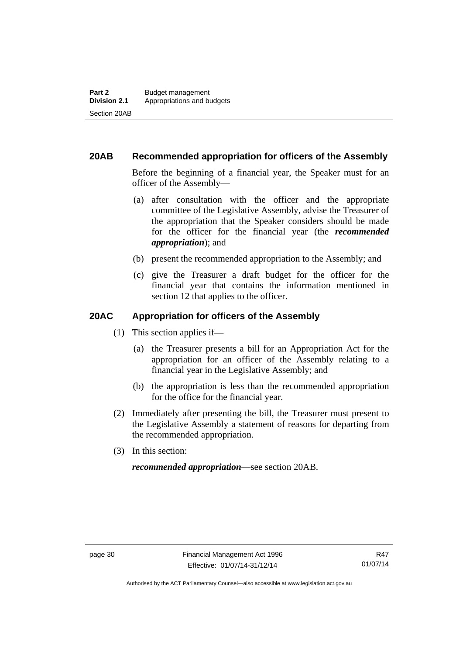## **20AB Recommended appropriation for officers of the Assembly**

Before the beginning of a financial year, the Speaker must for an officer of the Assembly—

- (a) after consultation with the officer and the appropriate committee of the Legislative Assembly, advise the Treasurer of the appropriation that the Speaker considers should be made for the officer for the financial year (the *recommended appropriation*); and
- (b) present the recommended appropriation to the Assembly; and
- (c) give the Treasurer a draft budget for the officer for the financial year that contains the information mentioned in section 12 that applies to the officer.

### **20AC Appropriation for officers of the Assembly**

- (1) This section applies if—
	- (a) the Treasurer presents a bill for an Appropriation Act for the appropriation for an officer of the Assembly relating to a financial year in the Legislative Assembly; and
	- (b) the appropriation is less than the recommended appropriation for the office for the financial year.
- (2) Immediately after presenting the bill, the Treasurer must present to the Legislative Assembly a statement of reasons for departing from the recommended appropriation.
- (3) In this section:

*recommended appropriation*—see section 20AB.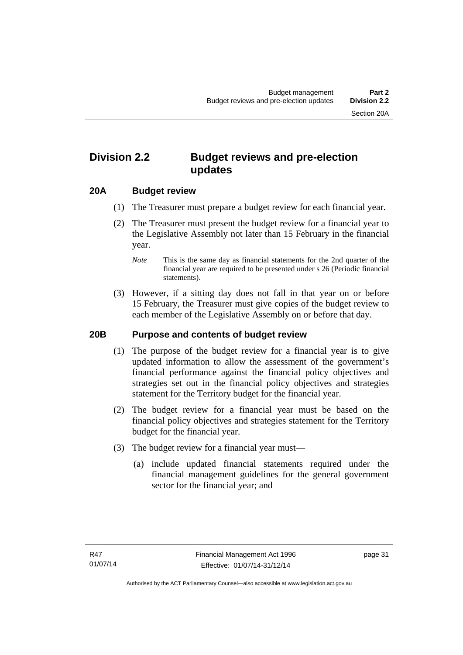## **Division 2.2 Budget reviews and pre-election updates**

### **20A Budget review**

- (1) The Treasurer must prepare a budget review for each financial year.
- (2) The Treasurer must present the budget review for a financial year to the Legislative Assembly not later than 15 February in the financial year.
	- *Note* This is the same day as financial statements for the 2nd quarter of the financial year are required to be presented under s 26 (Periodic financial statements).
- (3) However, if a sitting day does not fall in that year on or before 15 February, the Treasurer must give copies of the budget review to each member of the Legislative Assembly on or before that day.

#### **20B Purpose and contents of budget review**

- (1) The purpose of the budget review for a financial year is to give updated information to allow the assessment of the government's financial performance against the financial policy objectives and strategies set out in the financial policy objectives and strategies statement for the Territory budget for the financial year.
- (2) The budget review for a financial year must be based on the financial policy objectives and strategies statement for the Territory budget for the financial year.
- (3) The budget review for a financial year must—
	- (a) include updated financial statements required under the financial management guidelines for the general government sector for the financial year; and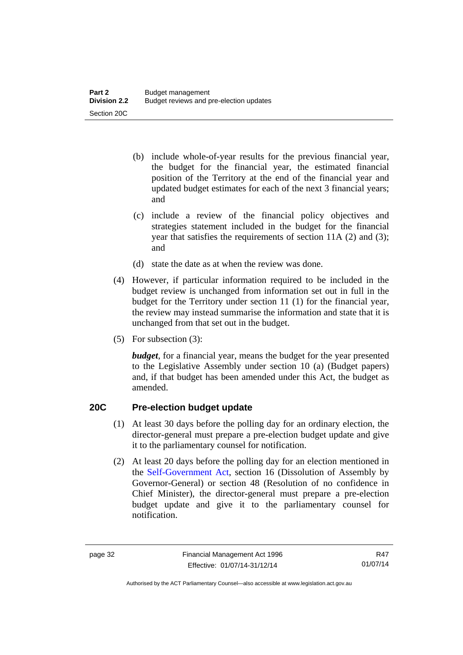- (b) include whole-of-year results for the previous financial year, the budget for the financial year, the estimated financial position of the Territory at the end of the financial year and updated budget estimates for each of the next 3 financial years; and
- (c) include a review of the financial policy objectives and strategies statement included in the budget for the financial year that satisfies the requirements of section 11A (2) and (3); and
- (d) state the date as at when the review was done.
- (4) However, if particular information required to be included in the budget review is unchanged from information set out in full in the budget for the Territory under section 11 (1) for the financial year, the review may instead summarise the information and state that it is unchanged from that set out in the budget.
- (5) For subsection (3):

*budget*, for a financial year, means the budget for the year presented to the Legislative Assembly under section 10 (a) (Budget papers) and, if that budget has been amended under this Act, the budget as amended.

## **20C Pre-election budget update**

- (1) At least 30 days before the polling day for an ordinary election, the director-general must prepare a pre-election budget update and give it to the parliamentary counsel for notification.
- (2) At least 20 days before the polling day for an election mentioned in the [Self-Government Act,](http://www.comlaw.gov.au/Series/C2004A03699) section 16 (Dissolution of Assembly by Governor-General) or section 48 (Resolution of no confidence in Chief Minister), the director-general must prepare a pre-election budget update and give it to the parliamentary counsel for notification.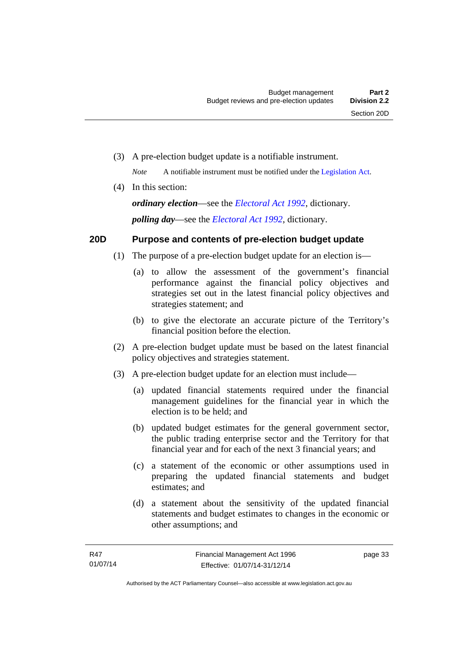(3) A pre-election budget update is a notifiable instrument.

*Note* A notifiable instrument must be notified under the [Legislation Act](http://www.legislation.act.gov.au/a/2001-14).

(4) In this section:

*ordinary election*—see the *[Electoral Act 1992](http://www.legislation.act.gov.au/a/1992-71)*, dictionary. *polling day*—see the *[Electoral Act 1992](http://www.legislation.act.gov.au/a/1992-71)*, dictionary.

## **20D Purpose and contents of pre-election budget update**

- (1) The purpose of a pre-election budget update for an election is—
	- (a) to allow the assessment of the government's financial performance against the financial policy objectives and strategies set out in the latest financial policy objectives and strategies statement; and
	- (b) to give the electorate an accurate picture of the Territory's financial position before the election.
- (2) A pre-election budget update must be based on the latest financial policy objectives and strategies statement.
- (3) A pre-election budget update for an election must include—
	- (a) updated financial statements required under the financial management guidelines for the financial year in which the election is to be held; and
	- (b) updated budget estimates for the general government sector, the public trading enterprise sector and the Territory for that financial year and for each of the next 3 financial years; and
	- (c) a statement of the economic or other assumptions used in preparing the updated financial statements and budget estimates; and
	- (d) a statement about the sensitivity of the updated financial statements and budget estimates to changes in the economic or other assumptions; and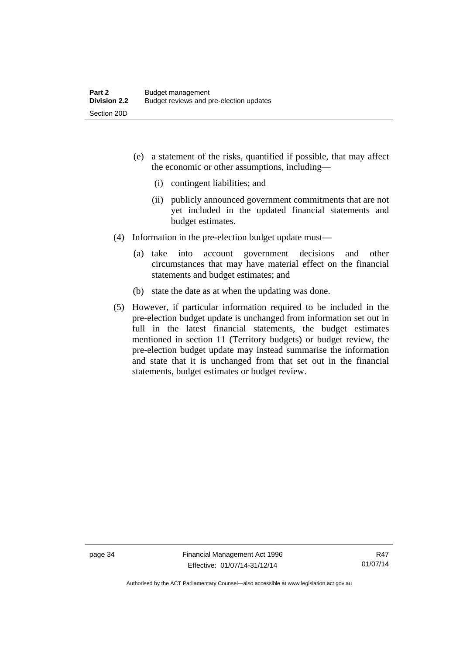- (e) a statement of the risks, quantified if possible, that may affect the economic or other assumptions, including—
	- (i) contingent liabilities; and
	- (ii) publicly announced government commitments that are not yet included in the updated financial statements and budget estimates.
- (4) Information in the pre-election budget update must—
	- (a) take into account government decisions and other circumstances that may have material effect on the financial statements and budget estimates; and
	- (b) state the date as at when the updating was done.
- (5) However, if particular information required to be included in the pre-election budget update is unchanged from information set out in full in the latest financial statements, the budget estimates mentioned in section 11 (Territory budgets) or budget review, the pre-election budget update may instead summarise the information and state that it is unchanged from that set out in the financial statements, budget estimates or budget review.

page 34 Financial Management Act 1996 Effective: 01/07/14-31/12/14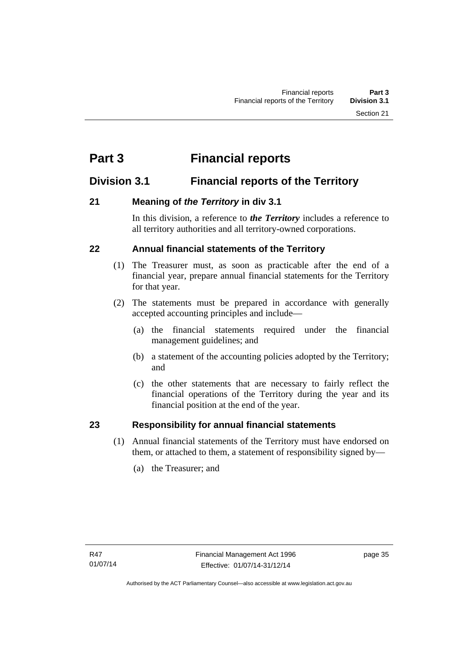# **Part 3 Financial reports**

## **Division 3.1 Financial reports of the Territory**

## **21 Meaning of** *the Territory* **in div 3.1**

In this division, a reference to *the Territory* includes a reference to all territory authorities and all territory-owned corporations.

## **22 Annual financial statements of the Territory**

- (1) The Treasurer must, as soon as practicable after the end of a financial year, prepare annual financial statements for the Territory for that year.
- (2) The statements must be prepared in accordance with generally accepted accounting principles and include—
	- (a) the financial statements required under the financial management guidelines; and
	- (b) a statement of the accounting policies adopted by the Territory; and
	- (c) the other statements that are necessary to fairly reflect the financial operations of the Territory during the year and its financial position at the end of the year.

## **23 Responsibility for annual financial statements**

- (1) Annual financial statements of the Territory must have endorsed on them, or attached to them, a statement of responsibility signed by—
	- (a) the Treasurer; and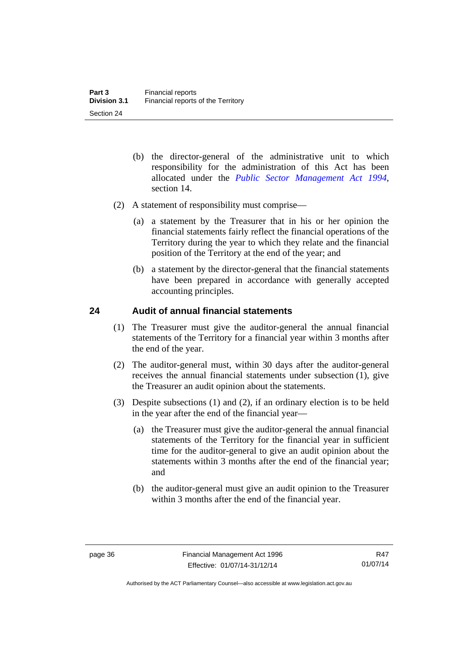- (b) the director-general of the administrative unit to which responsibility for the administration of this Act has been allocated under the *[Public Sector Management Act 1994](http://www.legislation.act.gov.au/a/1994-37)*, section 14.
- (2) A statement of responsibility must comprise—
	- (a) a statement by the Treasurer that in his or her opinion the financial statements fairly reflect the financial operations of the Territory during the year to which they relate and the financial position of the Territory at the end of the year; and
	- (b) a statement by the director-general that the financial statements have been prepared in accordance with generally accepted accounting principles.

### **24 Audit of annual financial statements**

- (1) The Treasurer must give the auditor-general the annual financial statements of the Territory for a financial year within 3 months after the end of the year.
- (2) The auditor-general must, within 30 days after the auditor-general receives the annual financial statements under subsection (1), give the Treasurer an audit opinion about the statements.
- (3) Despite subsections (1) and (2), if an ordinary election is to be held in the year after the end of the financial year—
	- (a) the Treasurer must give the auditor-general the annual financial statements of the Territory for the financial year in sufficient time for the auditor-general to give an audit opinion about the statements within 3 months after the end of the financial year; and
	- (b) the auditor-general must give an audit opinion to the Treasurer within 3 months after the end of the financial year.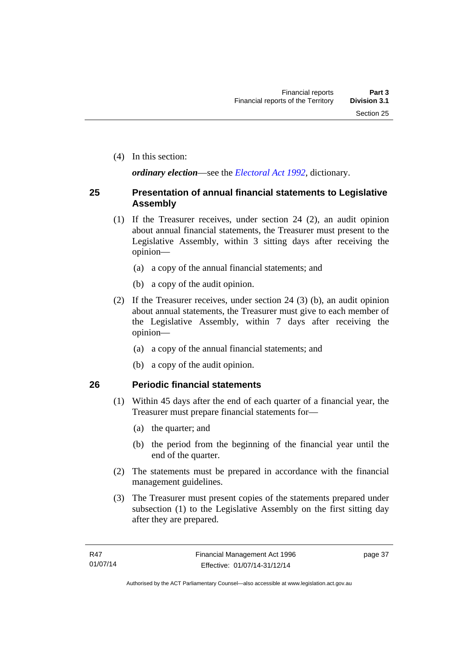(4) In this section:

*ordinary election*—see the *[Electoral Act 1992](http://www.legislation.act.gov.au/a/1992-71)*, dictionary.

#### **25 Presentation of annual financial statements to Legislative Assembly**

- (1) If the Treasurer receives, under section 24 (2), an audit opinion about annual financial statements, the Treasurer must present to the Legislative Assembly, within 3 sitting days after receiving the opinion—
	- (a) a copy of the annual financial statements; and
	- (b) a copy of the audit opinion.
- (2) If the Treasurer receives, under section 24 (3) (b), an audit opinion about annual statements, the Treasurer must give to each member of the Legislative Assembly, within 7 days after receiving the opinion—
	- (a) a copy of the annual financial statements; and
	- (b) a copy of the audit opinion.

#### **26 Periodic financial statements**

- (1) Within 45 days after the end of each quarter of a financial year, the Treasurer must prepare financial statements for—
	- (a) the quarter; and
	- (b) the period from the beginning of the financial year until the end of the quarter.
- (2) The statements must be prepared in accordance with the financial management guidelines.
- (3) The Treasurer must present copies of the statements prepared under subsection (1) to the Legislative Assembly on the first sitting day after they are prepared.

page 37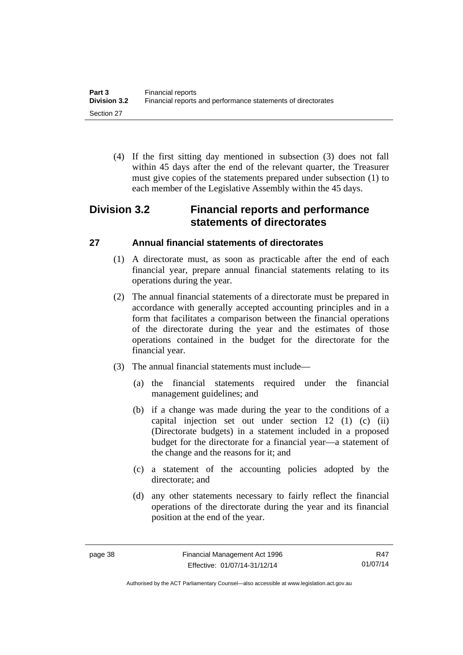(4) If the first sitting day mentioned in subsection (3) does not fall within 45 days after the end of the relevant quarter, the Treasurer must give copies of the statements prepared under subsection (1) to each member of the Legislative Assembly within the 45 days.

## **Division 3.2 Financial reports and performance statements of directorates**

## **27 Annual financial statements of directorates**

- (1) A directorate must, as soon as practicable after the end of each financial year, prepare annual financial statements relating to its operations during the year.
- (2) The annual financial statements of a directorate must be prepared in accordance with generally accepted accounting principles and in a form that facilitates a comparison between the financial operations of the directorate during the year and the estimates of those operations contained in the budget for the directorate for the financial year.
- (3) The annual financial statements must include—
	- (a) the financial statements required under the financial management guidelines; and
	- (b) if a change was made during the year to the conditions of a capital injection set out under section 12 (1) (c) (ii) (Directorate budgets) in a statement included in a proposed budget for the directorate for a financial year—a statement of the change and the reasons for it; and
	- (c) a statement of the accounting policies adopted by the directorate; and
	- (d) any other statements necessary to fairly reflect the financial operations of the directorate during the year and its financial position at the end of the year.

R47 01/07/14

Authorised by the ACT Parliamentary Counsel—also accessible at www.legislation.act.gov.au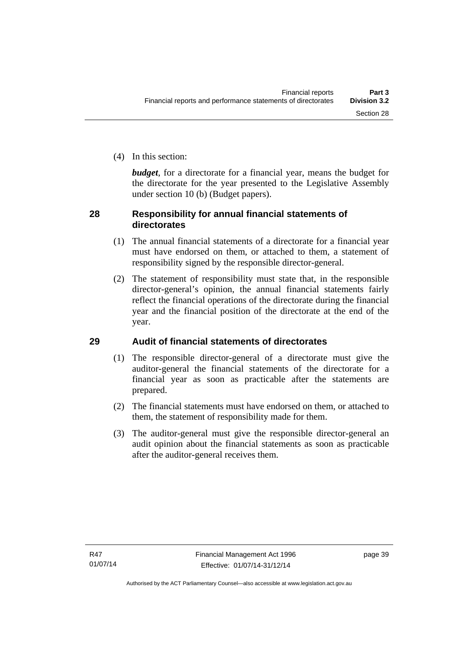(4) In this section:

*budget*, for a directorate for a financial year, means the budget for the directorate for the year presented to the Legislative Assembly under section 10 (b) (Budget papers).

## **28 Responsibility for annual financial statements of directorates**

- (1) The annual financial statements of a directorate for a financial year must have endorsed on them, or attached to them, a statement of responsibility signed by the responsible director-general.
- (2) The statement of responsibility must state that, in the responsible director-general's opinion, the annual financial statements fairly reflect the financial operations of the directorate during the financial year and the financial position of the directorate at the end of the year.

## **29 Audit of financial statements of directorates**

- (1) The responsible director-general of a directorate must give the auditor-general the financial statements of the directorate for a financial year as soon as practicable after the statements are prepared.
- (2) The financial statements must have endorsed on them, or attached to them, the statement of responsibility made for them.
- (3) The auditor-general must give the responsible director-general an audit opinion about the financial statements as soon as practicable after the auditor-general receives them.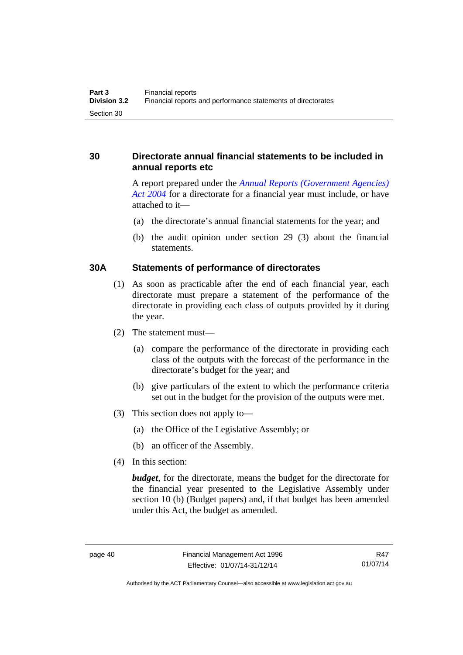## **30 Directorate annual financial statements to be included in annual reports etc**

A report prepared under the *[Annual Reports \(Government Agencies\)](http://www.legislation.act.gov.au/a/2004-8)  [Act 2004](http://www.legislation.act.gov.au/a/2004-8)* for a directorate for a financial year must include, or have attached to it—

- (a) the directorate's annual financial statements for the year; and
- (b) the audit opinion under section 29 (3) about the financial statements.

#### **30A Statements of performance of directorates**

- (1) As soon as practicable after the end of each financial year, each directorate must prepare a statement of the performance of the directorate in providing each class of outputs provided by it during the year.
- (2) The statement must—
	- (a) compare the performance of the directorate in providing each class of the outputs with the forecast of the performance in the directorate's budget for the year; and
	- (b) give particulars of the extent to which the performance criteria set out in the budget for the provision of the outputs were met.
- (3) This section does not apply to—
	- (a) the Office of the Legislative Assembly; or
	- (b) an officer of the Assembly.
- (4) In this section:

*budget*, for the directorate, means the budget for the directorate for the financial year presented to the Legislative Assembly under section 10 (b) (Budget papers) and, if that budget has been amended under this Act, the budget as amended.

R47 01/07/14

Authorised by the ACT Parliamentary Counsel—also accessible at www.legislation.act.gov.au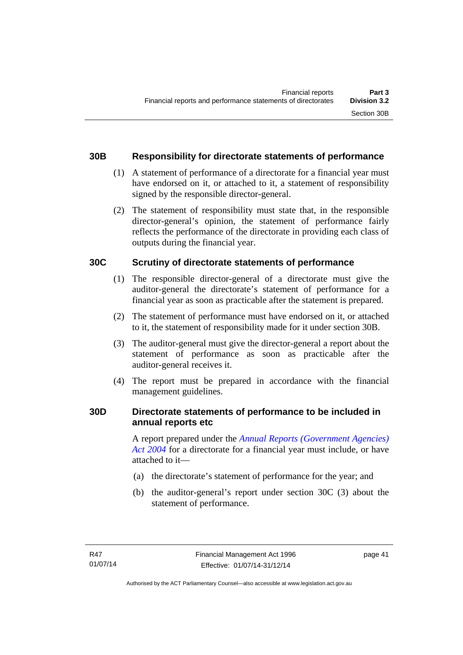## **30B Responsibility for directorate statements of performance**

- (1) A statement of performance of a directorate for a financial year must have endorsed on it, or attached to it, a statement of responsibility signed by the responsible director-general.
- (2) The statement of responsibility must state that, in the responsible director-general's opinion, the statement of performance fairly reflects the performance of the directorate in providing each class of outputs during the financial year.

### **30C Scrutiny of directorate statements of performance**

- (1) The responsible director-general of a directorate must give the auditor-general the directorate's statement of performance for a financial year as soon as practicable after the statement is prepared.
- (2) The statement of performance must have endorsed on it, or attached to it, the statement of responsibility made for it under section 30B.
- (3) The auditor-general must give the director-general a report about the statement of performance as soon as practicable after the auditor-general receives it.
- (4) The report must be prepared in accordance with the financial management guidelines.

## **30D Directorate statements of performance to be included in annual reports etc**

A report prepared under the *[Annual Reports \(Government Agencies\)](http://www.legislation.act.gov.au/a/2004-8)  [Act 2004](http://www.legislation.act.gov.au/a/2004-8)* for a directorate for a financial year must include, or have attached to it—

- (a) the directorate's statement of performance for the year; and
- (b) the auditor-general's report under section 30C (3) about the statement of performance.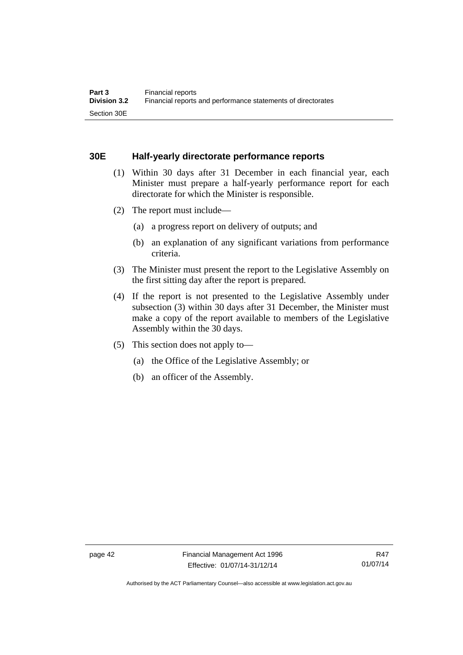#### **30E Half-yearly directorate performance reports**

- (1) Within 30 days after 31 December in each financial year, each Minister must prepare a half-yearly performance report for each directorate for which the Minister is responsible.
- (2) The report must include—
	- (a) a progress report on delivery of outputs; and
	- (b) an explanation of any significant variations from performance criteria.
- (3) The Minister must present the report to the Legislative Assembly on the first sitting day after the report is prepared.
- (4) If the report is not presented to the Legislative Assembly under subsection (3) within 30 days after 31 December, the Minister must make a copy of the report available to members of the Legislative Assembly within the 30 days.
- (5) This section does not apply to—
	- (a) the Office of the Legislative Assembly; or
	- (b) an officer of the Assembly.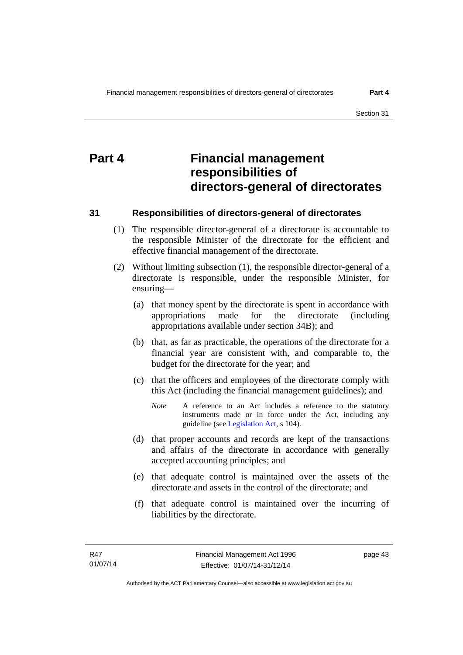# **Part 4 Financial management responsibilities of directors-general of directorates**

#### **31 Responsibilities of directors-general of directorates**

- (1) The responsible director-general of a directorate is accountable to the responsible Minister of the directorate for the efficient and effective financial management of the directorate.
- (2) Without limiting subsection (1), the responsible director-general of a directorate is responsible, under the responsible Minister, for ensuring—
	- (a) that money spent by the directorate is spent in accordance with appropriations made for the directorate (including appropriations available under section 34B); and
	- (b) that, as far as practicable, the operations of the directorate for a financial year are consistent with, and comparable to, the budget for the directorate for the year; and
	- (c) that the officers and employees of the directorate comply with this Act (including the financial management guidelines); and
		- *Note* A reference to an Act includes a reference to the statutory instruments made or in force under the Act, including any guideline (see [Legislation Act](http://www.legislation.act.gov.au/a/2001-14), s 104).
	- (d) that proper accounts and records are kept of the transactions and affairs of the directorate in accordance with generally accepted accounting principles; and
	- (e) that adequate control is maintained over the assets of the directorate and assets in the control of the directorate; and
	- (f) that adequate control is maintained over the incurring of liabilities by the directorate.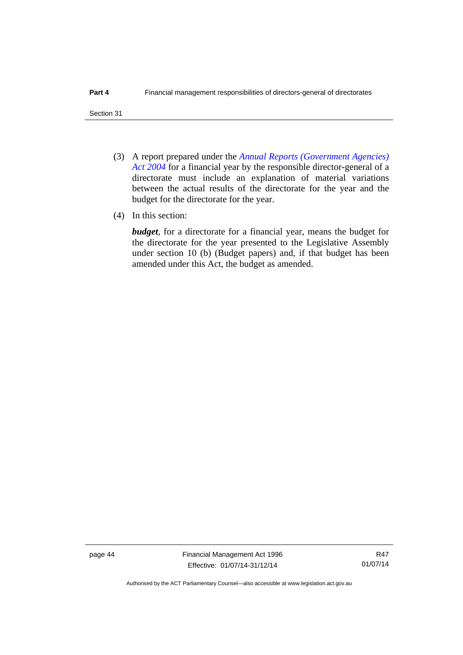- (3) A report prepared under the *[Annual Reports \(Government Agencies\)](http://www.legislation.act.gov.au/a/2004-8)  [Act 2004](http://www.legislation.act.gov.au/a/2004-8)* for a financial year by the responsible director-general of a directorate must include an explanation of material variations between the actual results of the directorate for the year and the budget for the directorate for the year.
- (4) In this section:

*budget*, for a directorate for a financial year, means the budget for the directorate for the year presented to the Legislative Assembly under section 10 (b) (Budget papers) and, if that budget has been amended under this Act, the budget as amended.

page 44 Financial Management Act 1996 Effective: 01/07/14-31/12/14

R47 01/07/14

Authorised by the ACT Parliamentary Counsel—also accessible at www.legislation.act.gov.au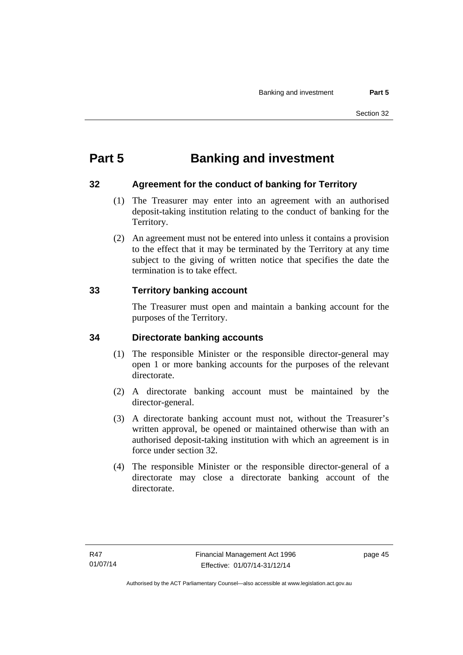# **Part 5 Banking and investment**

## **32 Agreement for the conduct of banking for Territory**

- (1) The Treasurer may enter into an agreement with an authorised deposit-taking institution relating to the conduct of banking for the Territory.
- (2) An agreement must not be entered into unless it contains a provision to the effect that it may be terminated by the Territory at any time subject to the giving of written notice that specifies the date the termination is to take effect.

## **33 Territory banking account**

The Treasurer must open and maintain a banking account for the purposes of the Territory.

## **34 Directorate banking accounts**

- (1) The responsible Minister or the responsible director-general may open 1 or more banking accounts for the purposes of the relevant directorate.
- (2) A directorate banking account must be maintained by the director-general.
- (3) A directorate banking account must not, without the Treasurer's written approval, be opened or maintained otherwise than with an authorised deposit-taking institution with which an agreement is in force under section 32.
- (4) The responsible Minister or the responsible director-general of a directorate may close a directorate banking account of the directorate.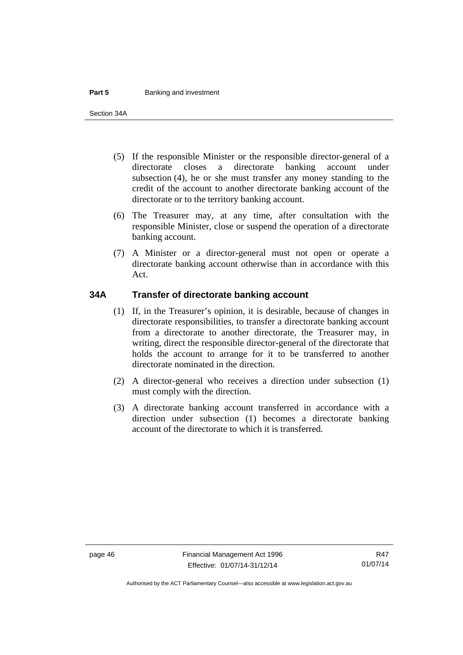#### **Part 5 Banking and investment**

Section 34A

- (5) If the responsible Minister or the responsible director-general of a directorate closes a directorate banking account under subsection (4), he or she must transfer any money standing to the credit of the account to another directorate banking account of the directorate or to the territory banking account.
- (6) The Treasurer may, at any time, after consultation with the responsible Minister, close or suspend the operation of a directorate banking account.
- (7) A Minister or a director-general must not open or operate a directorate banking account otherwise than in accordance with this Act.

#### **34A Transfer of directorate banking account**

- (1) If, in the Treasurer's opinion, it is desirable, because of changes in directorate responsibilities, to transfer a directorate banking account from a directorate to another directorate, the Treasurer may, in writing, direct the responsible director-general of the directorate that holds the account to arrange for it to be transferred to another directorate nominated in the direction.
- (2) A director-general who receives a direction under subsection (1) must comply with the direction.
- (3) A directorate banking account transferred in accordance with a direction under subsection (1) becomes a directorate banking account of the directorate to which it is transferred.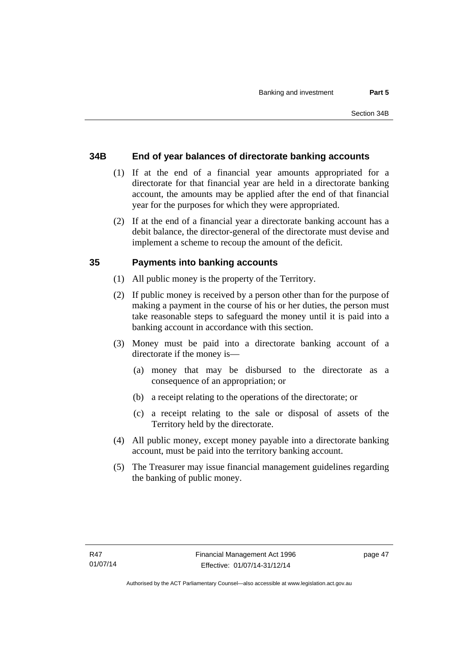## **34B End of year balances of directorate banking accounts**

- (1) If at the end of a financial year amounts appropriated for a directorate for that financial year are held in a directorate banking account, the amounts may be applied after the end of that financial year for the purposes for which they were appropriated.
- (2) If at the end of a financial year a directorate banking account has a debit balance, the director-general of the directorate must devise and implement a scheme to recoup the amount of the deficit.

### **35 Payments into banking accounts**

- (1) All public money is the property of the Territory.
- (2) If public money is received by a person other than for the purpose of making a payment in the course of his or her duties, the person must take reasonable steps to safeguard the money until it is paid into a banking account in accordance with this section.
- (3) Money must be paid into a directorate banking account of a directorate if the money is—
	- (a) money that may be disbursed to the directorate as a consequence of an appropriation; or
	- (b) a receipt relating to the operations of the directorate; or
	- (c) a receipt relating to the sale or disposal of assets of the Territory held by the directorate.
- (4) All public money, except money payable into a directorate banking account, must be paid into the territory banking account.
- (5) The Treasurer may issue financial management guidelines regarding the banking of public money.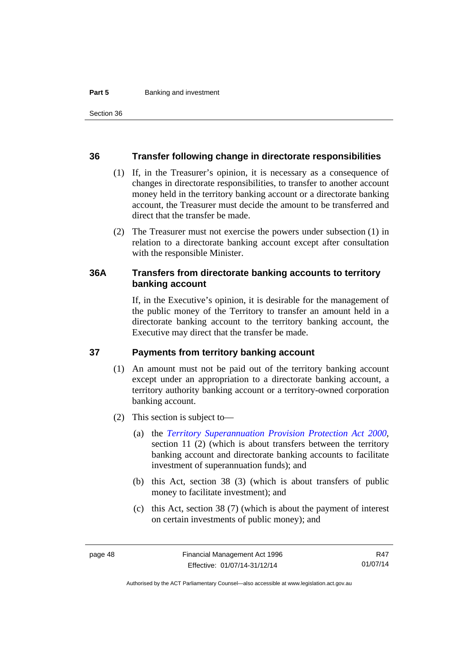#### **36 Transfer following change in directorate responsibilities**

- (1) If, in the Treasurer's opinion, it is necessary as a consequence of changes in directorate responsibilities, to transfer to another account money held in the territory banking account or a directorate banking account, the Treasurer must decide the amount to be transferred and direct that the transfer be made.
- (2) The Treasurer must not exercise the powers under subsection (1) in relation to a directorate banking account except after consultation with the responsible Minister.

#### **36A Transfers from directorate banking accounts to territory banking account**

If, in the Executive's opinion, it is desirable for the management of the public money of the Territory to transfer an amount held in a directorate banking account to the territory banking account, the Executive may direct that the transfer be made.

#### **37 Payments from territory banking account**

- (1) An amount must not be paid out of the territory banking account except under an appropriation to a directorate banking account, a territory authority banking account or a territory-owned corporation banking account.
- (2) This section is subject to—
	- (a) the *[Territory Superannuation Provision Protection Act 2000](http://www.legislation.act.gov.au/a/2000-21)*, section 11 (2) (which is about transfers between the territory banking account and directorate banking accounts to facilitate investment of superannuation funds); and
	- (b) this Act, section 38 (3) (which is about transfers of public money to facilitate investment); and
	- (c) this Act, section 38 (7) (which is about the payment of interest on certain investments of public money); and

R47 01/07/14

Authorised by the ACT Parliamentary Counsel—also accessible at www.legislation.act.gov.au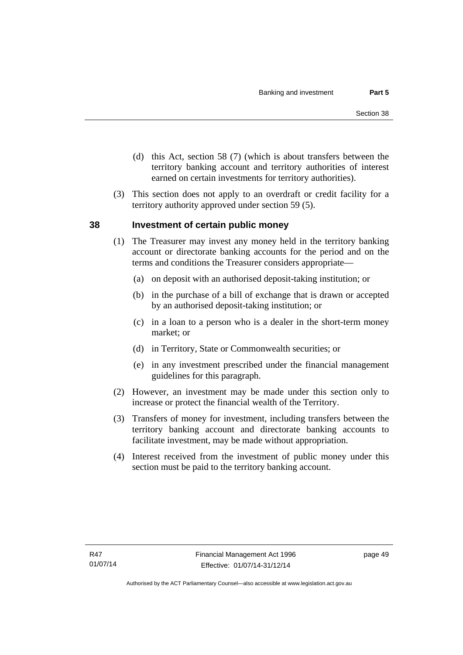- (d) this Act, section 58 (7) (which is about transfers between the territory banking account and territory authorities of interest earned on certain investments for territory authorities).
- (3) This section does not apply to an overdraft or credit facility for a territory authority approved under section 59 (5).

### **38 Investment of certain public money**

- (1) The Treasurer may invest any money held in the territory banking account or directorate banking accounts for the period and on the terms and conditions the Treasurer considers appropriate—
	- (a) on deposit with an authorised deposit-taking institution; or
	- (b) in the purchase of a bill of exchange that is drawn or accepted by an authorised deposit-taking institution; or
	- (c) in a loan to a person who is a dealer in the short-term money market; or
	- (d) in Territory, State or Commonwealth securities; or
	- (e) in any investment prescribed under the financial management guidelines for this paragraph.
- (2) However, an investment may be made under this section only to increase or protect the financial wealth of the Territory.
- (3) Transfers of money for investment, including transfers between the territory banking account and directorate banking accounts to facilitate investment, may be made without appropriation.
- (4) Interest received from the investment of public money under this section must be paid to the territory banking account.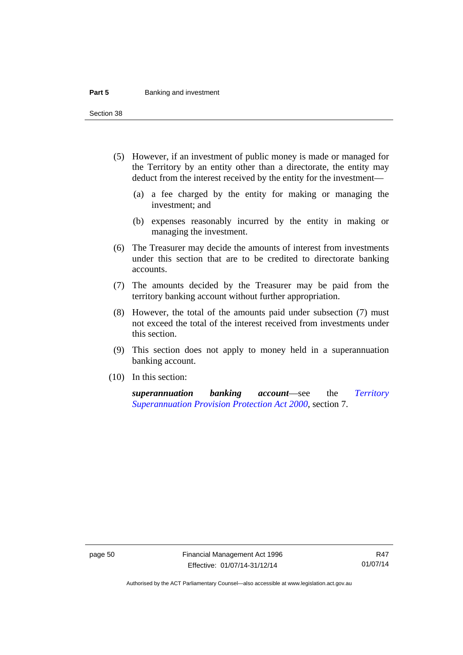#### **Part 5 Banking and investment**

Section 38

- (5) However, if an investment of public money is made or managed for the Territory by an entity other than a directorate, the entity may deduct from the interest received by the entity for the investment—
	- (a) a fee charged by the entity for making or managing the investment; and
	- (b) expenses reasonably incurred by the entity in making or managing the investment.
- (6) The Treasurer may decide the amounts of interest from investments under this section that are to be credited to directorate banking accounts.
- (7) The amounts decided by the Treasurer may be paid from the territory banking account without further appropriation.
- (8) However, the total of the amounts paid under subsection (7) must not exceed the total of the interest received from investments under this section.
- (9) This section does not apply to money held in a superannuation banking account.
- (10) In this section:

*superannuation banking account*—see the *[Territory](http://www.legislation.act.gov.au/a/2000-21)  [Superannuation Provision Protection Act 2000](http://www.legislation.act.gov.au/a/2000-21)*, section 7.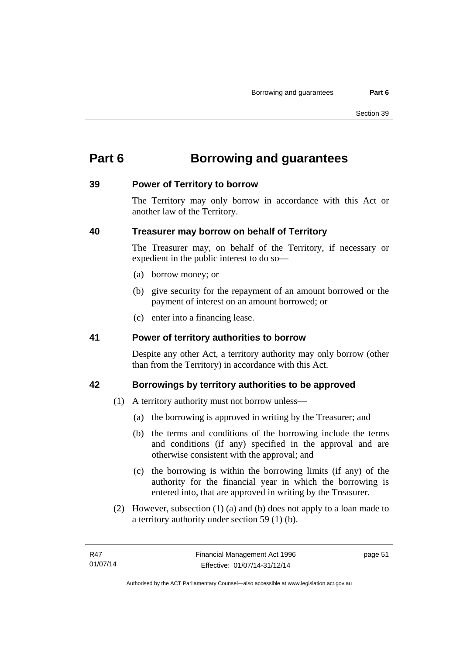# **Part 6 Borrowing and guarantees**

### **39 Power of Territory to borrow**

The Territory may only borrow in accordance with this Act or another law of the Territory.

## **40 Treasurer may borrow on behalf of Territory**

The Treasurer may, on behalf of the Territory, if necessary or expedient in the public interest to do so—

- (a) borrow money; or
- (b) give security for the repayment of an amount borrowed or the payment of interest on an amount borrowed; or
- (c) enter into a financing lease.

## **41 Power of territory authorities to borrow**

Despite any other Act, a territory authority may only borrow (other than from the Territory) in accordance with this Act.

## **42 Borrowings by territory authorities to be approved**

- (1) A territory authority must not borrow unless—
	- (a) the borrowing is approved in writing by the Treasurer; and
	- (b) the terms and conditions of the borrowing include the terms and conditions (if any) specified in the approval and are otherwise consistent with the approval; and
	- (c) the borrowing is within the borrowing limits (if any) of the authority for the financial year in which the borrowing is entered into, that are approved in writing by the Treasurer.
- (2) However, subsection (1) (a) and (b) does not apply to a loan made to a territory authority under section 59 (1) (b).

page 51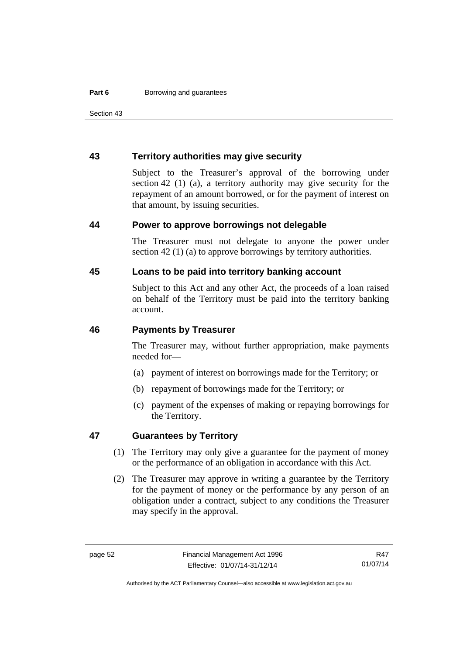Section 43

#### **43 Territory authorities may give security**

Subject to the Treasurer's approval of the borrowing under section 42 (1) (a), a territory authority may give security for the repayment of an amount borrowed, or for the payment of interest on that amount, by issuing securities.

#### **44 Power to approve borrowings not delegable**

The Treasurer must not delegate to anyone the power under section 42 (1) (a) to approve borrowings by territory authorities.

### **45 Loans to be paid into territory banking account**

Subject to this Act and any other Act, the proceeds of a loan raised on behalf of the Territory must be paid into the territory banking account.

#### **46 Payments by Treasurer**

The Treasurer may, without further appropriation, make payments needed for—

- (a) payment of interest on borrowings made for the Territory; or
- (b) repayment of borrowings made for the Territory; or
- (c) payment of the expenses of making or repaying borrowings for the Territory.

#### **47 Guarantees by Territory**

- (1) The Territory may only give a guarantee for the payment of money or the performance of an obligation in accordance with this Act.
- (2) The Treasurer may approve in writing a guarantee by the Territory for the payment of money or the performance by any person of an obligation under a contract, subject to any conditions the Treasurer may specify in the approval.

Authorised by the ACT Parliamentary Counsel—also accessible at www.legislation.act.gov.au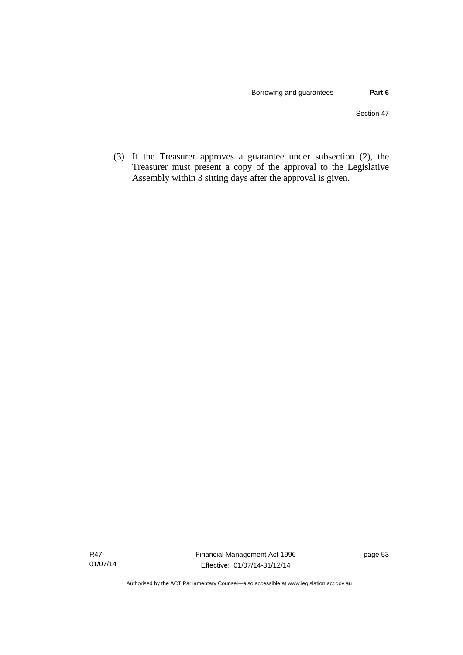(3) If the Treasurer approves a guarantee under subsection (2), the Treasurer must present a copy of the approval to the Legislative Assembly within 3 sitting days after the approval is given.

Authorised by the ACT Parliamentary Counsel—also accessible at www.legislation.act.gov.au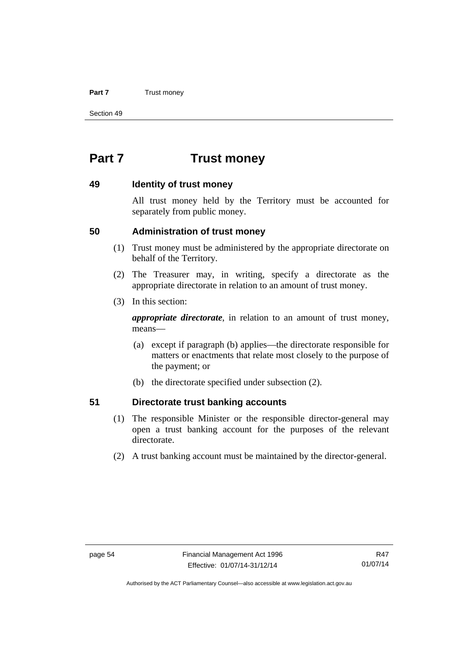#### **Part 7** Trust money

Section 49

# **Part 7 Trust money**

#### **49 Identity of trust money**

All trust money held by the Territory must be accounted for separately from public money.

#### **50 Administration of trust money**

- (1) Trust money must be administered by the appropriate directorate on behalf of the Territory.
- (2) The Treasurer may, in writing, specify a directorate as the appropriate directorate in relation to an amount of trust money.
- (3) In this section:

*appropriate directorate*, in relation to an amount of trust money, means—

- (a) except if paragraph (b) applies—the directorate responsible for matters or enactments that relate most closely to the purpose of the payment; or
- (b) the directorate specified under subsection (2).

#### **51 Directorate trust banking accounts**

- (1) The responsible Minister or the responsible director-general may open a trust banking account for the purposes of the relevant directorate.
- (2) A trust banking account must be maintained by the director-general.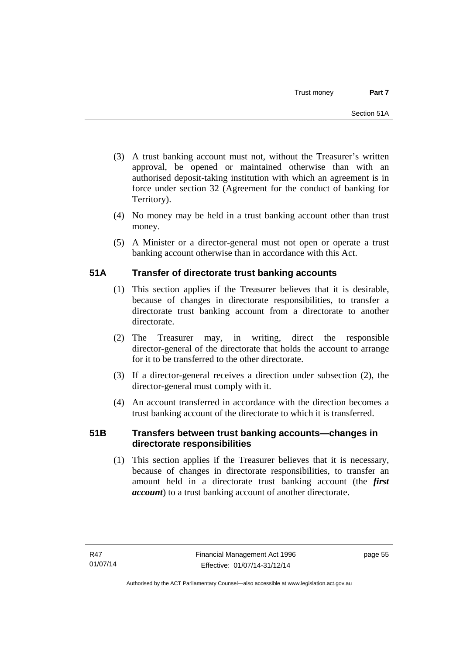- (3) A trust banking account must not, without the Treasurer's written approval, be opened or maintained otherwise than with an authorised deposit-taking institution with which an agreement is in force under section 32 (Agreement for the conduct of banking for Territory).
- (4) No money may be held in a trust banking account other than trust money.
- (5) A Minister or a director-general must not open or operate a trust banking account otherwise than in accordance with this Act.

## **51A Transfer of directorate trust banking accounts**

- (1) This section applies if the Treasurer believes that it is desirable, because of changes in directorate responsibilities, to transfer a directorate trust banking account from a directorate to another directorate.
- (2) The Treasurer may, in writing, direct the responsible director-general of the directorate that holds the account to arrange for it to be transferred to the other directorate.
- (3) If a director-general receives a direction under subsection (2), the director-general must comply with it.
- (4) An account transferred in accordance with the direction becomes a trust banking account of the directorate to which it is transferred.

## **51B Transfers between trust banking accounts—changes in directorate responsibilities**

 (1) This section applies if the Treasurer believes that it is necessary, because of changes in directorate responsibilities, to transfer an amount held in a directorate trust banking account (the *first account*) to a trust banking account of another directorate.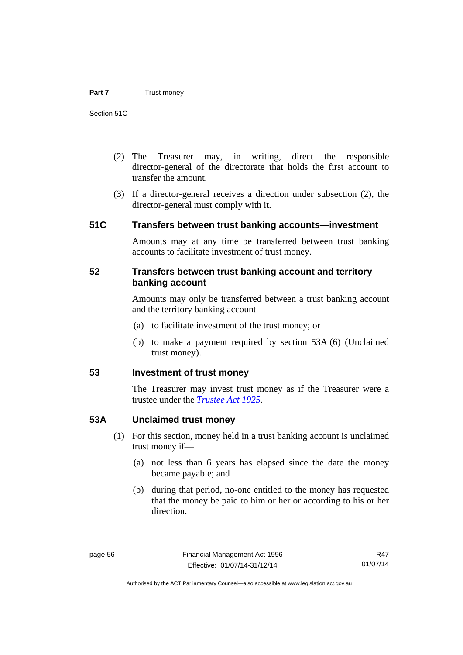- (2) The Treasurer may, in writing, direct the responsible director-general of the directorate that holds the first account to transfer the amount.
- (3) If a director-general receives a direction under subsection (2), the director-general must comply with it.

### **51C Transfers between trust banking accounts—investment**

Amounts may at any time be transferred between trust banking accounts to facilitate investment of trust money.

#### **52 Transfers between trust banking account and territory banking account**

Amounts may only be transferred between a trust banking account and the territory banking account—

- (a) to facilitate investment of the trust money; or
- (b) to make a payment required by section 53A (6) (Unclaimed trust money).

### **53 Investment of trust money**

The Treasurer may invest trust money as if the Treasurer were a trustee under the *[Trustee Act 1925](http://www.legislation.act.gov.au/a/1925-14).*

#### **53A Unclaimed trust money**

- (1) For this section, money held in a trust banking account is unclaimed trust money if—
	- (a) not less than 6 years has elapsed since the date the money became payable; and
	- (b) during that period, no-one entitled to the money has requested that the money be paid to him or her or according to his or her direction.

Authorised by the ACT Parliamentary Counsel—also accessible at www.legislation.act.gov.au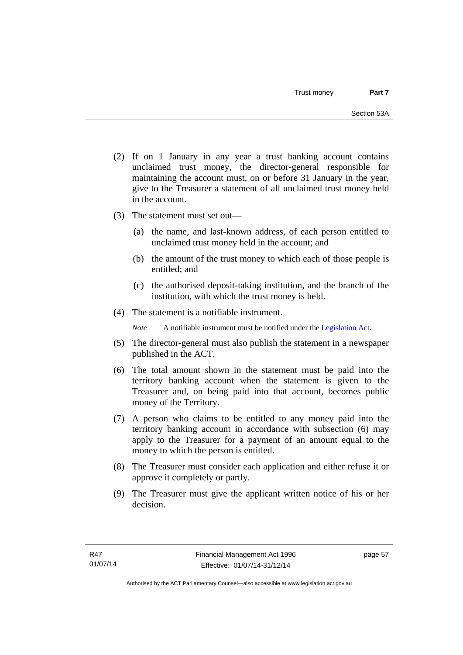- (2) If on 1 January in any year a trust banking account contains unclaimed trust money, the director-general responsible for maintaining the account must, on or before 31 January in the year, give to the Treasurer a statement of all unclaimed trust money held in the account.
- (3) The statement must set out—
	- (a) the name, and last-known address, of each person entitled to unclaimed trust money held in the account; and
	- (b) the amount of the trust money to which each of those people is entitled; and
	- (c) the authorised deposit-taking institution, and the branch of the institution, with which the trust money is held.
- (4) The statement is a notifiable instrument.

*Note* A notifiable instrument must be notified under the [Legislation Act](http://www.legislation.act.gov.au/a/2001-14).

- (5) The director-general must also publish the statement in a newspaper published in the ACT.
- (6) The total amount shown in the statement must be paid into the territory banking account when the statement is given to the Treasurer and, on being paid into that account, becomes public money of the Territory.
- (7) A person who claims to be entitled to any money paid into the territory banking account in accordance with subsection (6) may apply to the Treasurer for a payment of an amount equal to the money to which the person is entitled.
- (8) The Treasurer must consider each application and either refuse it or approve it completely or partly.
- (9) The Treasurer must give the applicant written notice of his or her decision.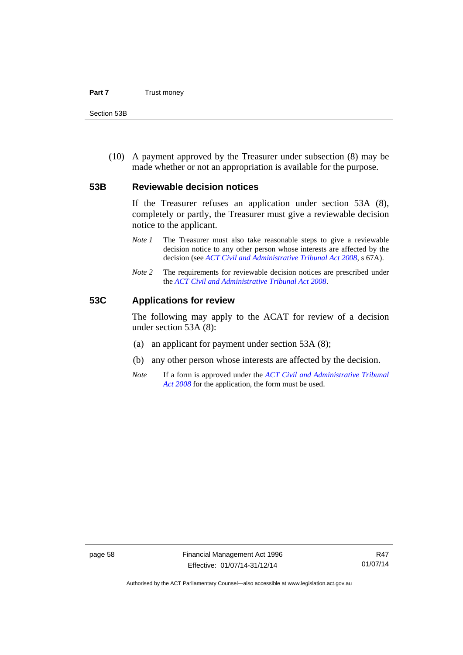#### **Part 7** Trust money

Section 53B

 (10) A payment approved by the Treasurer under subsection (8) may be made whether or not an appropriation is available for the purpose.

#### **53B Reviewable decision notices**

If the Treasurer refuses an application under section 53A (8), completely or partly, the Treasurer must give a reviewable decision notice to the applicant.

- *Note 1* The Treasurer must also take reasonable steps to give a reviewable decision notice to any other person whose interests are affected by the decision (see *[ACT Civil and Administrative Tribunal Act 2008](http://www.legislation.act.gov.au/a/2008-35)*, s 67A).
- *Note* 2 The requirements for reviewable decision notices are prescribed under the *[ACT Civil and Administrative Tribunal Act 2008](http://www.legislation.act.gov.au/a/2008-35)*.

#### **53C Applications for review**

The following may apply to the ACAT for review of a decision under section 53A (8):

- (a) an applicant for payment under section 53A (8);
- (b) any other person whose interests are affected by the decision.
- *Note* If a form is approved under the *[ACT Civil and Administrative Tribunal](http://www.legislation.act.gov.au/a/2008-35)  [Act 2008](http://www.legislation.act.gov.au/a/2008-35)* for the application, the form must be used.

Authorised by the ACT Parliamentary Counsel—also accessible at www.legislation.act.gov.au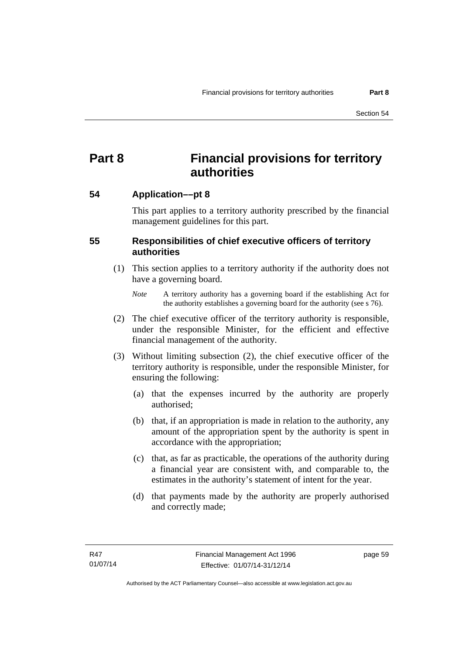# **Part 8 Financial provisions for territory authorities**

### **54 Application––pt 8**

This part applies to a territory authority prescribed by the financial management guidelines for this part.

## **55 Responsibilities of chief executive officers of territory authorities**

- (1) This section applies to a territory authority if the authority does not have a governing board.
	- *Note* A territory authority has a governing board if the establishing Act for the authority establishes a governing board for the authority (see s 76).
- (2) The chief executive officer of the territory authority is responsible, under the responsible Minister, for the efficient and effective financial management of the authority.
- (3) Without limiting subsection (2), the chief executive officer of the territory authority is responsible, under the responsible Minister, for ensuring the following:
	- (a) that the expenses incurred by the authority are properly authorised;
	- (b) that, if an appropriation is made in relation to the authority, any amount of the appropriation spent by the authority is spent in accordance with the appropriation;
	- (c) that, as far as practicable, the operations of the authority during a financial year are consistent with, and comparable to, the estimates in the authority's statement of intent for the year.
	- (d) that payments made by the authority are properly authorised and correctly made;

page 59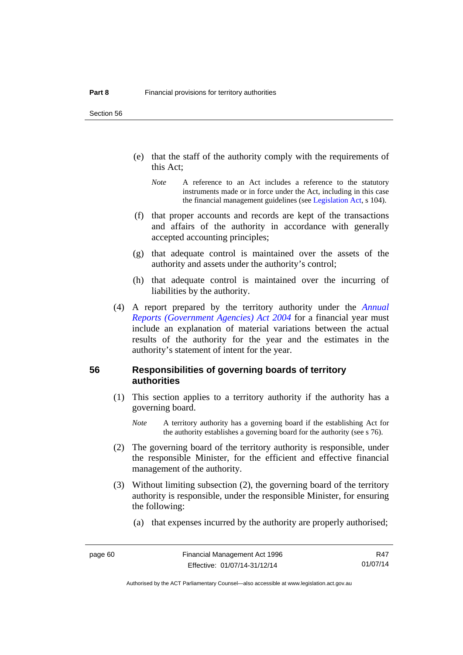Section 56

- (e) that the staff of the authority comply with the requirements of this Act;
	- *Note* A reference to an Act includes a reference to the statutory instruments made or in force under the Act, including in this case the financial management guidelines (see [Legislation Act,](http://www.legislation.act.gov.au/a/2001-14) s 104).
- (f) that proper accounts and records are kept of the transactions and affairs of the authority in accordance with generally accepted accounting principles;
- (g) that adequate control is maintained over the assets of the authority and assets under the authority's control;
- (h) that adequate control is maintained over the incurring of liabilities by the authority.
- (4) A report prepared by the territory authority under the *[Annual](http://www.legislation.act.gov.au/a/2004-8)  [Reports \(Government Agencies\) Act 2004](http://www.legislation.act.gov.au/a/2004-8)* for a financial year must include an explanation of material variations between the actual results of the authority for the year and the estimates in the authority's statement of intent for the year.

#### **56 Responsibilities of governing boards of territory authorities**

- (1) This section applies to a territory authority if the authority has a governing board.
	- *Note* A territory authority has a governing board if the establishing Act for the authority establishes a governing board for the authority (see s 76).
- (2) The governing board of the territory authority is responsible, under the responsible Minister, for the efficient and effective financial management of the authority.
- (3) Without limiting subsection (2), the governing board of the territory authority is responsible, under the responsible Minister, for ensuring the following:
	- (a) that expenses incurred by the authority are properly authorised;

R47 01/07/14

Authorised by the ACT Parliamentary Counsel—also accessible at www.legislation.act.gov.au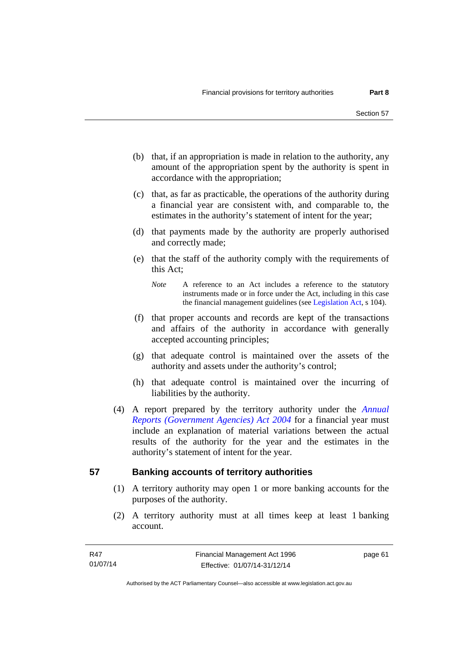- (b) that, if an appropriation is made in relation to the authority, any amount of the appropriation spent by the authority is spent in accordance with the appropriation;
- (c) that, as far as practicable, the operations of the authority during a financial year are consistent with, and comparable to, the estimates in the authority's statement of intent for the year;
- (d) that payments made by the authority are properly authorised and correctly made;
- (e) that the staff of the authority comply with the requirements of this Act;
	- *Note* A reference to an Act includes a reference to the statutory instruments made or in force under the Act, including in this case the financial management guidelines (see [Legislation Act,](http://www.legislation.act.gov.au/a/2001-14) s 104).
- (f) that proper accounts and records are kept of the transactions and affairs of the authority in accordance with generally accepted accounting principles;
- (g) that adequate control is maintained over the assets of the authority and assets under the authority's control;
- (h) that adequate control is maintained over the incurring of liabilities by the authority.
- (4) A report prepared by the territory authority under the *[Annual](http://www.legislation.act.gov.au/a/2004-8)  [Reports \(Government Agencies\) Act 2004](http://www.legislation.act.gov.au/a/2004-8)* for a financial year must include an explanation of material variations between the actual results of the authority for the year and the estimates in the authority's statement of intent for the year.

## **57 Banking accounts of territory authorities**

- (1) A territory authority may open 1 or more banking accounts for the purposes of the authority.
- (2) A territory authority must at all times keep at least 1 banking account.

page 61

Authorised by the ACT Parliamentary Counsel—also accessible at www.legislation.act.gov.au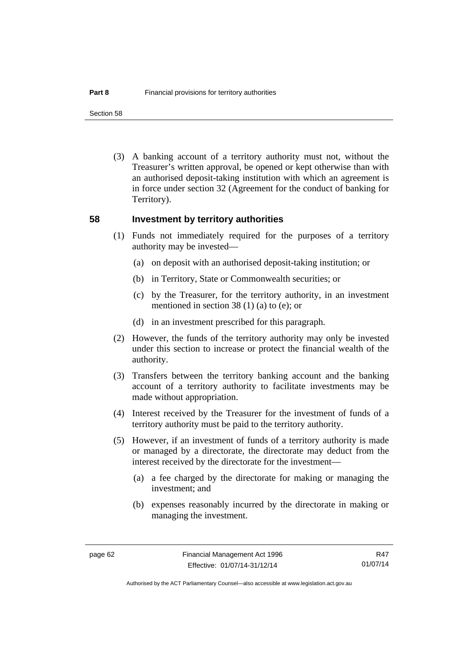Section 58

 (3) A banking account of a territory authority must not, without the Treasurer's written approval, be opened or kept otherwise than with an authorised deposit-taking institution with which an agreement is in force under section 32 (Agreement for the conduct of banking for Territory).

#### **58 Investment by territory authorities**

- (1) Funds not immediately required for the purposes of a territory authority may be invested—
	- (a) on deposit with an authorised deposit-taking institution; or
	- (b) in Territory, State or Commonwealth securities; or
	- (c) by the Treasurer, for the territory authority, in an investment mentioned in section 38 (1) (a) to (e); or
	- (d) in an investment prescribed for this paragraph.
- (2) However, the funds of the territory authority may only be invested under this section to increase or protect the financial wealth of the authority.
- (3) Transfers between the territory banking account and the banking account of a territory authority to facilitate investments may be made without appropriation.
- (4) Interest received by the Treasurer for the investment of funds of a territory authority must be paid to the territory authority.
- (5) However, if an investment of funds of a territory authority is made or managed by a directorate, the directorate may deduct from the interest received by the directorate for the investment—
	- (a) a fee charged by the directorate for making or managing the investment; and
	- (b) expenses reasonably incurred by the directorate in making or managing the investment.

R47 01/07/14

Authorised by the ACT Parliamentary Counsel—also accessible at www.legislation.act.gov.au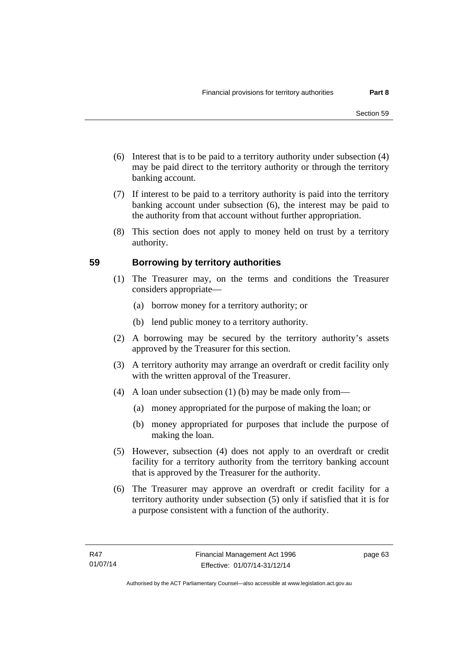- (6) Interest that is to be paid to a territory authority under subsection (4) may be paid direct to the territory authority or through the territory banking account.
- (7) If interest to be paid to a territory authority is paid into the territory banking account under subsection (6), the interest may be paid to the authority from that account without further appropriation.
- (8) This section does not apply to money held on trust by a territory authority.

## **59 Borrowing by territory authorities**

- (1) The Treasurer may, on the terms and conditions the Treasurer considers appropriate—
	- (a) borrow money for a territory authority; or
	- (b) lend public money to a territory authority.
- (2) A borrowing may be secured by the territory authority's assets approved by the Treasurer for this section.
- (3) A territory authority may arrange an overdraft or credit facility only with the written approval of the Treasurer.
- (4) A loan under subsection (1) (b) may be made only from—
	- (a) money appropriated for the purpose of making the loan; or
	- (b) money appropriated for purposes that include the purpose of making the loan.
- (5) However, subsection (4) does not apply to an overdraft or credit facility for a territory authority from the territory banking account that is approved by the Treasurer for the authority.
- (6) The Treasurer may approve an overdraft or credit facility for a territory authority under subsection (5) only if satisfied that it is for a purpose consistent with a function of the authority.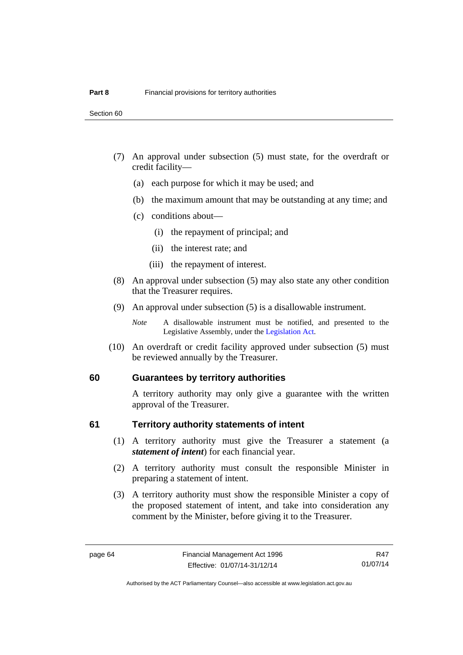- (7) An approval under subsection (5) must state, for the overdraft or credit facility—
	- (a) each purpose for which it may be used; and
	- (b) the maximum amount that may be outstanding at any time; and
	- (c) conditions about—
		- (i) the repayment of principal; and
		- (ii) the interest rate; and
		- (iii) the repayment of interest.
- (8) An approval under subsection (5) may also state any other condition that the Treasurer requires.
- (9) An approval under subsection (5) is a disallowable instrument.

 (10) An overdraft or credit facility approved under subsection (5) must be reviewed annually by the Treasurer.

#### **60 Guarantees by territory authorities**

A territory authority may only give a guarantee with the written approval of the Treasurer.

#### **61 Territory authority statements of intent**

- (1) A territory authority must give the Treasurer a statement (a *statement of intent*) for each financial year.
- (2) A territory authority must consult the responsible Minister in preparing a statement of intent.
- (3) A territory authority must show the responsible Minister a copy of the proposed statement of intent, and take into consideration any comment by the Minister, before giving it to the Treasurer.

*Note* A disallowable instrument must be notified, and presented to the Legislative Assembly, under the [Legislation Act.](http://www.legislation.act.gov.au/a/2001-14)

R47 01/07/14

Authorised by the ACT Parliamentary Counsel—also accessible at www.legislation.act.gov.au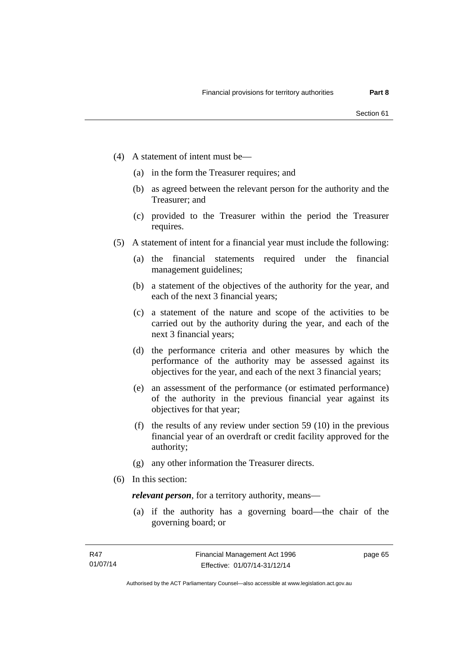- (4) A statement of intent must be—
	- (a) in the form the Treasurer requires; and
	- (b) as agreed between the relevant person for the authority and the Treasurer; and
	- (c) provided to the Treasurer within the period the Treasurer requires.
- (5) A statement of intent for a financial year must include the following:
	- (a) the financial statements required under the financial management guidelines;
	- (b) a statement of the objectives of the authority for the year, and each of the next 3 financial years;
	- (c) a statement of the nature and scope of the activities to be carried out by the authority during the year, and each of the next 3 financial years;
	- (d) the performance criteria and other measures by which the performance of the authority may be assessed against its objectives for the year, and each of the next 3 financial years;
	- (e) an assessment of the performance (or estimated performance) of the authority in the previous financial year against its objectives for that year;
	- (f) the results of any review under section 59 (10) in the previous financial year of an overdraft or credit facility approved for the authority;
	- (g) any other information the Treasurer directs.
- (6) In this section:

*relevant person*, for a territory authority, means—

 (a) if the authority has a governing board—the chair of the governing board; or

page 65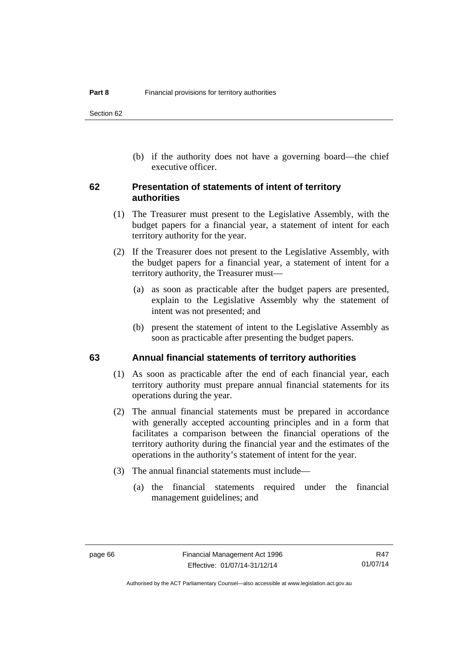(b) if the authority does not have a governing board—the chief executive officer.

## **62 Presentation of statements of intent of territory authorities**

- (1) The Treasurer must present to the Legislative Assembly, with the budget papers for a financial year, a statement of intent for each territory authority for the year.
- (2) If the Treasurer does not present to the Legislative Assembly, with the budget papers for a financial year, a statement of intent for a territory authority, the Treasurer must—
	- (a) as soon as practicable after the budget papers are presented, explain to the Legislative Assembly why the statement of intent was not presented; and
	- (b) present the statement of intent to the Legislative Assembly as soon as practicable after presenting the budget papers.

## **63 Annual financial statements of territory authorities**

- (1) As soon as practicable after the end of each financial year, each territory authority must prepare annual financial statements for its operations during the year.
- (2) The annual financial statements must be prepared in accordance with generally accepted accounting principles and in a form that facilitates a comparison between the financial operations of the territory authority during the financial year and the estimates of the operations in the authority's statement of intent for the year.
- (3) The annual financial statements must include—
	- (a) the financial statements required under the financial management guidelines; and

Authorised by the ACT Parliamentary Counsel—also accessible at www.legislation.act.gov.au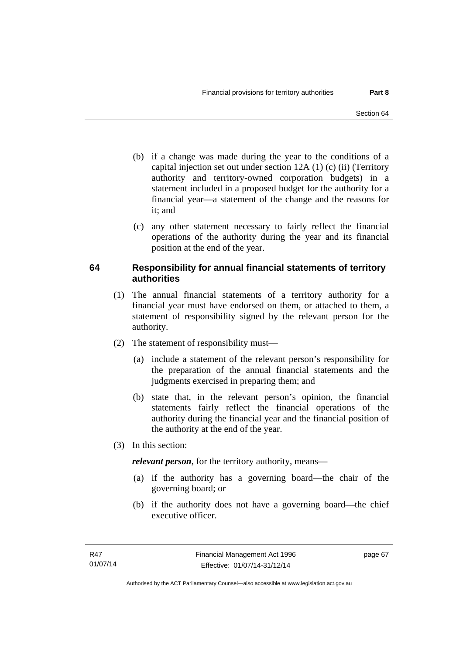- (b) if a change was made during the year to the conditions of a capital injection set out under section 12A (1) (c) (ii) (Territory authority and territory-owned corporation budgets) in a statement included in a proposed budget for the authority for a financial year—a statement of the change and the reasons for it: and
- (c) any other statement necessary to fairly reflect the financial operations of the authority during the year and its financial position at the end of the year.

## **64 Responsibility for annual financial statements of territory authorities**

- (1) The annual financial statements of a territory authority for a financial year must have endorsed on them, or attached to them, a statement of responsibility signed by the relevant person for the authority.
- (2) The statement of responsibility must—
	- (a) include a statement of the relevant person's responsibility for the preparation of the annual financial statements and the judgments exercised in preparing them; and
	- (b) state that, in the relevant person's opinion, the financial statements fairly reflect the financial operations of the authority during the financial year and the financial position of the authority at the end of the year.
- (3) In this section:

*relevant person*, for the territory authority, means—

- (a) if the authority has a governing board—the chair of the governing board; or
- (b) if the authority does not have a governing board—the chief executive officer.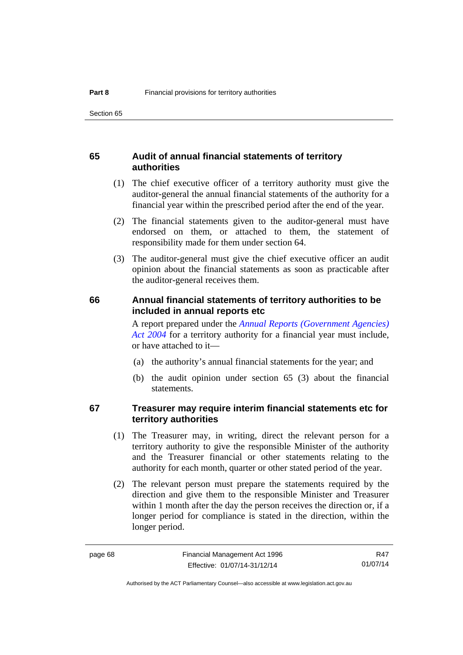## **65 Audit of annual financial statements of territory authorities**

- (1) The chief executive officer of a territory authority must give the auditor-general the annual financial statements of the authority for a financial year within the prescribed period after the end of the year.
- (2) The financial statements given to the auditor-general must have endorsed on them, or attached to them, the statement of responsibility made for them under section 64.
- (3) The auditor-general must give the chief executive officer an audit opinion about the financial statements as soon as practicable after the auditor-general receives them.

## **66 Annual financial statements of territory authorities to be included in annual reports etc**

A report prepared under the *[Annual Reports \(Government Agencies\)](http://www.legislation.act.gov.au/a/2004-8)  [Act 2004](http://www.legislation.act.gov.au/a/2004-8)* for a territory authority for a financial year must include, or have attached to it—

- (a) the authority's annual financial statements for the year; and
- (b) the audit opinion under section 65 (3) about the financial statements.

## **67 Treasurer may require interim financial statements etc for territory authorities**

- (1) The Treasurer may, in writing, direct the relevant person for a territory authority to give the responsible Minister of the authority and the Treasurer financial or other statements relating to the authority for each month, quarter or other stated period of the year.
- (2) The relevant person must prepare the statements required by the direction and give them to the responsible Minister and Treasurer within 1 month after the day the person receives the direction or, if a longer period for compliance is stated in the direction, within the longer period.

R47 01/07/14

Authorised by the ACT Parliamentary Counsel—also accessible at www.legislation.act.gov.au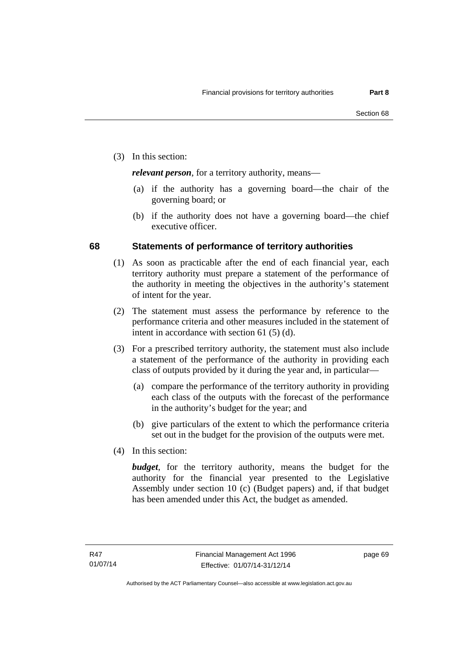(3) In this section:

*relevant person*, for a territory authority, means—

- (a) if the authority has a governing board—the chair of the governing board; or
- (b) if the authority does not have a governing board—the chief executive officer.

## **68 Statements of performance of territory authorities**

- (1) As soon as practicable after the end of each financial year, each territory authority must prepare a statement of the performance of the authority in meeting the objectives in the authority's statement of intent for the year.
- (2) The statement must assess the performance by reference to the performance criteria and other measures included in the statement of intent in accordance with section 61 (5) (d).
- (3) For a prescribed territory authority, the statement must also include a statement of the performance of the authority in providing each class of outputs provided by it during the year and, in particular—
	- (a) compare the performance of the territory authority in providing each class of the outputs with the forecast of the performance in the authority's budget for the year; and
	- (b) give particulars of the extent to which the performance criteria set out in the budget for the provision of the outputs were met.
- (4) In this section:

*budget*, for the territory authority, means the budget for the authority for the financial year presented to the Legislative Assembly under section 10 (c) (Budget papers) and, if that budget has been amended under this Act, the budget as amended.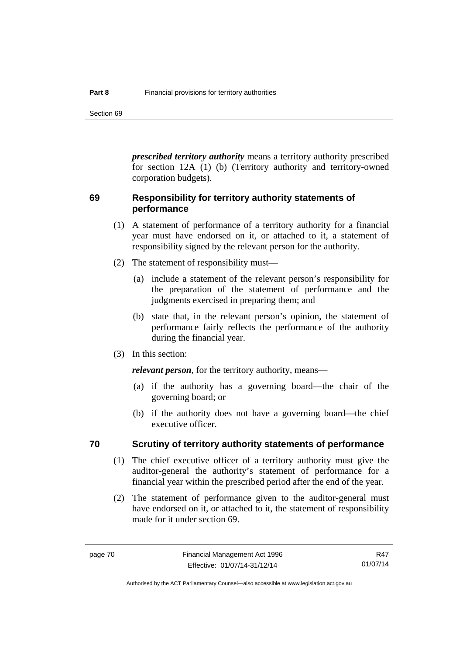Section 69

*prescribed territory authority* means a territory authority prescribed for section 12A (1) (b) (Territory authority and territory-owned corporation budgets).

## **69 Responsibility for territory authority statements of performance**

- (1) A statement of performance of a territory authority for a financial year must have endorsed on it, or attached to it, a statement of responsibility signed by the relevant person for the authority.
- (2) The statement of responsibility must—
	- (a) include a statement of the relevant person's responsibility for the preparation of the statement of performance and the judgments exercised in preparing them; and
	- (b) state that, in the relevant person's opinion, the statement of performance fairly reflects the performance of the authority during the financial year.
- (3) In this section:

*relevant person*, for the territory authority, means—

- (a) if the authority has a governing board—the chair of the governing board; or
- (b) if the authority does not have a governing board—the chief executive officer.

#### **70 Scrutiny of territory authority statements of performance**

- (1) The chief executive officer of a territory authority must give the auditor-general the authority's statement of performance for a financial year within the prescribed period after the end of the year.
- (2) The statement of performance given to the auditor-general must have endorsed on it, or attached to it, the statement of responsibility made for it under section 69.

R47 01/07/14

Authorised by the ACT Parliamentary Counsel—also accessible at www.legislation.act.gov.au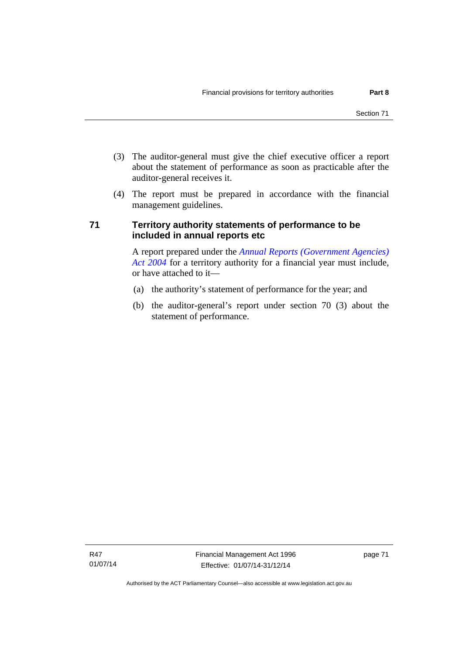- (3) The auditor-general must give the chief executive officer a report about the statement of performance as soon as practicable after the auditor-general receives it.
- (4) The report must be prepared in accordance with the financial management guidelines.

## **71 Territory authority statements of performance to be included in annual reports etc**

A report prepared under the *[Annual Reports \(Government Agencies\)](http://www.legislation.act.gov.au/a/2004-8)  [Act 2004](http://www.legislation.act.gov.au/a/2004-8)* for a territory authority for a financial year must include, or have attached to it—

- (a) the authority's statement of performance for the year; and
- (b) the auditor-general's report under section 70 (3) about the statement of performance.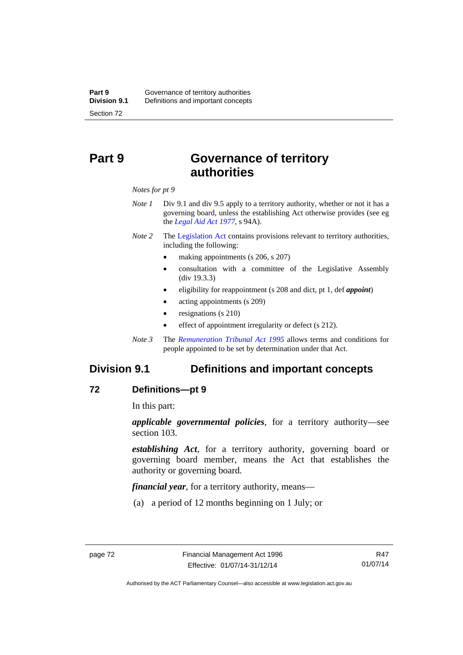# **Part 9 Governance of territory authorities**

*Notes for pt 9* 

- *Note 1* Div 9.1 and div 9.5 apply to a territory authority, whether or not it has a governing board, unless the establishing Act otherwise provides (see eg the *[Legal Aid Act 1977](http://www.legislation.act.gov.au/a/1977-31)*, s 94A).
- *Note 2* The [Legislation Act](http://www.legislation.act.gov.au/a/2001-14) contains provisions relevant to territory authorities, including the following:
	- making appointments (s 206, s 207)
	- consultation with a committee of the Legislative Assembly (div 19.3.3)
	- eligibility for reappointment (s 208 and dict, pt 1, def *appoint*)
	- acting appointments (s 209)
	- resignations (s 210)
	- effect of appointment irregularity or defect (s 212).
- *Note 3* The *[Remuneration Tribunal Act 1995](http://www.legislation.act.gov.au/a/1995-55)* allows terms and conditions for people appointed to be set by determination under that Act.

## **Division 9.1 Definitions and important concepts**

#### **72 Definitions—pt 9**

In this part:

*applicable governmental policies*, for a territory authority—see section 103.

*establishing Act*, for a territory authority, governing board or governing board member, means the Act that establishes the authority or governing board.

*financial year*, for a territory authority, means—

(a) a period of 12 months beginning on 1 July; or

Authorised by the ACT Parliamentary Counsel—also accessible at www.legislation.act.gov.au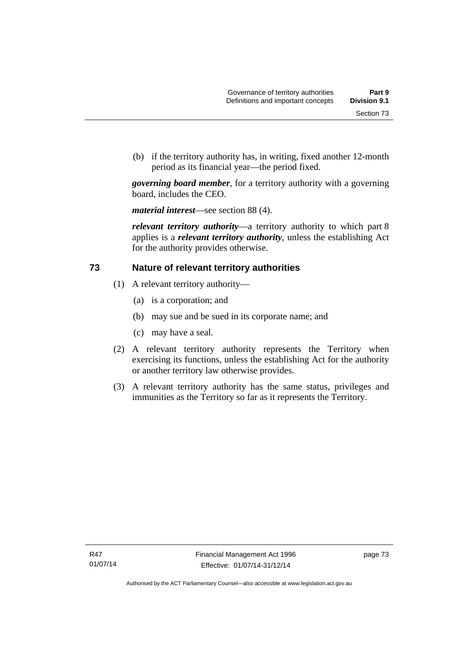(b) if the territory authority has, in writing, fixed another 12-month period as its financial year—the period fixed.

*governing board member*, for a territory authority with a governing board, includes the CEO.

*material interest*—see section 88 (4).

*relevant territory authority*—a territory authority to which part 8 applies is a *relevant territory authority*, unless the establishing Act for the authority provides otherwise.

## **73 Nature of relevant territory authorities**

- (1) A relevant territory authority—
	- (a) is a corporation; and
	- (b) may sue and be sued in its corporate name; and
	- (c) may have a seal.
- (2) A relevant territory authority represents the Territory when exercising its functions, unless the establishing Act for the authority or another territory law otherwise provides.
- (3) A relevant territory authority has the same status, privileges and immunities as the Territory so far as it represents the Territory.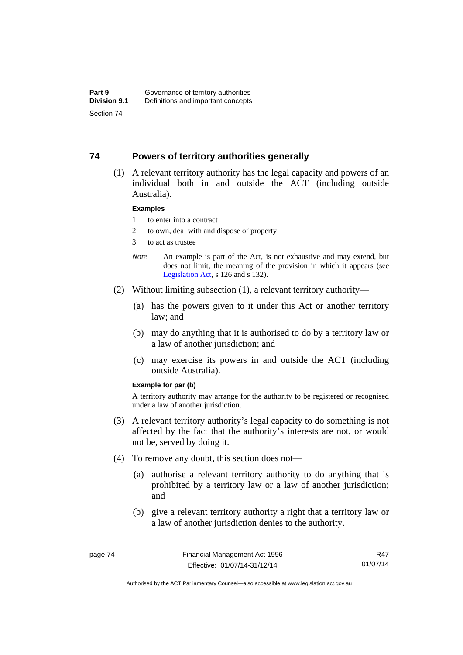## **74 Powers of territory authorities generally**

 (1) A relevant territory authority has the legal capacity and powers of an individual both in and outside the ACT (including outside Australia).

#### **Examples**

- 1 to enter into a contract
- 2 to own, deal with and dispose of property
- 3 to act as trustee
- *Note* An example is part of the Act, is not exhaustive and may extend, but does not limit, the meaning of the provision in which it appears (see [Legislation Act,](http://www.legislation.act.gov.au/a/2001-14) s 126 and s 132).
- (2) Without limiting subsection (1), a relevant territory authority—
	- (a) has the powers given to it under this Act or another territory law; and
	- (b) may do anything that it is authorised to do by a territory law or a law of another jurisdiction; and
	- (c) may exercise its powers in and outside the ACT (including outside Australia).

#### **Example for par (b)**

A territory authority may arrange for the authority to be registered or recognised under a law of another jurisdiction.

- (3) A relevant territory authority's legal capacity to do something is not affected by the fact that the authority's interests are not, or would not be, served by doing it.
- (4) To remove any doubt, this section does not—
	- (a) authorise a relevant territory authority to do anything that is prohibited by a territory law or a law of another jurisdiction; and
	- (b) give a relevant territory authority a right that a territory law or a law of another jurisdiction denies to the authority.

R47 01/07/14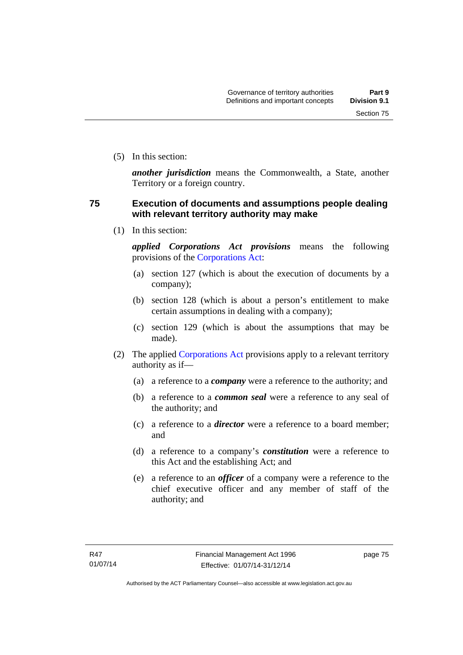(5) In this section:

*another jurisdiction* means the Commonwealth, a State, another Territory or a foreign country.

## **75 Execution of documents and assumptions people dealing with relevant territory authority may make**

(1) In this section:

*applied Corporations Act provisions* means the following provisions of the [Corporations Act:](http://www.comlaw.gov.au/Series/C2004A00818)

- (a) section 127 (which is about the execution of documents by a company);
- (b) section 128 (which is about a person's entitlement to make certain assumptions in dealing with a company);
- (c) section 129 (which is about the assumptions that may be made).
- (2) The applied [Corporations Act](http://www.comlaw.gov.au/Series/C2004A00818) provisions apply to a relevant territory authority as if—
	- (a) a reference to a *company* were a reference to the authority; and
	- (b) a reference to a *common seal* were a reference to any seal of the authority; and
	- (c) a reference to a *director* were a reference to a board member; and
	- (d) a reference to a company's *constitution* were a reference to this Act and the establishing Act; and
	- (e) a reference to an *officer* of a company were a reference to the chief executive officer and any member of staff of the authority; and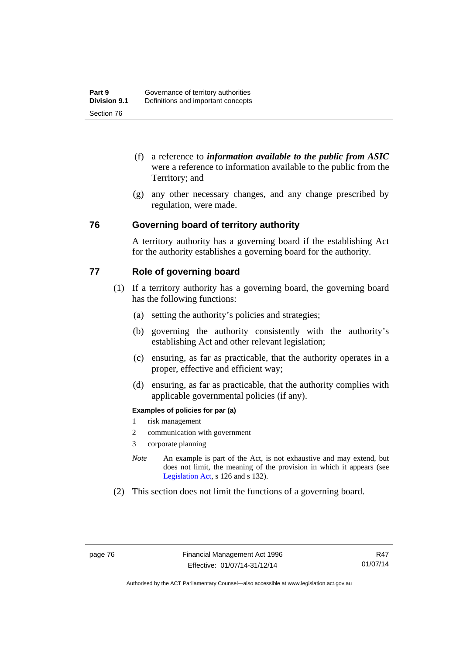- (f) a reference to *information available to the public from ASIC*  were a reference to information available to the public from the Territory; and
- (g) any other necessary changes, and any change prescribed by regulation, were made.

## **76 Governing board of territory authority**

A territory authority has a governing board if the establishing Act for the authority establishes a governing board for the authority.

## **77 Role of governing board**

- (1) If a territory authority has a governing board, the governing board has the following functions:
	- (a) setting the authority's policies and strategies;
	- (b) governing the authority consistently with the authority's establishing Act and other relevant legislation;
	- (c) ensuring, as far as practicable, that the authority operates in a proper, effective and efficient way;
	- (d) ensuring, as far as practicable, that the authority complies with applicable governmental policies (if any).

#### **Examples of policies for par (a)**

- 1 risk management
- 2 communication with government
- 3 corporate planning
- *Note* An example is part of the Act, is not exhaustive and may extend, but does not limit, the meaning of the provision in which it appears (see [Legislation Act,](http://www.legislation.act.gov.au/a/2001-14) s 126 and s 132).
- (2) This section does not limit the functions of a governing board.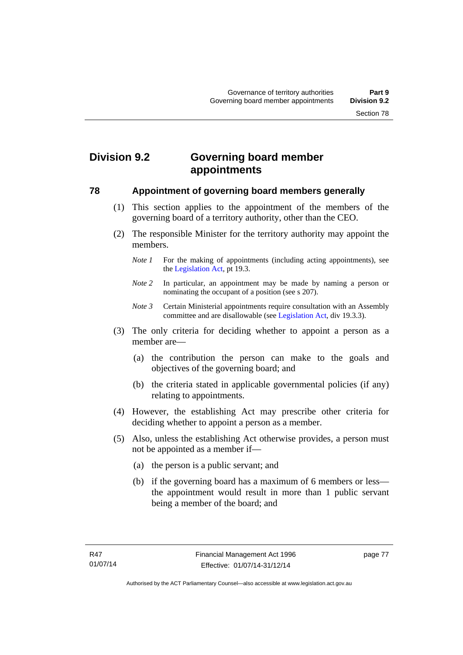# **Division 9.2 Governing board member appointments**

## **78 Appointment of governing board members generally**

- (1) This section applies to the appointment of the members of the governing board of a territory authority, other than the CEO.
- (2) The responsible Minister for the territory authority may appoint the members.
	- *Note 1* For the making of appointments (including acting appointments), see the [Legislation Act,](http://www.legislation.act.gov.au/a/2001-14) pt 19.3.
	- *Note 2* In particular, an appointment may be made by naming a person or nominating the occupant of a position (see s 207).
	- *Note 3* Certain Ministerial appointments require consultation with an Assembly committee and are disallowable (see [Legislation Act,](http://www.legislation.act.gov.au/a/2001-14) div 19.3.3).
- (3) The only criteria for deciding whether to appoint a person as a member are—
	- (a) the contribution the person can make to the goals and objectives of the governing board; and
	- (b) the criteria stated in applicable governmental policies (if any) relating to appointments.
- (4) However, the establishing Act may prescribe other criteria for deciding whether to appoint a person as a member.
- (5) Also, unless the establishing Act otherwise provides, a person must not be appointed as a member if—
	- (a) the person is a public servant; and
	- (b) if the governing board has a maximum of 6 members or less the appointment would result in more than 1 public servant being a member of the board; and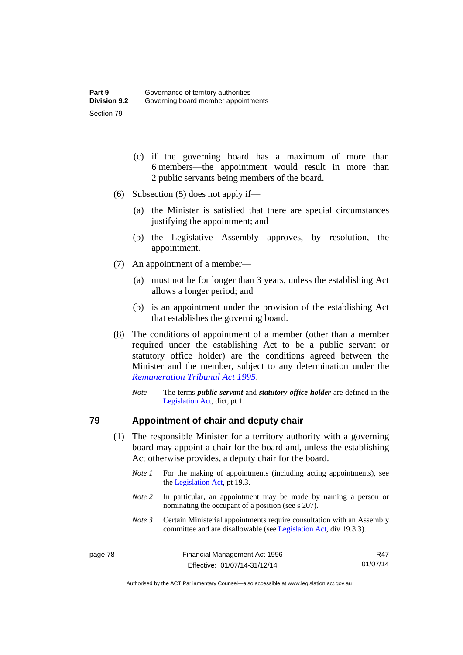- (c) if the governing board has a maximum of more than 6 members—the appointment would result in more than 2 public servants being members of the board.
- (6) Subsection (5) does not apply if—
	- (a) the Minister is satisfied that there are special circumstances justifying the appointment; and
	- (b) the Legislative Assembly approves, by resolution, the appointment.
- (7) An appointment of a member—
	- (a) must not be for longer than 3 years, unless the establishing Act allows a longer period; and
	- (b) is an appointment under the provision of the establishing Act that establishes the governing board.
- (8) The conditions of appointment of a member (other than a member required under the establishing Act to be a public servant or statutory office holder) are the conditions agreed between the Minister and the member, subject to any determination under the *[Remuneration Tribunal Act 1995](http://www.legislation.act.gov.au/a/1995-55)*.
	- *Note* The terms *public servant* and *statutory office holder* are defined in the [Legislation Act,](http://www.legislation.act.gov.au/a/2001-14) dict, pt 1.

#### **79 Appointment of chair and deputy chair**

- (1) The responsible Minister for a territory authority with a governing board may appoint a chair for the board and, unless the establishing Act otherwise provides, a deputy chair for the board.
	- *Note 1* For the making of appointments (including acting appointments), see the [Legislation Act,](http://www.legislation.act.gov.au/a/2001-14) pt 19.3.
	- *Note 2* In particular, an appointment may be made by naming a person or nominating the occupant of a position (see s 207).
	- *Note 3* Certain Ministerial appointments require consultation with an Assembly committee and are disallowable (see [Legislation Act,](http://www.legislation.act.gov.au/a/2001-14) div 19.3.3).

| page 78 | Financial Management Act 1996 | R47      |
|---------|-------------------------------|----------|
|         | Effective: 01/07/14-31/12/14  | 01/07/14 |

Authorised by the ACT Parliamentary Counsel—also accessible at www.legislation.act.gov.au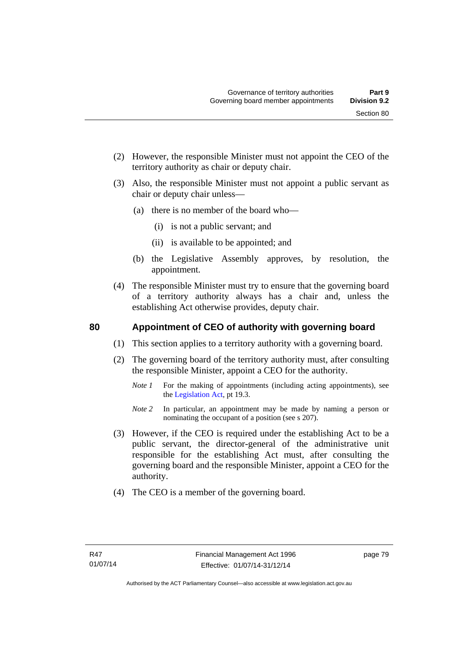- (2) However, the responsible Minister must not appoint the CEO of the territory authority as chair or deputy chair.
- (3) Also, the responsible Minister must not appoint a public servant as chair or deputy chair unless—
	- (a) there is no member of the board who—
		- (i) is not a public servant; and
		- (ii) is available to be appointed; and
	- (b) the Legislative Assembly approves, by resolution, the appointment.
- (4) The responsible Minister must try to ensure that the governing board of a territory authority always has a chair and, unless the establishing Act otherwise provides, deputy chair.

## **80 Appointment of CEO of authority with governing board**

- (1) This section applies to a territory authority with a governing board.
- (2) The governing board of the territory authority must, after consulting the responsible Minister, appoint a CEO for the authority.
	- *Note 1* For the making of appointments (including acting appointments), see the [Legislation Act,](http://www.legislation.act.gov.au/a/2001-14) pt 19.3.
	- *Note* 2 In particular, an appointment may be made by naming a person or nominating the occupant of a position (see s 207).
- (3) However, if the CEO is required under the establishing Act to be a public servant, the director-general of the administrative unit responsible for the establishing Act must, after consulting the governing board and the responsible Minister, appoint a CEO for the authority.
- (4) The CEO is a member of the governing board.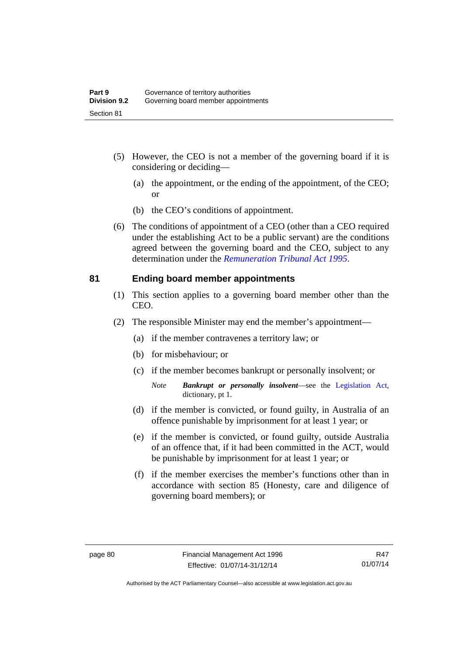- (5) However, the CEO is not a member of the governing board if it is considering or deciding—
	- (a) the appointment, or the ending of the appointment, of the CEO; or
	- (b) the CEO's conditions of appointment.
- (6) The conditions of appointment of a CEO (other than a CEO required under the establishing Act to be a public servant) are the conditions agreed between the governing board and the CEO, subject to any determination under the *[Remuneration Tribunal Act 1995](http://www.legislation.act.gov.au/a/1995-55)*.

## **81 Ending board member appointments**

- (1) This section applies to a governing board member other than the CEO.
- (2) The responsible Minister may end the member's appointment—
	- (a) if the member contravenes a territory law; or
	- (b) for misbehaviour; or
	- (c) if the member becomes bankrupt or personally insolvent; or
		- *Note Bankrupt or personally insolvent*—see the [Legislation Act,](http://www.legislation.act.gov.au/a/2001-14) dictionary, pt 1.
	- (d) if the member is convicted, or found guilty, in Australia of an offence punishable by imprisonment for at least 1 year; or
	- (e) if the member is convicted, or found guilty, outside Australia of an offence that, if it had been committed in the ACT, would be punishable by imprisonment for at least 1 year; or
	- (f) if the member exercises the member's functions other than in accordance with section 85 (Honesty, care and diligence of governing board members); or

Authorised by the ACT Parliamentary Counsel—also accessible at www.legislation.act.gov.au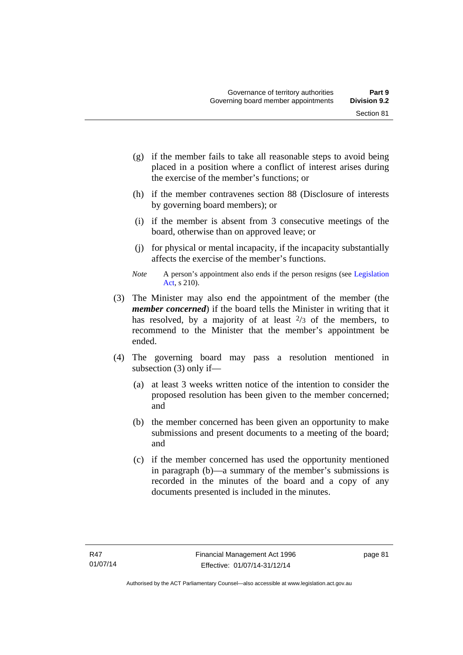- (g) if the member fails to take all reasonable steps to avoid being placed in a position where a conflict of interest arises during the exercise of the member's functions; or
- (h) if the member contravenes section 88 (Disclosure of interests by governing board members); or
- (i) if the member is absent from 3 consecutive meetings of the board, otherwise than on approved leave; or
- (j) for physical or mental incapacity, if the incapacity substantially affects the exercise of the member's functions.
- *Note* A person's appointment also ends if the person resigns (see Legislation [Act](http://www.legislation.act.gov.au/a/2001-14), s 210).
- (3) The Minister may also end the appointment of the member (the *member concerned*) if the board tells the Minister in writing that it has resolved, by a majority of at least  $\frac{2}{3}$  of the members, to recommend to the Minister that the member's appointment be ended.
- (4) The governing board may pass a resolution mentioned in subsection (3) only if—
	- (a) at least 3 weeks written notice of the intention to consider the proposed resolution has been given to the member concerned; and
	- (b) the member concerned has been given an opportunity to make submissions and present documents to a meeting of the board; and
	- (c) if the member concerned has used the opportunity mentioned in paragraph (b)—a summary of the member's submissions is recorded in the minutes of the board and a copy of any documents presented is included in the minutes.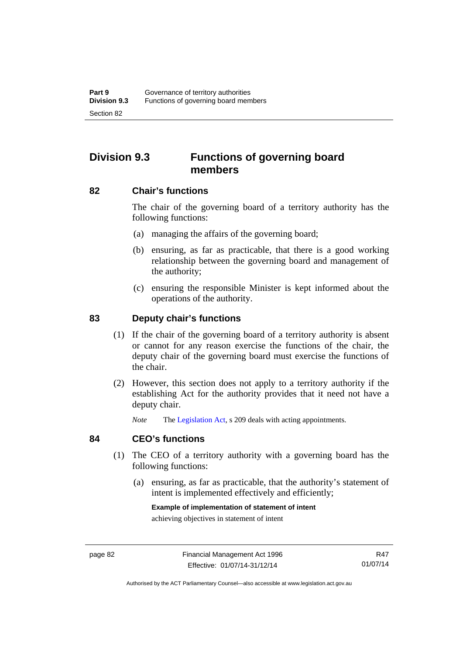# **Division 9.3 Functions of governing board members**

#### **82 Chair's functions**

The chair of the governing board of a territory authority has the following functions:

- (a) managing the affairs of the governing board;
- (b) ensuring, as far as practicable, that there is a good working relationship between the governing board and management of the authority;
- (c) ensuring the responsible Minister is kept informed about the operations of the authority.

## **83 Deputy chair's functions**

- (1) If the chair of the governing board of a territory authority is absent or cannot for any reason exercise the functions of the chair, the deputy chair of the governing board must exercise the functions of the chair.
- (2) However, this section does not apply to a territory authority if the establishing Act for the authority provides that it need not have a deputy chair.

*Note* The [Legislation Act,](http://www.legislation.act.gov.au/a/2001-14) s 209 deals with acting appointments.

#### **84 CEO's functions**

- (1) The CEO of a territory authority with a governing board has the following functions:
	- (a) ensuring, as far as practicable, that the authority's statement of intent is implemented effectively and efficiently;

#### **Example of implementation of statement of intent**

achieving objectives in statement of intent

R47 01/07/14

Authorised by the ACT Parliamentary Counsel—also accessible at www.legislation.act.gov.au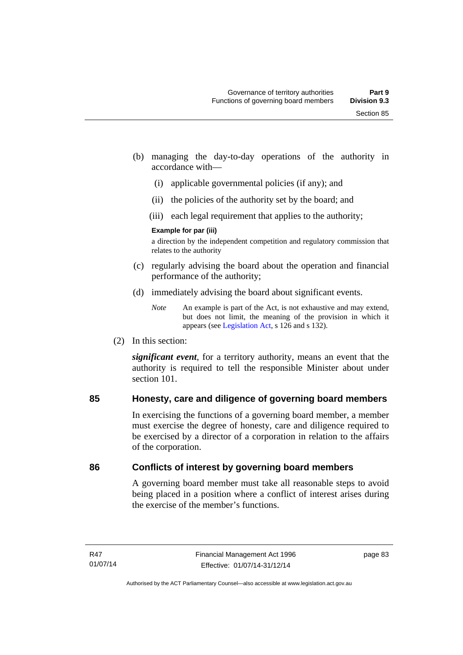- (b) managing the day-to-day operations of the authority in accordance with—
	- (i) applicable governmental policies (if any); and
	- (ii) the policies of the authority set by the board; and
	- (iii) each legal requirement that applies to the authority;

#### **Example for par (iii)**

a direction by the independent competition and regulatory commission that relates to the authority

- (c) regularly advising the board about the operation and financial performance of the authority;
- (d) immediately advising the board about significant events.

(2) In this section:

*significant event*, for a territory authority, means an event that the authority is required to tell the responsible Minister about under section 101

## **85 Honesty, care and diligence of governing board members**

In exercising the functions of a governing board member, a member must exercise the degree of honesty, care and diligence required to be exercised by a director of a corporation in relation to the affairs of the corporation.

## **86 Conflicts of interest by governing board members**

A governing board member must take all reasonable steps to avoid being placed in a position where a conflict of interest arises during the exercise of the member's functions.

*Note* An example is part of the Act, is not exhaustive and may extend, but does not limit, the meaning of the provision in which it appears (see [Legislation Act,](http://www.legislation.act.gov.au/a/2001-14) s 126 and s 132).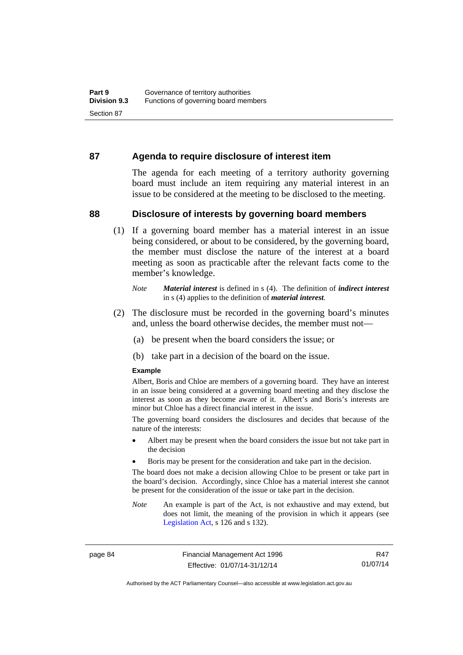#### **87 Agenda to require disclosure of interest item**

The agenda for each meeting of a territory authority governing board must include an item requiring any material interest in an issue to be considered at the meeting to be disclosed to the meeting.

#### **88 Disclosure of interests by governing board members**

(1) If a governing board member has a material interest in an issue being considered, or about to be considered, by the governing board, the member must disclose the nature of the interest at a board meeting as soon as practicable after the relevant facts come to the member's knowledge.

- (2) The disclosure must be recorded in the governing board's minutes and, unless the board otherwise decides, the member must not—
	- (a) be present when the board considers the issue; or
	- (b) take part in a decision of the board on the issue.

#### **Example**

Albert, Boris and Chloe are members of a governing board. They have an interest in an issue being considered at a governing board meeting and they disclose the interest as soon as they become aware of it. Albert's and Boris's interests are minor but Chloe has a direct financial interest in the issue.

The governing board considers the disclosures and decides that because of the nature of the interests:

- Albert may be present when the board considers the issue but not take part in the decision
- Boris may be present for the consideration and take part in the decision.

The board does not make a decision allowing Chloe to be present or take part in the board's decision. Accordingly, since Chloe has a material interest she cannot be present for the consideration of the issue or take part in the decision.

*Note* An example is part of the Act, is not exhaustive and may extend, but does not limit, the meaning of the provision in which it appears (see [Legislation Act,](http://www.legislation.act.gov.au/a/2001-14) s 126 and s 132).

page 84 Financial Management Act 1996 Effective: 01/07/14-31/12/14

R47 01/07/14

Authorised by the ACT Parliamentary Counsel—also accessible at www.legislation.act.gov.au

*Note Material interest* is defined in s (4). The definition of *indirect interest* in s (4) applies to the definition of *material interest*.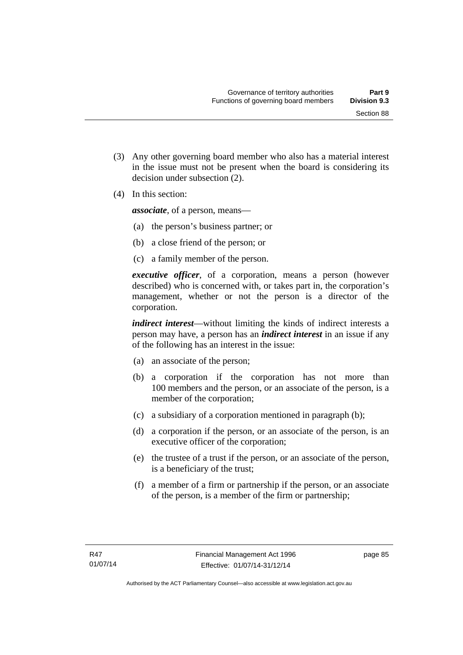Section 88

 (3) Any other governing board member who also has a material interest in the issue must not be present when the board is considering its

(4) In this section:

*associate*, of a person, means—

decision under subsection (2).

- (a) the person's business partner; or
- (b) a close friend of the person; or
- (c) a family member of the person.

*executive officer*, of a corporation, means a person (however described) who is concerned with, or takes part in, the corporation's management, whether or not the person is a director of the corporation.

*indirect interest*—without limiting the kinds of indirect interests a person may have, a person has an *indirect interest* in an issue if any of the following has an interest in the issue:

- (a) an associate of the person;
- (b) a corporation if the corporation has not more than 100 members and the person, or an associate of the person, is a member of the corporation;
- (c) a subsidiary of a corporation mentioned in paragraph (b);
- (d) a corporation if the person, or an associate of the person, is an executive officer of the corporation;
- (e) the trustee of a trust if the person, or an associate of the person, is a beneficiary of the trust;
- (f) a member of a firm or partnership if the person, or an associate of the person, is a member of the firm or partnership;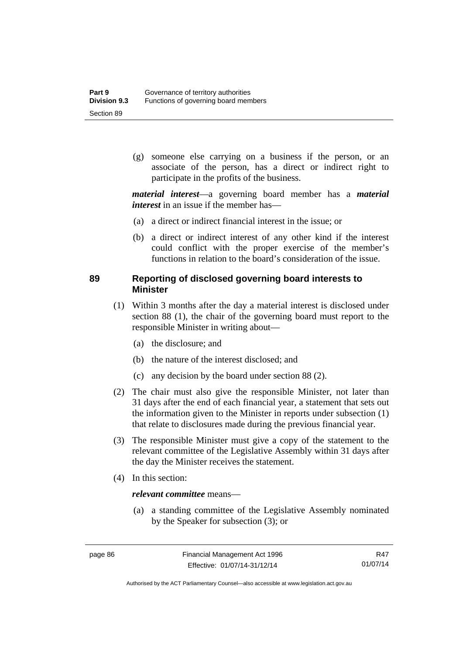(g) someone else carrying on a business if the person, or an associate of the person, has a direct or indirect right to participate in the profits of the business.

*material interest*—a governing board member has a *material interest* in an issue if the member has—

- (a) a direct or indirect financial interest in the issue; or
- (b) a direct or indirect interest of any other kind if the interest could conflict with the proper exercise of the member's functions in relation to the board's consideration of the issue.

## **89 Reporting of disclosed governing board interests to Minister**

- (1) Within 3 months after the day a material interest is disclosed under section 88 (1), the chair of the governing board must report to the responsible Minister in writing about—
	- (a) the disclosure; and
	- (b) the nature of the interest disclosed; and
	- (c) any decision by the board under section 88 (2).
- (2) The chair must also give the responsible Minister, not later than 31 days after the end of each financial year, a statement that sets out the information given to the Minister in reports under subsection (1) that relate to disclosures made during the previous financial year.
- (3) The responsible Minister must give a copy of the statement to the relevant committee of the Legislative Assembly within 31 days after the day the Minister receives the statement.
- (4) In this section:

## *relevant committee* means—

 (a) a standing committee of the Legislative Assembly nominated by the Speaker for subsection (3); or

R47 01/07/14

Authorised by the ACT Parliamentary Counsel—also accessible at www.legislation.act.gov.au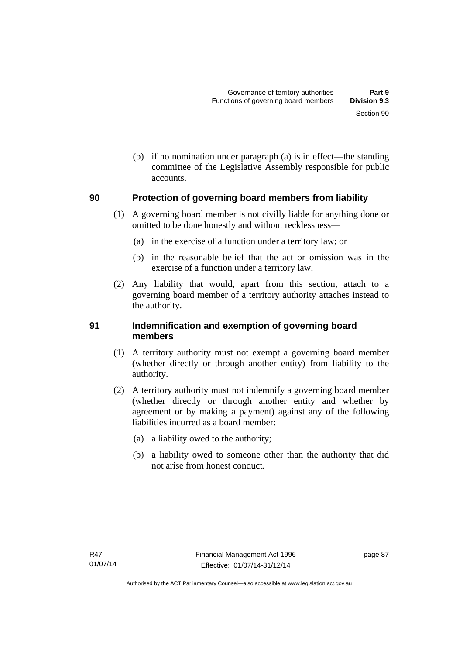(b) if no nomination under paragraph (a) is in effect—the standing committee of the Legislative Assembly responsible for public accounts.

## **90 Protection of governing board members from liability**

- (1) A governing board member is not civilly liable for anything done or omitted to be done honestly and without recklessness—
	- (a) in the exercise of a function under a territory law; or
	- (b) in the reasonable belief that the act or omission was in the exercise of a function under a territory law.
- (2) Any liability that would, apart from this section, attach to a governing board member of a territory authority attaches instead to the authority.

## **91 Indemnification and exemption of governing board members**

- (1) A territory authority must not exempt a governing board member (whether directly or through another entity) from liability to the authority.
- (2) A territory authority must not indemnify a governing board member (whether directly or through another entity and whether by agreement or by making a payment) against any of the following liabilities incurred as a board member:
	- (a) a liability owed to the authority;
	- (b) a liability owed to someone other than the authority that did not arise from honest conduct.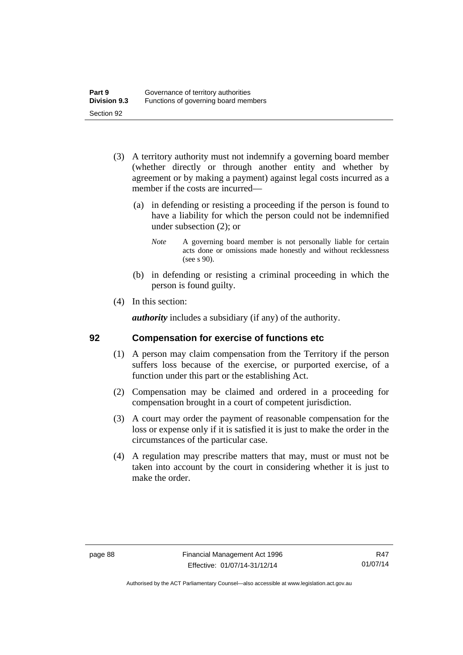- (3) A territory authority must not indemnify a governing board member (whether directly or through another entity and whether by agreement or by making a payment) against legal costs incurred as a member if the costs are incurred—
	- (a) in defending or resisting a proceeding if the person is found to have a liability for which the person could not be indemnified under subsection (2); or
		- *Note* A governing board member is not personally liable for certain acts done or omissions made honestly and without recklessness (see s 90).
	- (b) in defending or resisting a criminal proceeding in which the person is found guilty.
- (4) In this section:

*authority* includes a subsidiary (if any) of the authority.

## **92 Compensation for exercise of functions etc**

- (1) A person may claim compensation from the Territory if the person suffers loss because of the exercise, or purported exercise, of a function under this part or the establishing Act.
- (2) Compensation may be claimed and ordered in a proceeding for compensation brought in a court of competent jurisdiction.
- (3) A court may order the payment of reasonable compensation for the loss or expense only if it is satisfied it is just to make the order in the circumstances of the particular case.
- (4) A regulation may prescribe matters that may, must or must not be taken into account by the court in considering whether it is just to make the order.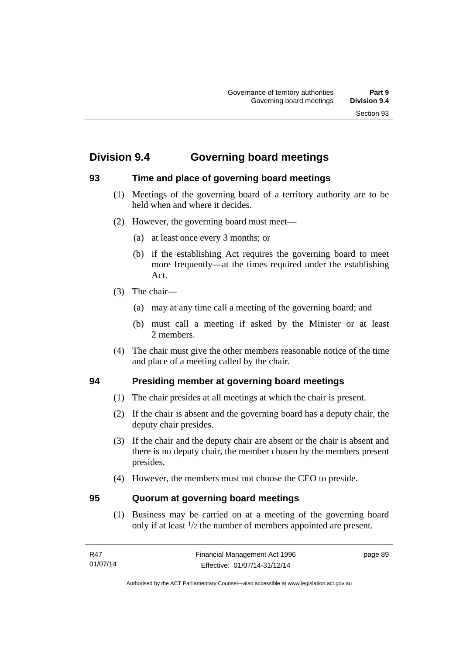# **Division 9.4 Governing board meetings**

## **93 Time and place of governing board meetings**

- (1) Meetings of the governing board of a territory authority are to be held when and where it decides.
- (2) However, the governing board must meet—
	- (a) at least once every 3 months; or
	- (b) if the establishing Act requires the governing board to meet more frequently—at the times required under the establishing Act.
- (3) The chair—
	- (a) may at any time call a meeting of the governing board; and
	- (b) must call a meeting if asked by the Minister or at least 2 members.
- (4) The chair must give the other members reasonable notice of the time and place of a meeting called by the chair.

## **94 Presiding member at governing board meetings**

- (1) The chair presides at all meetings at which the chair is present.
- (2) If the chair is absent and the governing board has a deputy chair, the deputy chair presides.
- (3) If the chair and the deputy chair are absent or the chair is absent and there is no deputy chair, the member chosen by the members present presides.
- (4) However, the members must not choose the CEO to preside.

## **95 Quorum at governing board meetings**

(1) Business may be carried on at a meeting of the governing board only if at least 1/2 the number of members appointed are present.

page 89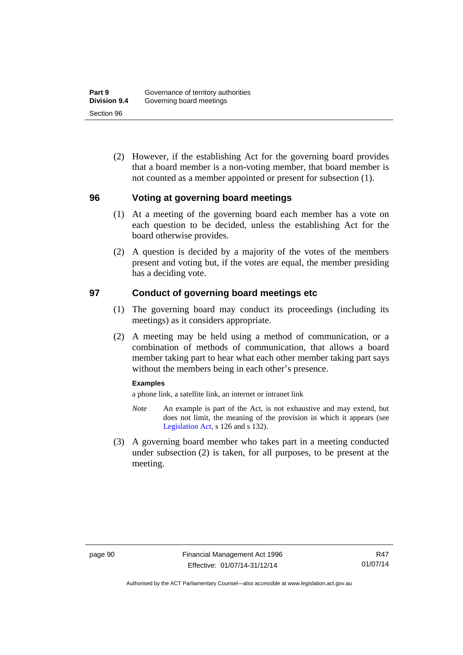(2) However, if the establishing Act for the governing board provides that a board member is a non-voting member, that board member is not counted as a member appointed or present for subsection (1).

## **96 Voting at governing board meetings**

- (1) At a meeting of the governing board each member has a vote on each question to be decided, unless the establishing Act for the board otherwise provides.
- (2) A question is decided by a majority of the votes of the members present and voting but, if the votes are equal, the member presiding has a deciding vote.

## **97 Conduct of governing board meetings etc**

- (1) The governing board may conduct its proceedings (including its meetings) as it considers appropriate.
- (2) A meeting may be held using a method of communication, or a combination of methods of communication, that allows a board member taking part to hear what each other member taking part says without the members being in each other's presence.

#### **Examples**

a phone link, a satellite link, an internet or intranet link

- *Note* An example is part of the Act, is not exhaustive and may extend, but does not limit, the meaning of the provision in which it appears (see [Legislation Act,](http://www.legislation.act.gov.au/a/2001-14) s 126 and s 132).
- (3) A governing board member who takes part in a meeting conducted under subsection (2) is taken, for all purposes, to be present at the meeting.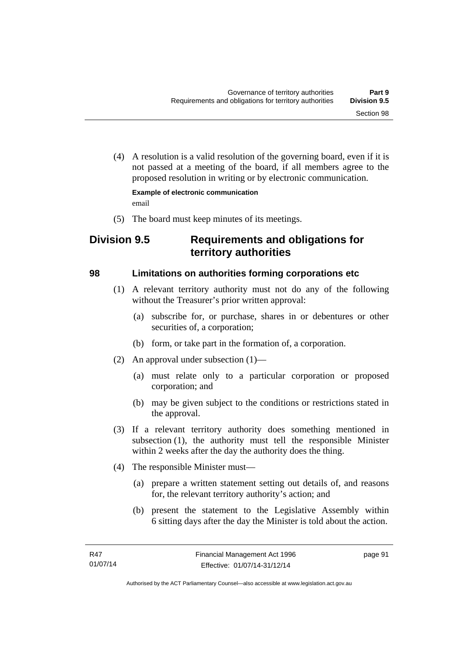(4) A resolution is a valid resolution of the governing board, even if it is not passed at a meeting of the board, if all members agree to the proposed resolution in writing or by electronic communication.

**Example of electronic communication**  email

(5) The board must keep minutes of its meetings.

# **Division 9.5 Requirements and obligations for territory authorities**

## **98 Limitations on authorities forming corporations etc**

- (1) A relevant territory authority must not do any of the following without the Treasurer's prior written approval:
	- (a) subscribe for, or purchase, shares in or debentures or other securities of, a corporation;
	- (b) form, or take part in the formation of, a corporation.
- (2) An approval under subsection (1)—
	- (a) must relate only to a particular corporation or proposed corporation; and
	- (b) may be given subject to the conditions or restrictions stated in the approval.
- (3) If a relevant territory authority does something mentioned in subsection (1), the authority must tell the responsible Minister within 2 weeks after the day the authority does the thing.
- (4) The responsible Minister must—
	- (a) prepare a written statement setting out details of, and reasons for, the relevant territory authority's action; and
	- (b) present the statement to the Legislative Assembly within 6 sitting days after the day the Minister is told about the action.

page 91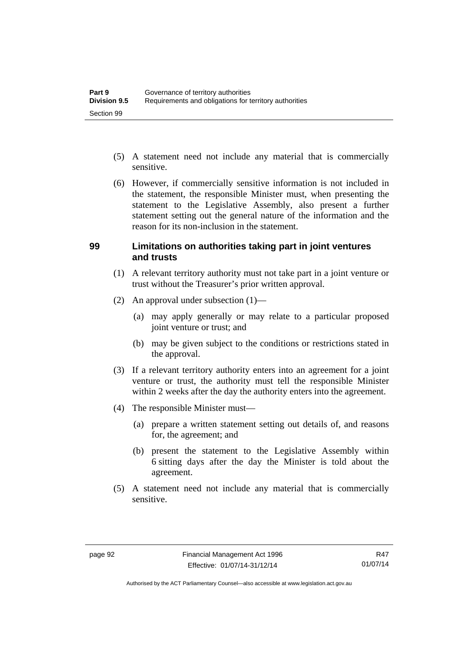- (5) A statement need not include any material that is commercially sensitive.
- (6) However, if commercially sensitive information is not included in the statement, the responsible Minister must, when presenting the statement to the Legislative Assembly, also present a further statement setting out the general nature of the information and the reason for its non-inclusion in the statement.

#### **99 Limitations on authorities taking part in joint ventures and trusts**

- (1) A relevant territory authority must not take part in a joint venture or trust without the Treasurer's prior written approval.
- (2) An approval under subsection (1)—
	- (a) may apply generally or may relate to a particular proposed joint venture or trust; and
	- (b) may be given subject to the conditions or restrictions stated in the approval.
- (3) If a relevant territory authority enters into an agreement for a joint venture or trust, the authority must tell the responsible Minister within 2 weeks after the day the authority enters into the agreement.
- (4) The responsible Minister must—
	- (a) prepare a written statement setting out details of, and reasons for, the agreement; and
	- (b) present the statement to the Legislative Assembly within 6 sitting days after the day the Minister is told about the agreement.
- (5) A statement need not include any material that is commercially sensitive.

Authorised by the ACT Parliamentary Counsel—also accessible at www.legislation.act.gov.au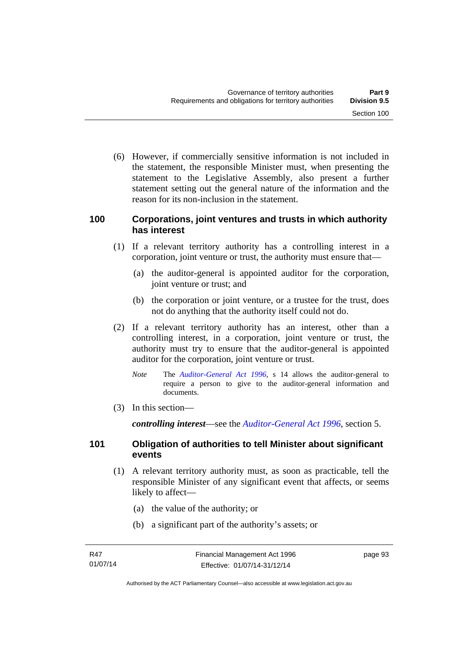(6) However, if commercially sensitive information is not included in the statement, the responsible Minister must, when presenting the statement to the Legislative Assembly, also present a further statement setting out the general nature of the information and the reason for its non-inclusion in the statement.

## **100 Corporations, joint ventures and trusts in which authority has interest**

- (1) If a relevant territory authority has a controlling interest in a corporation, joint venture or trust, the authority must ensure that—
	- (a) the auditor-general is appointed auditor for the corporation, joint venture or trust; and
	- (b) the corporation or joint venture, or a trustee for the trust, does not do anything that the authority itself could not do.
- (2) If a relevant territory authority has an interest, other than a controlling interest, in a corporation, joint venture or trust, the authority must try to ensure that the auditor-general is appointed auditor for the corporation, joint venture or trust.
	- *Note* The *[Auditor-General Act 1996](http://www.legislation.act.gov.au/a/1996-23)*, s 14 allows the auditor-general to require a person to give to the auditor-general information and documents.
- (3) In this section—

*controlling interest*—see the *[Auditor-General Act 1996](http://www.legislation.act.gov.au/a/1996-23)*, section 5.

## **101 Obligation of authorities to tell Minister about significant events**

- (1) A relevant territory authority must, as soon as practicable, tell the responsible Minister of any significant event that affects, or seems likely to affect—
	- (a) the value of the authority; or
	- (b) a significant part of the authority's assets; or

page 93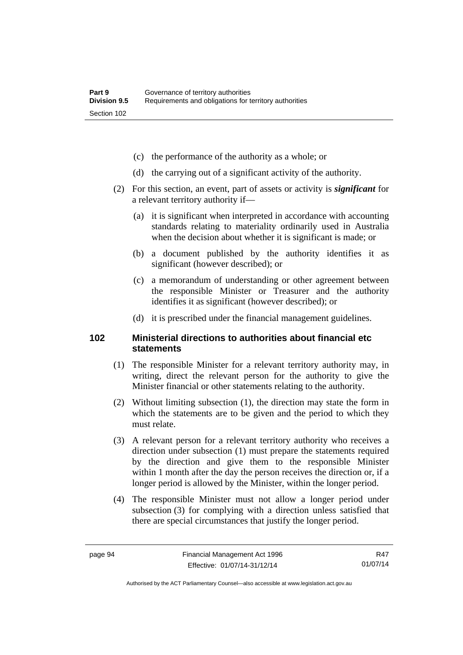- (c) the performance of the authority as a whole; or
- (d) the carrying out of a significant activity of the authority.
- (2) For this section, an event, part of assets or activity is *significant* for a relevant territory authority if—
	- (a) it is significant when interpreted in accordance with accounting standards relating to materiality ordinarily used in Australia when the decision about whether it is significant is made; or
	- (b) a document published by the authority identifies it as significant (however described); or
	- (c) a memorandum of understanding or other agreement between the responsible Minister or Treasurer and the authority identifies it as significant (however described); or
	- (d) it is prescribed under the financial management guidelines.

## **102 Ministerial directions to authorities about financial etc statements**

- (1) The responsible Minister for a relevant territory authority may, in writing, direct the relevant person for the authority to give the Minister financial or other statements relating to the authority.
- (2) Without limiting subsection (1), the direction may state the form in which the statements are to be given and the period to which they must relate.
- (3) A relevant person for a relevant territory authority who receives a direction under subsection (1) must prepare the statements required by the direction and give them to the responsible Minister within 1 month after the day the person receives the direction or, if a longer period is allowed by the Minister, within the longer period.
- (4) The responsible Minister must not allow a longer period under subsection (3) for complying with a direction unless satisfied that there are special circumstances that justify the longer period.

R47 01/07/14

Authorised by the ACT Parliamentary Counsel—also accessible at www.legislation.act.gov.au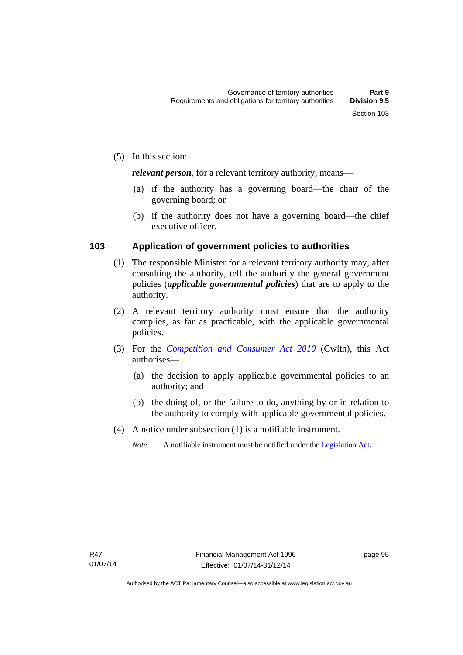*relevant person*, for a relevant territory authority, means—

- (a) if the authority has a governing board—the chair of the governing board; or
- (b) if the authority does not have a governing board—the chief executive officer.

## **103 Application of government policies to authorities**

- (1) The responsible Minister for a relevant territory authority may, after consulting the authority, tell the authority the general government policies (*applicable governmental policies*) that are to apply to the authority.
- (2) A relevant territory authority must ensure that the authority complies, as far as practicable, with the applicable governmental policies.
- (3) For the *[Competition and Consumer Act 2010](http://www.comlaw.gov.au/Series/C2004A00109)* (Cwlth), this Act authorises—
	- (a) the decision to apply applicable governmental policies to an authority; and
	- (b) the doing of, or the failure to do, anything by or in relation to the authority to comply with applicable governmental policies.
- (4) A notice under subsection (1) is a notifiable instrument.
	- *Note* A notifiable instrument must be notified under the [Legislation Act](http://www.legislation.act.gov.au/a/2001-14).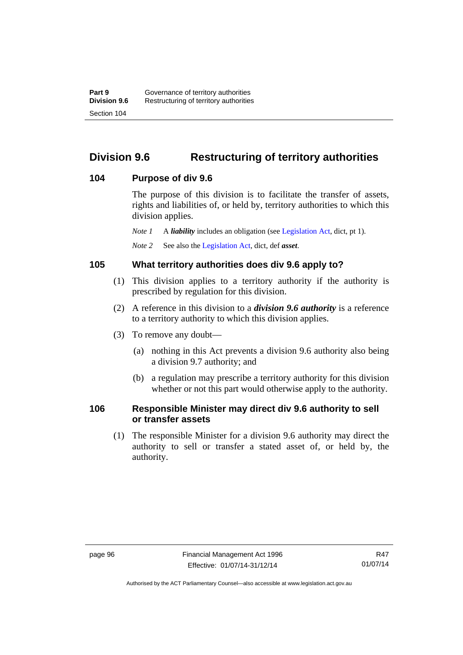# **Division 9.6 Restructuring of territory authorities**

## **104 Purpose of div 9.6**

The purpose of this division is to facilitate the transfer of assets, rights and liabilities of, or held by, territory authorities to which this division applies.

*Note 1* A *liability* includes an obligation (see [Legislation Act,](http://www.legislation.act.gov.au/a/2001-14) dict, pt 1).

*Note 2* See also the [Legislation Act](http://www.legislation.act.gov.au/a/2001-14), dict, def *asset*.

## **105 What territory authorities does div 9.6 apply to?**

- (1) This division applies to a territory authority if the authority is prescribed by regulation for this division.
- (2) A reference in this division to a *division 9.6 authority* is a reference to a territory authority to which this division applies.
- (3) To remove any doubt—
	- (a) nothing in this Act prevents a division 9.6 authority also being a division 9.7 authority; and
	- (b) a regulation may prescribe a territory authority for this division whether or not this part would otherwise apply to the authority.

## **106 Responsible Minister may direct div 9.6 authority to sell or transfer assets**

 (1) The responsible Minister for a division 9.6 authority may direct the authority to sell or transfer a stated asset of, or held by, the authority.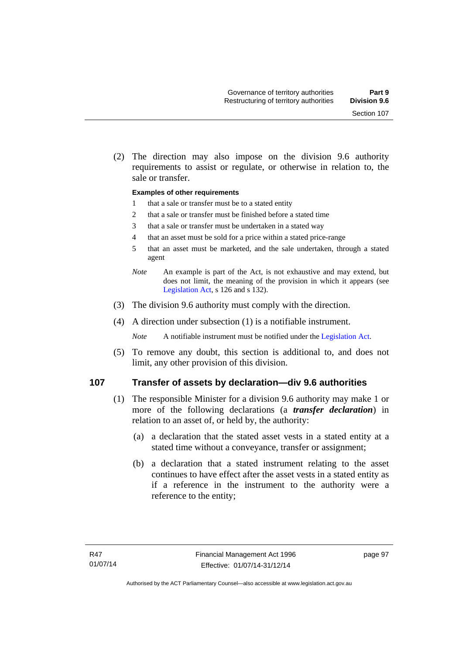(2) The direction may also impose on the division 9.6 authority requirements to assist or regulate, or otherwise in relation to, the sale or transfer.

#### **Examples of other requirements**

- 1 that a sale or transfer must be to a stated entity
- 2 that a sale or transfer must be finished before a stated time
- 3 that a sale or transfer must be undertaken in a stated way
- 4 that an asset must be sold for a price within a stated price-range
- 5 that an asset must be marketed, and the sale undertaken, through a stated agent
- *Note* An example is part of the Act, is not exhaustive and may extend, but does not limit, the meaning of the provision in which it appears (see [Legislation Act,](http://www.legislation.act.gov.au/a/2001-14) s 126 and s 132).
- (3) The division 9.6 authority must comply with the direction.
- (4) A direction under subsection (1) is a notifiable instrument.

*Note* A notifiable instrument must be notified under the [Legislation Act](http://www.legislation.act.gov.au/a/2001-14).

 (5) To remove any doubt, this section is additional to, and does not limit, any other provision of this division.

#### **107 Transfer of assets by declaration—div 9.6 authorities**

- (1) The responsible Minister for a division 9.6 authority may make 1 or more of the following declarations (a *transfer declaration*) in relation to an asset of, or held by, the authority:
	- (a) a declaration that the stated asset vests in a stated entity at a stated time without a conveyance, transfer or assignment;
	- (b) a declaration that a stated instrument relating to the asset continues to have effect after the asset vests in a stated entity as if a reference in the instrument to the authority were a reference to the entity;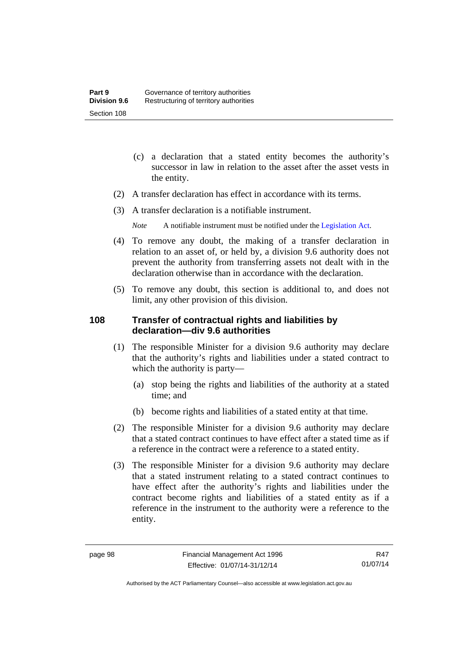- (c) a declaration that a stated entity becomes the authority's successor in law in relation to the asset after the asset vests in the entity.
- (2) A transfer declaration has effect in accordance with its terms.
- (3) A transfer declaration is a notifiable instrument.
	- *Note* A notifiable instrument must be notified under the [Legislation Act](http://www.legislation.act.gov.au/a/2001-14).
- (4) To remove any doubt, the making of a transfer declaration in relation to an asset of, or held by, a division 9.6 authority does not prevent the authority from transferring assets not dealt with in the declaration otherwise than in accordance with the declaration.
- (5) To remove any doubt, this section is additional to, and does not limit, any other provision of this division.

## **108 Transfer of contractual rights and liabilities by declaration—div 9.6 authorities**

- (1) The responsible Minister for a division 9.6 authority may declare that the authority's rights and liabilities under a stated contract to which the authority is party—
	- (a) stop being the rights and liabilities of the authority at a stated time; and
	- (b) become rights and liabilities of a stated entity at that time.
- (2) The responsible Minister for a division 9.6 authority may declare that a stated contract continues to have effect after a stated time as if a reference in the contract were a reference to a stated entity.
- (3) The responsible Minister for a division 9.6 authority may declare that a stated instrument relating to a stated contract continues to have effect after the authority's rights and liabilities under the contract become rights and liabilities of a stated entity as if a reference in the instrument to the authority were a reference to the entity.

R47 01/07/14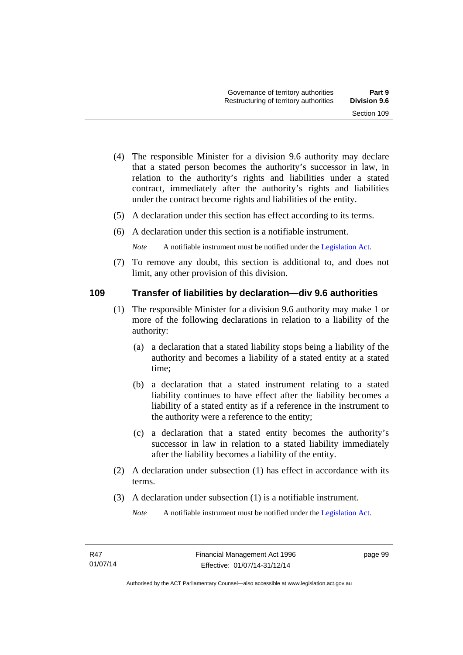- (4) The responsible Minister for a division 9.6 authority may declare that a stated person becomes the authority's successor in law, in relation to the authority's rights and liabilities under a stated contract, immediately after the authority's rights and liabilities under the contract become rights and liabilities of the entity.
- (5) A declaration under this section has effect according to its terms.
- (6) A declaration under this section is a notifiable instrument.

*Note* A notifiable instrument must be notified under the [Legislation Act](http://www.legislation.act.gov.au/a/2001-14).

 (7) To remove any doubt, this section is additional to, and does not limit, any other provision of this division.

## **109 Transfer of liabilities by declaration—div 9.6 authorities**

- (1) The responsible Minister for a division 9.6 authority may make 1 or more of the following declarations in relation to a liability of the authority:
	- (a) a declaration that a stated liability stops being a liability of the authority and becomes a liability of a stated entity at a stated time;
	- (b) a declaration that a stated instrument relating to a stated liability continues to have effect after the liability becomes a liability of a stated entity as if a reference in the instrument to the authority were a reference to the entity;
	- (c) a declaration that a stated entity becomes the authority's successor in law in relation to a stated liability immediately after the liability becomes a liability of the entity.
- (2) A declaration under subsection (1) has effect in accordance with its terms.
- (3) A declaration under subsection (1) is a notifiable instrument.

*Note* A notifiable instrument must be notified under the [Legislation Act](http://www.legislation.act.gov.au/a/2001-14).

page 99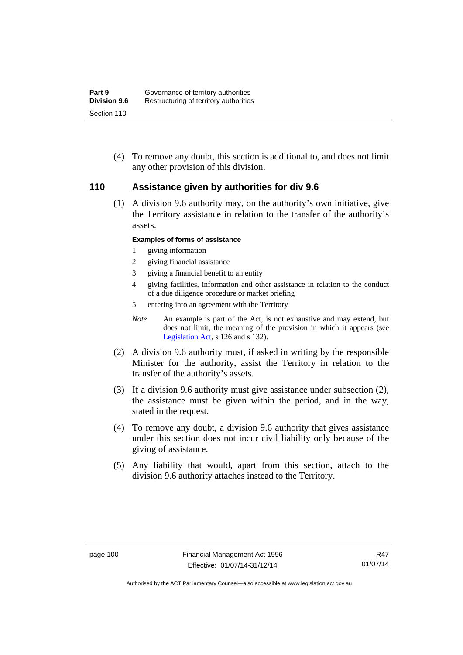(4) To remove any doubt, this section is additional to, and does not limit any other provision of this division.

## **110 Assistance given by authorities for div 9.6**

(1) A division 9.6 authority may, on the authority's own initiative, give the Territory assistance in relation to the transfer of the authority's assets.

## **Examples of forms of assistance**

- 1 giving information
- 2 giving financial assistance
- 3 giving a financial benefit to an entity
- 4 giving facilities, information and other assistance in relation to the conduct of a due diligence procedure or market briefing
- 5 entering into an agreement with the Territory
- *Note* An example is part of the Act, is not exhaustive and may extend, but does not limit, the meaning of the provision in which it appears (see [Legislation Act,](http://www.legislation.act.gov.au/a/2001-14) s 126 and s 132).
- (2) A division 9.6 authority must, if asked in writing by the responsible Minister for the authority, assist the Territory in relation to the transfer of the authority's assets.
- (3) If a division 9.6 authority must give assistance under subsection (2), the assistance must be given within the period, and in the way, stated in the request.
- (4) To remove any doubt, a division 9.6 authority that gives assistance under this section does not incur civil liability only because of the giving of assistance.
- (5) Any liability that would, apart from this section, attach to the division 9.6 authority attaches instead to the Territory.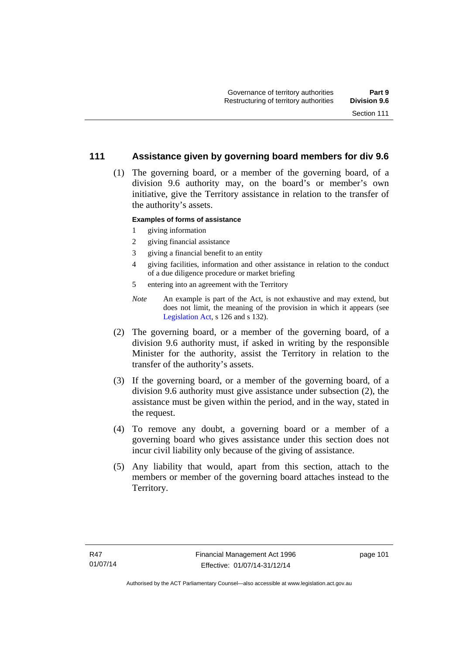## **111 Assistance given by governing board members for div 9.6**

 (1) The governing board, or a member of the governing board, of a division 9.6 authority may, on the board's or member's own initiative, give the Territory assistance in relation to the transfer of the authority's assets.

### **Examples of forms of assistance**

- 1 giving information
- 2 giving financial assistance
- 3 giving a financial benefit to an entity
- 4 giving facilities, information and other assistance in relation to the conduct of a due diligence procedure or market briefing
- 5 entering into an agreement with the Territory
- *Note* An example is part of the Act, is not exhaustive and may extend, but does not limit, the meaning of the provision in which it appears (see [Legislation Act,](http://www.legislation.act.gov.au/a/2001-14) s 126 and s 132).
- (2) The governing board, or a member of the governing board, of a division 9.6 authority must, if asked in writing by the responsible Minister for the authority, assist the Territory in relation to the transfer of the authority's assets.
- (3) If the governing board, or a member of the governing board, of a division 9.6 authority must give assistance under subsection (2), the assistance must be given within the period, and in the way, stated in the request.
- (4) To remove any doubt, a governing board or a member of a governing board who gives assistance under this section does not incur civil liability only because of the giving of assistance.
- (5) Any liability that would, apart from this section, attach to the members or member of the governing board attaches instead to the Territory.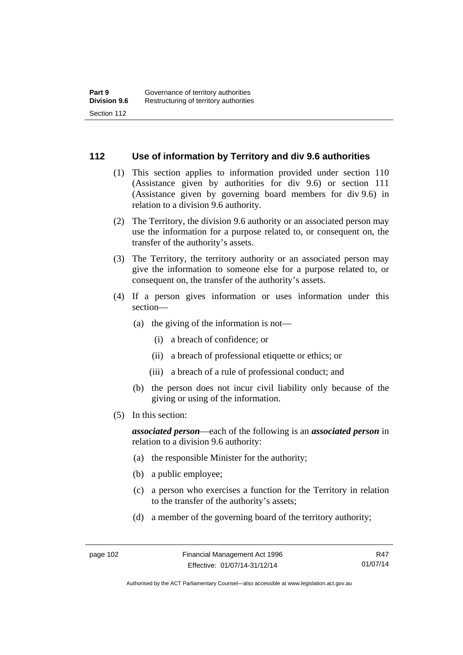## **112 Use of information by Territory and div 9.6 authorities**

- (1) This section applies to information provided under section 110 (Assistance given by authorities for div 9.6) or section 111 (Assistance given by governing board members for div 9.6) in relation to a division 9.6 authority.
- (2) The Territory, the division 9.6 authority or an associated person may use the information for a purpose related to, or consequent on, the transfer of the authority's assets.
- (3) The Territory, the territory authority or an associated person may give the information to someone else for a purpose related to, or consequent on, the transfer of the authority's assets.
- (4) If a person gives information or uses information under this section—
	- (a) the giving of the information is not—
		- (i) a breach of confidence; or
		- (ii) a breach of professional etiquette or ethics; or
		- (iii) a breach of a rule of professional conduct; and
	- (b) the person does not incur civil liability only because of the giving or using of the information.
- (5) In this section:

*associated person*—each of the following is an *associated person* in relation to a division 9.6 authority:

- (a) the responsible Minister for the authority;
- (b) a public employee;
- (c) a person who exercises a function for the Territory in relation to the transfer of the authority's assets;
- (d) a member of the governing board of the territory authority;

Authorised by the ACT Parliamentary Counsel—also accessible at www.legislation.act.gov.au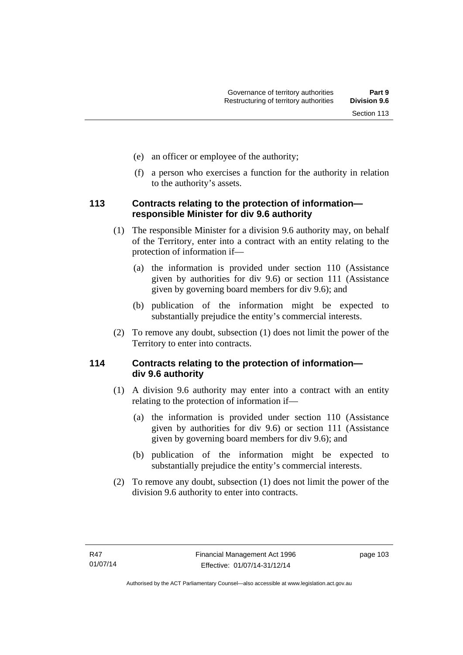- (e) an officer or employee of the authority;
- (f) a person who exercises a function for the authority in relation to the authority's assets.

## **113 Contracts relating to the protection of information responsible Minister for div 9.6 authority**

- (1) The responsible Minister for a division 9.6 authority may, on behalf of the Territory, enter into a contract with an entity relating to the protection of information if—
	- (a) the information is provided under section 110 (Assistance given by authorities for div 9.6) or section 111 (Assistance given by governing board members for div 9.6); and
	- (b) publication of the information might be expected to substantially prejudice the entity's commercial interests.
- (2) To remove any doubt, subsection (1) does not limit the power of the Territory to enter into contracts.

## **114 Contracts relating to the protection of information div 9.6 authority**

- (1) A division 9.6 authority may enter into a contract with an entity relating to the protection of information if—
	- (a) the information is provided under section 110 (Assistance given by authorities for div 9.6) or section 111 (Assistance given by governing board members for div 9.6); and
	- (b) publication of the information might be expected to substantially prejudice the entity's commercial interests.
- (2) To remove any doubt, subsection (1) does not limit the power of the division 9.6 authority to enter into contracts.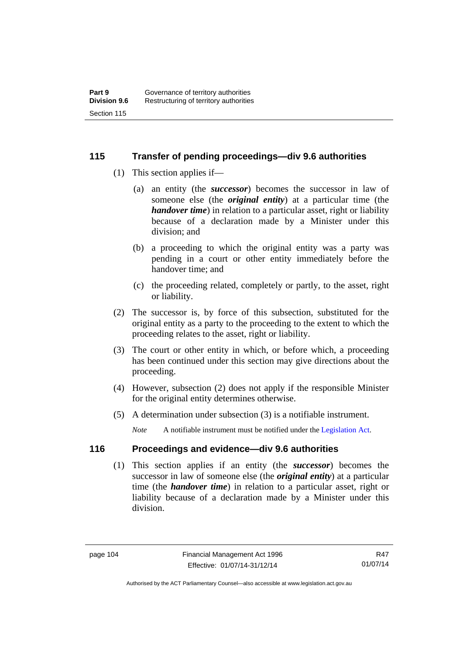## **115 Transfer of pending proceedings—div 9.6 authorities**

- (1) This section applies if—
	- (a) an entity (the *successor*) becomes the successor in law of someone else (the *original entity*) at a particular time (the *handover time*) in relation to a particular asset, right or liability because of a declaration made by a Minister under this division; and
	- (b) a proceeding to which the original entity was a party was pending in a court or other entity immediately before the handover time; and
	- (c) the proceeding related, completely or partly, to the asset, right or liability.
- (2) The successor is, by force of this subsection, substituted for the original entity as a party to the proceeding to the extent to which the proceeding relates to the asset, right or liability.
- (3) The court or other entity in which, or before which, a proceeding has been continued under this section may give directions about the proceeding.
- (4) However, subsection (2) does not apply if the responsible Minister for the original entity determines otherwise.
- (5) A determination under subsection (3) is a notifiable instrument.

*Note* A notifiable instrument must be notified under the [Legislation Act](http://www.legislation.act.gov.au/a/2001-14).

## **116 Proceedings and evidence—div 9.6 authorities**

 (1) This section applies if an entity (the *successor*) becomes the successor in law of someone else (the *original entity*) at a particular time (the *handover time*) in relation to a particular asset, right or liability because of a declaration made by a Minister under this division.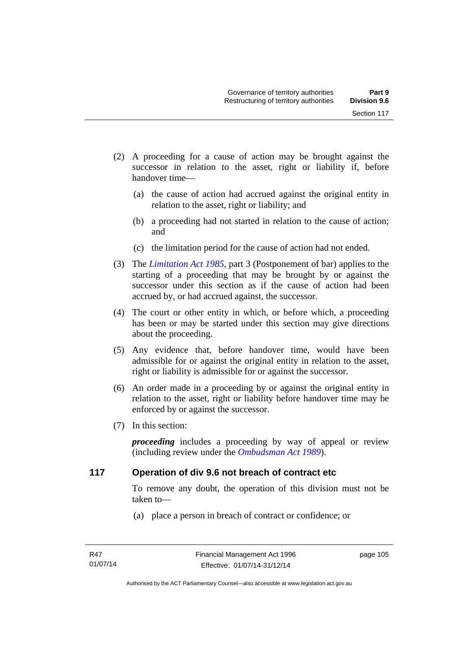- (2) A proceeding for a cause of action may be brought against the successor in relation to the asset, right or liability if, before handover time—
	- (a) the cause of action had accrued against the original entity in relation to the asset, right or liability; and
	- (b) a proceeding had not started in relation to the cause of action; and
	- (c) the limitation period for the cause of action had not ended.
- (3) The *[Limitation Act 1985](http://www.legislation.act.gov.au/a/1985-66),* part 3 (Postponement of bar) applies to the starting of a proceeding that may be brought by or against the successor under this section as if the cause of action had been accrued by, or had accrued against, the successor.
- (4) The court or other entity in which, or before which, a proceeding has been or may be started under this section may give directions about the proceeding.
- (5) Any evidence that, before handover time, would have been admissible for or against the original entity in relation to the asset, right or liability is admissible for or against the successor.
- (6) An order made in a proceeding by or against the original entity in relation to the asset, right or liability before handover time may be enforced by or against the successor.
- (7) In this section:

*proceeding* includes a proceeding by way of appeal or review (including review under the *[Ombudsman Act 1989](http://www.legislation.act.gov.au/a/alt_a1989-45co)*).

## **117 Operation of div 9.6 not breach of contract etc**

To remove any doubt, the operation of this division must not be taken to—

(a) place a person in breach of contract or confidence; or

page 105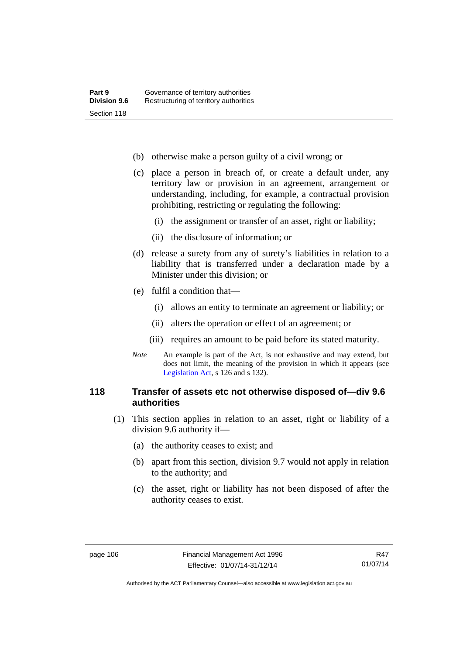- (b) otherwise make a person guilty of a civil wrong; or
- (c) place a person in breach of, or create a default under, any territory law or provision in an agreement, arrangement or understanding, including, for example, a contractual provision prohibiting, restricting or regulating the following:
	- (i) the assignment or transfer of an asset, right or liability;
	- (ii) the disclosure of information; or
- (d) release a surety from any of surety's liabilities in relation to a liability that is transferred under a declaration made by a Minister under this division; or
- (e) fulfil a condition that—
	- (i) allows an entity to terminate an agreement or liability; or
	- (ii) alters the operation or effect of an agreement; or
	- (iii) requires an amount to be paid before its stated maturity.
- *Note* An example is part of the Act, is not exhaustive and may extend, but does not limit, the meaning of the provision in which it appears (see [Legislation Act,](http://www.legislation.act.gov.au/a/2001-14) s 126 and s 132).

## **118 Transfer of assets etc not otherwise disposed of—div 9.6 authorities**

- (1) This section applies in relation to an asset, right or liability of a division 9.6 authority if—
	- (a) the authority ceases to exist; and
	- (b) apart from this section, division 9.7 would not apply in relation to the authority; and
	- (c) the asset, right or liability has not been disposed of after the authority ceases to exist.

Authorised by the ACT Parliamentary Counsel—also accessible at www.legislation.act.gov.au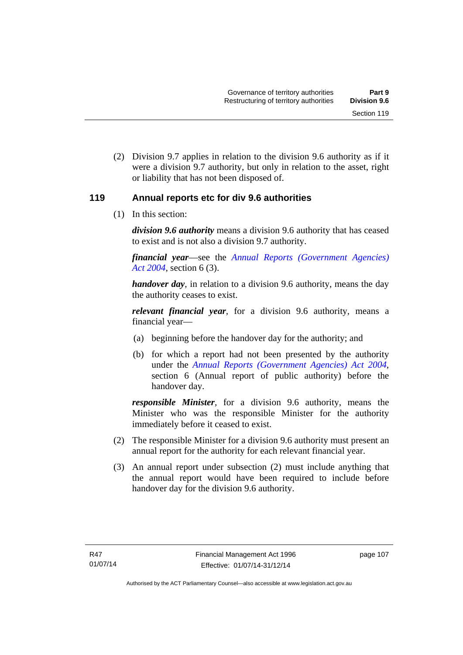(2) Division 9.7 applies in relation to the division 9.6 authority as if it were a division 9.7 authority, but only in relation to the asset, right or liability that has not been disposed of.

## **119 Annual reports etc for div 9.6 authorities**

(1) In this section:

*division 9.6 authority* means a division 9.6 authority that has ceased to exist and is not also a division 9.7 authority.

*financial year*––see the *[Annual Reports \(Government Agencies\)](http://www.legislation.act.gov.au/a/2004-8)  [Act 2004](http://www.legislation.act.gov.au/a/2004-8)*, section 6 (3).

*handover day*, in relation to a division 9.6 authority, means the day the authority ceases to exist.

*relevant financial year*, for a division 9.6 authority, means a financial year—

- (a) beginning before the handover day for the authority; and
- (b) for which a report had not been presented by the authority under the *[Annual Reports \(Government Agencies\) Act 2004](http://www.legislation.act.gov.au/a/2004-8)*, section 6 (Annual report of public authority) before the handover day.

*responsible Minister*, for a division 9.6 authority, means the Minister who was the responsible Minister for the authority immediately before it ceased to exist.

- (2) The responsible Minister for a division 9.6 authority must present an annual report for the authority for each relevant financial year.
- (3) An annual report under subsection (2) must include anything that the annual report would have been required to include before handover day for the division 9.6 authority.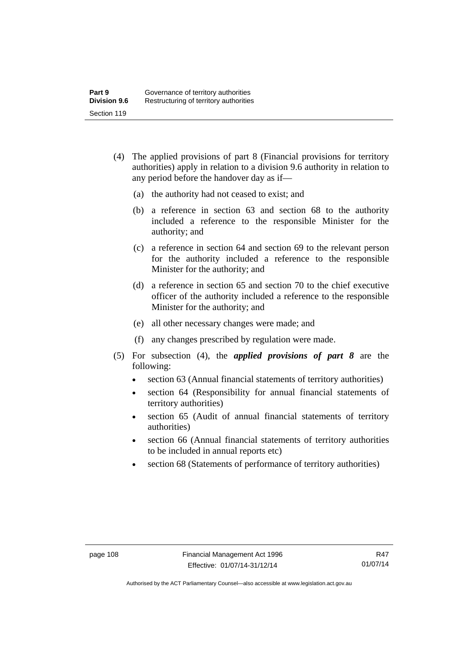- (4) The applied provisions of part 8 (Financial provisions for territory authorities) apply in relation to a division 9.6 authority in relation to any period before the handover day as if—
	- (a) the authority had not ceased to exist; and
	- (b) a reference in section 63 and section 68 to the authority included a reference to the responsible Minister for the authority; and
	- (c) a reference in section 64 and section 69 to the relevant person for the authority included a reference to the responsible Minister for the authority; and
	- (d) a reference in section 65 and section 70 to the chief executive officer of the authority included a reference to the responsible Minister for the authority; and
	- (e) all other necessary changes were made; and
	- (f) any changes prescribed by regulation were made.
- (5) For subsection (4), the *applied provisions of part 8* are the following:
	- section 63 (Annual financial statements of territory authorities)
	- section 64 (Responsibility for annual financial statements of territory authorities)
	- section 65 (Audit of annual financial statements of territory authorities)
	- section 66 (Annual financial statements of territory authorities to be included in annual reports etc)
	- section 68 (Statements of performance of territory authorities)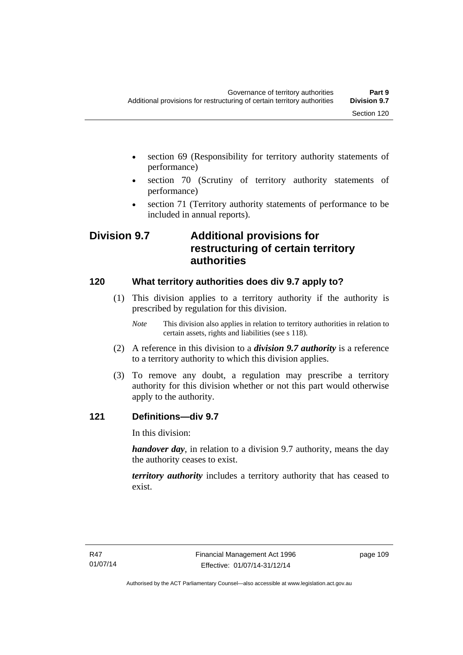- section 69 (Responsibility for territory authority statements of performance)
- section 70 (Scrutiny of territory authority statements of performance)
- section 71 (Territory authority statements of performance to be included in annual reports).

# **Division 9.7 Additional provisions for restructuring of certain territory authorities**

## **120 What territory authorities does div 9.7 apply to?**

- (1) This division applies to a territory authority if the authority is prescribed by regulation for this division.
	- *Note* This division also applies in relation to territory authorities in relation to certain assets, rights and liabilities (see s 118).
- (2) A reference in this division to a *division 9.7 authority* is a reference to a territory authority to which this division applies.
- (3) To remove any doubt, a regulation may prescribe a territory authority for this division whether or not this part would otherwise apply to the authority.

## **121 Definitions—div 9.7**

In this division:

*handover day*, in relation to a division 9.7 authority, means the day the authority ceases to exist.

*territory authority* includes a territory authority that has ceased to exist.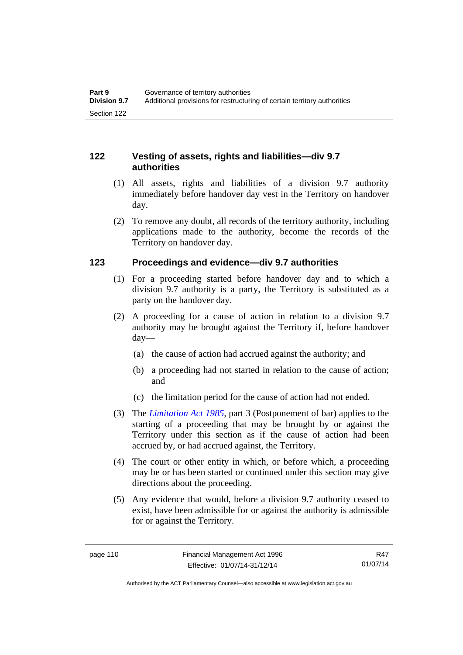## **122 Vesting of assets, rights and liabilities—div 9.7 authorities**

- (1) All assets, rights and liabilities of a division 9.7 authority immediately before handover day vest in the Territory on handover day.
- (2) To remove any doubt, all records of the territory authority, including applications made to the authority, become the records of the Territory on handover day.

## **123 Proceedings and evidence—div 9.7 authorities**

- (1) For a proceeding started before handover day and to which a division 9.7 authority is a party, the Territory is substituted as a party on the handover day.
- (2) A proceeding for a cause of action in relation to a division 9.7 authority may be brought against the Territory if, before handover day—
	- (a) the cause of action had accrued against the authority; and
	- (b) a proceeding had not started in relation to the cause of action; and
	- (c) the limitation period for the cause of action had not ended.
- (3) The *[Limitation Act 1985](http://www.legislation.act.gov.au/a/1985-66),* part 3 (Postponement of bar) applies to the starting of a proceeding that may be brought by or against the Territory under this section as if the cause of action had been accrued by, or had accrued against, the Territory.
- (4) The court or other entity in which, or before which, a proceeding may be or has been started or continued under this section may give directions about the proceeding.
- (5) Any evidence that would, before a division 9.7 authority ceased to exist, have been admissible for or against the authority is admissible for or against the Territory.

R47 01/07/14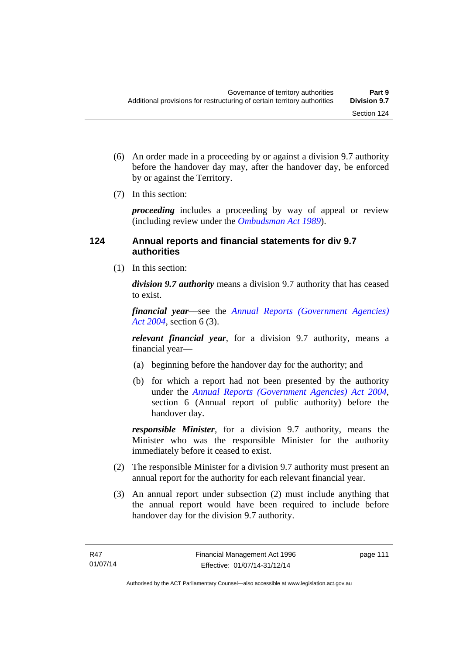- (6) An order made in a proceeding by or against a division 9.7 authority before the handover day may, after the handover day, be enforced by or against the Territory.
- (7) In this section:

*proceeding* includes a proceeding by way of appeal or review (including review under the *[Ombudsman Act 1989](http://www.legislation.act.gov.au/a/alt_a1989-45co)*).

## **124 Annual reports and financial statements for div 9.7 authorities**

(1) In this section:

*division 9.7 authority* means a division 9.7 authority that has ceased to exist.

*financial year*––see the *[Annual Reports \(Government Agencies\)](http://www.legislation.act.gov.au/a/2004-8)  [Act 2004](http://www.legislation.act.gov.au/a/2004-8)*, section 6 (3).

*relevant financial year*, for a division 9.7 authority, means a financial year—

- (a) beginning before the handover day for the authority; and
- (b) for which a report had not been presented by the authority under the *[Annual Reports \(Government Agencies\) Act 2004](http://www.legislation.act.gov.au/a/2004-8)*, section 6 (Annual report of public authority) before the handover day.

*responsible Minister*, for a division 9.7 authority, means the Minister who was the responsible Minister for the authority immediately before it ceased to exist.

- (2) The responsible Minister for a division 9.7 authority must present an annual report for the authority for each relevant financial year.
- (3) An annual report under subsection (2) must include anything that the annual report would have been required to include before handover day for the division 9.7 authority.

page 111

Authorised by the ACT Parliamentary Counsel—also accessible at www.legislation.act.gov.au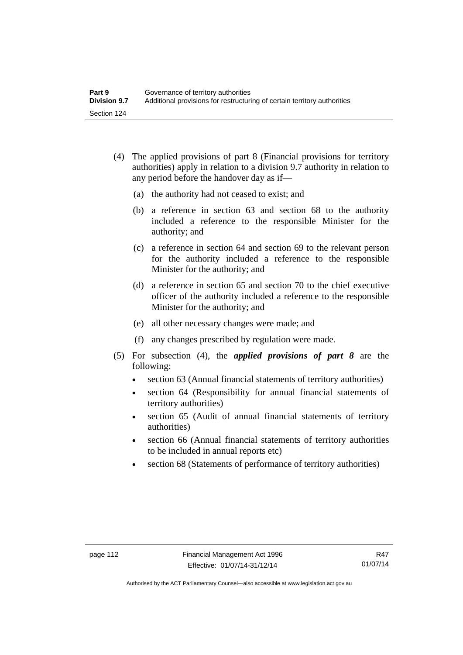- (4) The applied provisions of part 8 (Financial provisions for territory authorities) apply in relation to a division 9.7 authority in relation to any period before the handover day as if—
	- (a) the authority had not ceased to exist; and
	- (b) a reference in section 63 and section 68 to the authority included a reference to the responsible Minister for the authority; and
	- (c) a reference in section 64 and section 69 to the relevant person for the authority included a reference to the responsible Minister for the authority; and
	- (d) a reference in section 65 and section 70 to the chief executive officer of the authority included a reference to the responsible Minister for the authority; and
	- (e) all other necessary changes were made; and
	- (f) any changes prescribed by regulation were made.
- (5) For subsection (4), the *applied provisions of part 8* are the following:
	- section 63 (Annual financial statements of territory authorities)
	- section 64 (Responsibility for annual financial statements of territory authorities)
	- section 65 (Audit of annual financial statements of territory authorities)
	- section 66 (Annual financial statements of territory authorities to be included in annual reports etc)
	- section 68 (Statements of performance of territory authorities)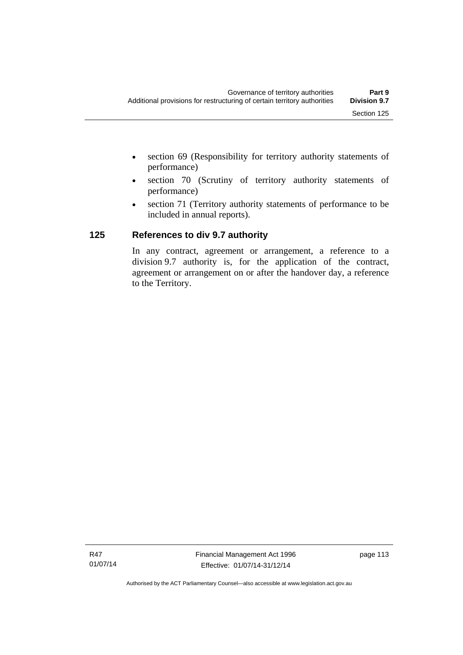- section 69 (Responsibility for territory authority statements of performance)
- section 70 (Scrutiny of territory authority statements of performance)
- section 71 (Territory authority statements of performance to be included in annual reports).

## **125 References to div 9.7 authority**

In any contract, agreement or arrangement, a reference to a division 9.7 authority is, for the application of the contract, agreement or arrangement on or after the handover day, a reference to the Territory.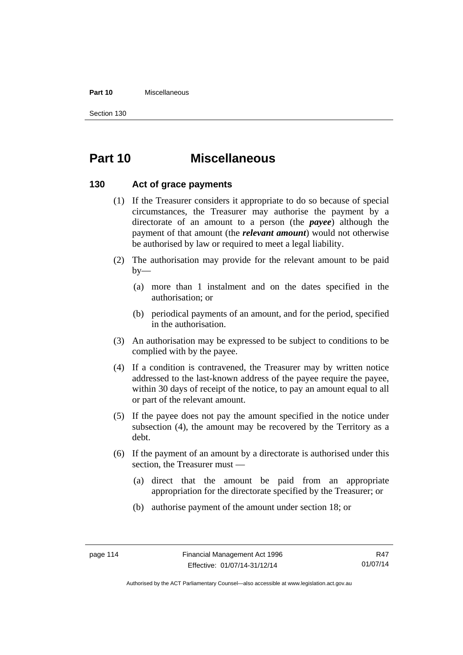#### **Part 10** Miscellaneous

Section 130

# **Part 10 Miscellaneous**

## **130 Act of grace payments**

- (1) If the Treasurer considers it appropriate to do so because of special circumstances, the Treasurer may authorise the payment by a directorate of an amount to a person (the *payee*) although the payment of that amount (the *relevant amount*) would not otherwise be authorised by law or required to meet a legal liability.
- (2) The authorisation may provide for the relevant amount to be paid  $by-$ 
	- (a) more than 1 instalment and on the dates specified in the authorisation; or
	- (b) periodical payments of an amount, and for the period, specified in the authorisation.
- (3) An authorisation may be expressed to be subject to conditions to be complied with by the payee.
- (4) If a condition is contravened, the Treasurer may by written notice addressed to the last-known address of the payee require the payee, within 30 days of receipt of the notice, to pay an amount equal to all or part of the relevant amount.
- (5) If the payee does not pay the amount specified in the notice under subsection (4), the amount may be recovered by the Territory as a debt.
- (6) If the payment of an amount by a directorate is authorised under this section, the Treasurer must —
	- (a) direct that the amount be paid from an appropriate appropriation for the directorate specified by the Treasurer; or
	- (b) authorise payment of the amount under section 18; or

Authorised by the ACT Parliamentary Counsel—also accessible at www.legislation.act.gov.au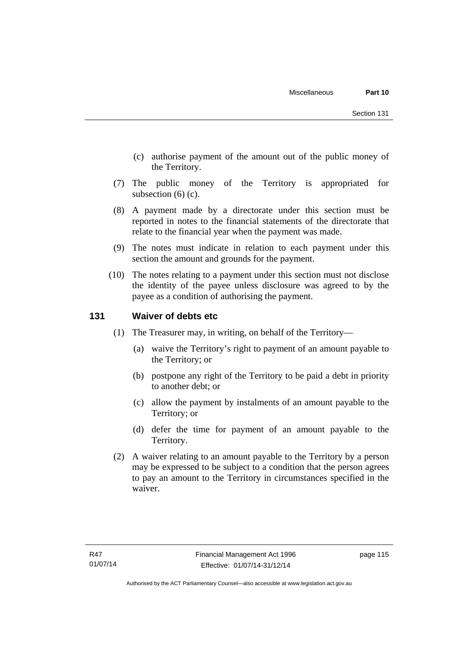- (c) authorise payment of the amount out of the public money of the Territory.
- (7) The public money of the Territory is appropriated for subsection (6) (c).
- (8) A payment made by a directorate under this section must be reported in notes to the financial statements of the directorate that relate to the financial year when the payment was made.
- (9) The notes must indicate in relation to each payment under this section the amount and grounds for the payment.
- (10) The notes relating to a payment under this section must not disclose the identity of the payee unless disclosure was agreed to by the payee as a condition of authorising the payment.

## **131 Waiver of debts etc**

- (1) The Treasurer may, in writing, on behalf of the Territory—
	- (a) waive the Territory's right to payment of an amount payable to the Territory; or
	- (b) postpone any right of the Territory to be paid a debt in priority to another debt; or
	- (c) allow the payment by instalments of an amount payable to the Territory; or
	- (d) defer the time for payment of an amount payable to the Territory.
- (2) A waiver relating to an amount payable to the Territory by a person may be expressed to be subject to a condition that the person agrees to pay an amount to the Territory in circumstances specified in the waiver.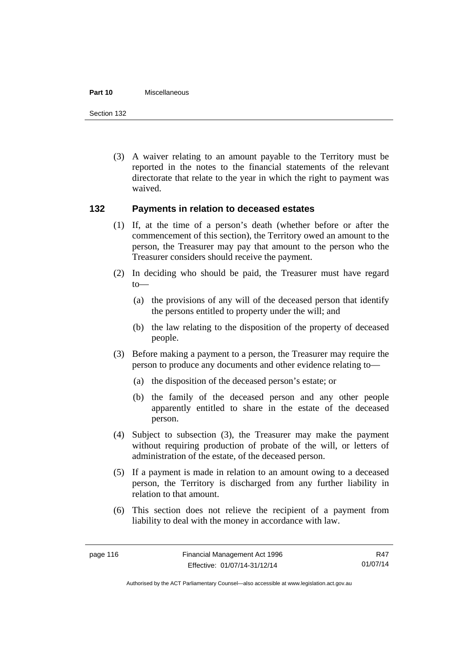#### **Part 10** Miscellaneous

Section 132

 (3) A waiver relating to an amount payable to the Territory must be reported in the notes to the financial statements of the relevant directorate that relate to the year in which the right to payment was waived.

## **132 Payments in relation to deceased estates**

- (1) If, at the time of a person's death (whether before or after the commencement of this section), the Territory owed an amount to the person, the Treasurer may pay that amount to the person who the Treasurer considers should receive the payment.
- (2) In deciding who should be paid, the Treasurer must have regard to—
	- (a) the provisions of any will of the deceased person that identify the persons entitled to property under the will; and
	- (b) the law relating to the disposition of the property of deceased people.
- (3) Before making a payment to a person, the Treasurer may require the person to produce any documents and other evidence relating to—
	- (a) the disposition of the deceased person's estate; or
	- (b) the family of the deceased person and any other people apparently entitled to share in the estate of the deceased person.
- (4) Subject to subsection (3), the Treasurer may make the payment without requiring production of probate of the will, or letters of administration of the estate, of the deceased person.
- (5) If a payment is made in relation to an amount owing to a deceased person, the Territory is discharged from any further liability in relation to that amount.
- (6) This section does not relieve the recipient of a payment from liability to deal with the money in accordance with law.

R47 01/07/14

Authorised by the ACT Parliamentary Counsel—also accessible at www.legislation.act.gov.au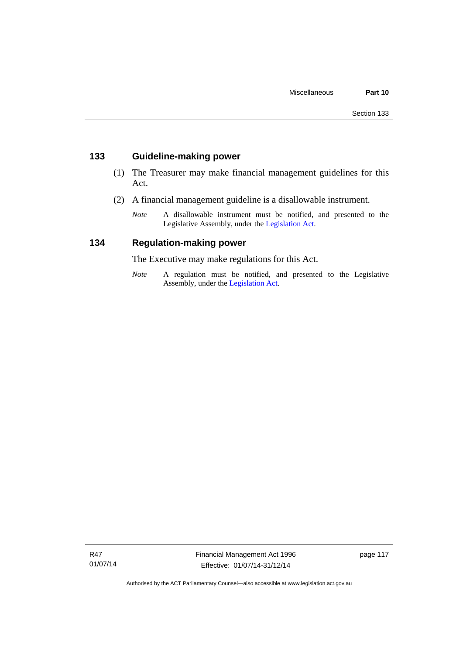## **133 Guideline-making power**

- (1) The Treasurer may make financial management guidelines for this Act.
- (2) A financial management guideline is a disallowable instrument.
	- *Note* A disallowable instrument must be notified, and presented to the Legislative Assembly, under the [Legislation Act.](http://www.legislation.act.gov.au/a/2001-14)

## **134 Regulation-making power**

The Executive may make regulations for this Act.

*Note* A regulation must be notified, and presented to the Legislative Assembly, under the [Legislation Act](http://www.legislation.act.gov.au/a/2001-14).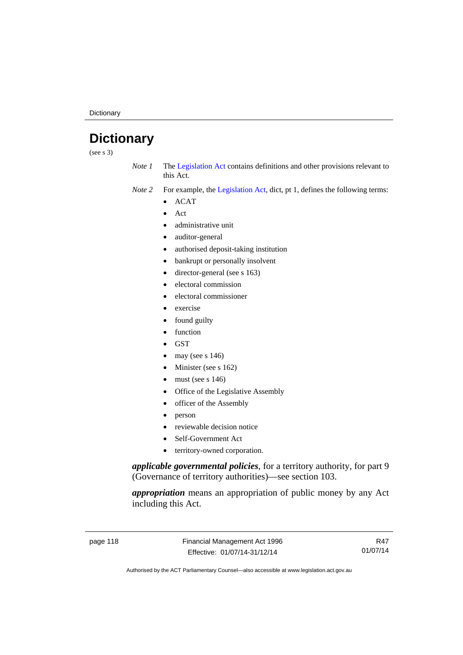**Dictionary** 

# **Dictionary**

(see s 3)

- *Note 1* The [Legislation Act](http://www.legislation.act.gov.au/a/2001-14) contains definitions and other provisions relevant to this Act.
- *Note 2* For example, the [Legislation Act,](http://www.legislation.act.gov.au/a/2001-14) dict, pt 1, defines the following terms:
	- $\bullet$  ACAT
	- Act
	- administrative unit
	- auditor-general
	- authorised deposit-taking institution
	- bankrupt or personally insolvent
	- director-general (see s 163)
	- electoral commission
	- electoral commissioner
	- exercise
	- found guilty
	- function
	- **GST**
	- may (see s 146)
	- Minister (see s 162)
	- must (see s 146)
	- Office of the Legislative Assembly
	- officer of the Assembly
	- person
	- reviewable decision notice
	- Self-Government Act
	- territory-owned corporation.

*applicable governmental policies*, for a territory authority, for part 9 (Governance of territory authorities)—see section 103.

*appropriation* means an appropriation of public money by any Act including this Act.

page 118 Financial Management Act 1996 Effective: 01/07/14-31/12/14

R47 01/07/14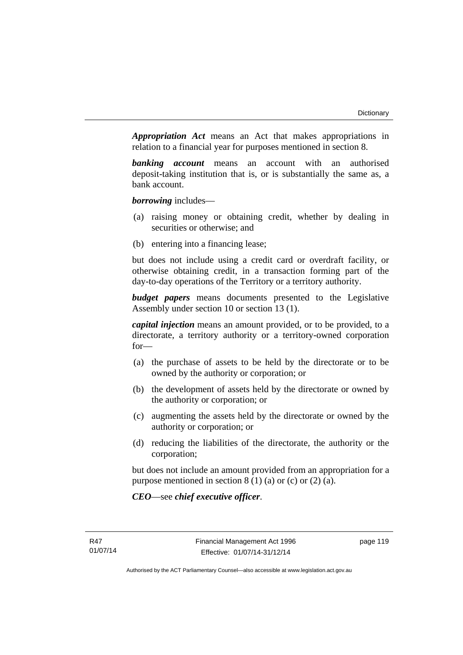*Appropriation Act* means an Act that makes appropriations in relation to a financial year for purposes mentioned in section 8.

*banking account* means an account with an authorised deposit-taking institution that is, or is substantially the same as, a bank account.

*borrowing* includes—

- (a) raising money or obtaining credit, whether by dealing in securities or otherwise; and
- (b) entering into a financing lease;

but does not include using a credit card or overdraft facility, or otherwise obtaining credit, in a transaction forming part of the day-to-day operations of the Territory or a territory authority.

*budget papers* means documents presented to the Legislative Assembly under section 10 or section 13 (1).

*capital injection* means an amount provided, or to be provided, to a directorate, a territory authority or a territory-owned corporation for—

- (a) the purchase of assets to be held by the directorate or to be owned by the authority or corporation; or
- (b) the development of assets held by the directorate or owned by the authority or corporation; or
- (c) augmenting the assets held by the directorate or owned by the authority or corporation; or
- (d) reducing the liabilities of the directorate, the authority or the corporation;

but does not include an amount provided from an appropriation for a purpose mentioned in section  $8(1)(a)$  or  $(c)$  or  $(2)(a)$ .

*CEO*—see *chief executive officer*.

page 119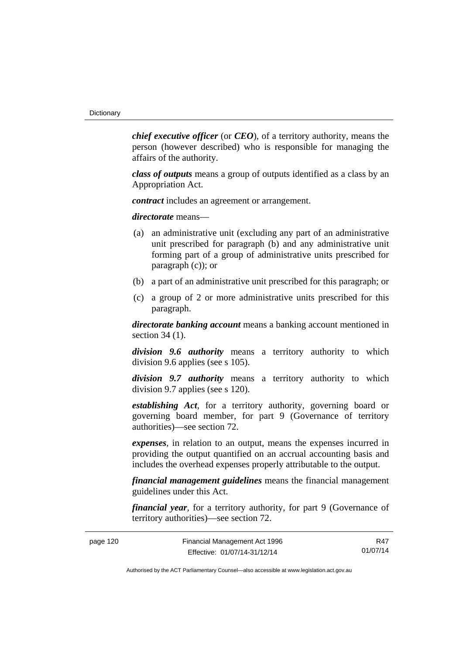*chief executive officer* (or *CEO*), of a territory authority, means the person (however described) who is responsible for managing the affairs of the authority.

*class of outputs* means a group of outputs identified as a class by an Appropriation Act.

*contract* includes an agreement or arrangement.

*directorate* means––

- (a) an administrative unit (excluding any part of an administrative unit prescribed for paragraph (b) and any administrative unit forming part of a group of administrative units prescribed for paragraph (c)); or
- (b) a part of an administrative unit prescribed for this paragraph; or
- (c) a group of 2 or more administrative units prescribed for this paragraph.

*directorate banking account* means a banking account mentioned in section 34 (1).

*division 9.6 authority* means a territory authority to which division 9.6 applies (see s 105).

*division 9.7 authority* means a territory authority to which division 9.7 applies (see s 120).

*establishing Act*, for a territory authority, governing board or governing board member, for part 9 (Governance of territory authorities)—see section 72.

*expenses*, in relation to an output, means the expenses incurred in providing the output quantified on an accrual accounting basis and includes the overhead expenses properly attributable to the output.

*financial management guidelines* means the financial management guidelines under this Act.

*financial year*, for a territory authority, for part 9 (Governance of territory authorities)—see section 72.

| page 120 | Financial Management Act 1996 | R47      |
|----------|-------------------------------|----------|
|          | Effective: 01/07/14-31/12/14  | 01/07/14 |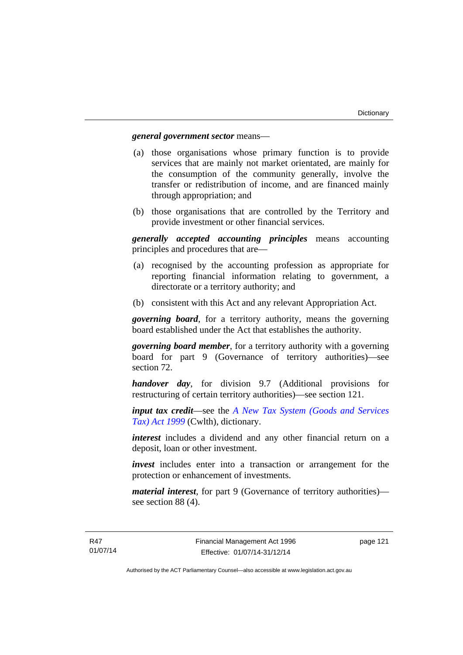### *general government sector* means—

- (a) those organisations whose primary function is to provide services that are mainly not market orientated, are mainly for the consumption of the community generally, involve the transfer or redistribution of income, and are financed mainly through appropriation; and
- (b) those organisations that are controlled by the Territory and provide investment or other financial services.

*generally accepted accounting principles* means accounting principles and procedures that are—

- (a) recognised by the accounting profession as appropriate for reporting financial information relating to government, a directorate or a territory authority; and
- (b) consistent with this Act and any relevant Appropriation Act.

*governing board*, for a territory authority, means the governing board established under the Act that establishes the authority.

*governing board member*, for a territory authority with a governing board for part 9 (Governance of territory authorities)—see section 72.

*handover day*, for division 9.7 (Additional provisions for restructuring of certain territory authorities)—see section 121.

*input tax credit*—see the *[A New Tax System \(Goods and Services](http://www.comlaw.gov.au/Series/C2004A00446)  [Tax\) Act 1999](http://www.comlaw.gov.au/Series/C2004A00446)* (Cwlth), dictionary.

*interest* includes a dividend and any other financial return on a deposit, loan or other investment.

*invest* includes enter into a transaction or arrangement for the protection or enhancement of investments.

*material interest*, for part 9 (Governance of territory authorities) see section 88 (4).

page 121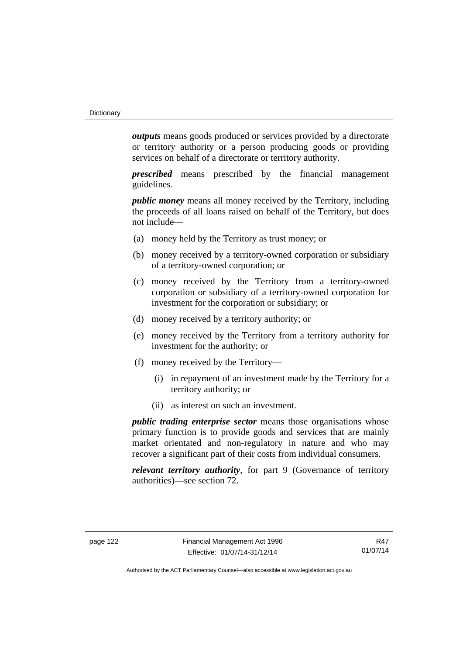*outputs* means goods produced or services provided by a directorate or territory authority or a person producing goods or providing services on behalf of a directorate or territory authority.

*prescribed* means prescribed by the financial management guidelines.

*public money* means all money received by the Territory, including the proceeds of all loans raised on behalf of the Territory, but does not include—

- (a) money held by the Territory as trust money; or
- (b) money received by a territory-owned corporation or subsidiary of a territory-owned corporation; or
- (c) money received by the Territory from a territory-owned corporation or subsidiary of a territory-owned corporation for investment for the corporation or subsidiary; or
- (d) money received by a territory authority; or
- (e) money received by the Territory from a territory authority for investment for the authority; or
- (f) money received by the Territory—
	- (i) in repayment of an investment made by the Territory for a territory authority; or
	- (ii) as interest on such an investment.

*public trading enterprise sector* means those organisations whose primary function is to provide goods and services that are mainly market orientated and non-regulatory in nature and who may recover a significant part of their costs from individual consumers.

*relevant territory authority*, for part 9 (Governance of territory authorities)—see section 72.

R47 01/07/14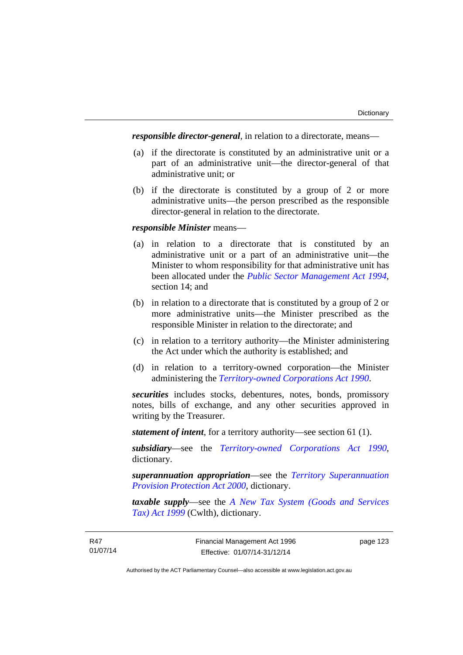*responsible director-general*, in relation to a directorate, means—

- (a) if the directorate is constituted by an administrative unit or a part of an administrative unit—the director-general of that administrative unit; or
- (b) if the directorate is constituted by a group of 2 or more administrative units—the person prescribed as the responsible director-general in relation to the directorate.

## *responsible Minister* means—

- (a) in relation to a directorate that is constituted by an administrative unit or a part of an administrative unit—the Minister to whom responsibility for that administrative unit has been allocated under the *[Public Sector Management Act 1994](http://www.legislation.act.gov.au/a/1994-37)*, section 14; and
- (b) in relation to a directorate that is constituted by a group of 2 or more administrative units—the Minister prescribed as the responsible Minister in relation to the directorate; and
- (c) in relation to a territory authority—the Minister administering the Act under which the authority is established; and
- (d) in relation to a territory-owned corporation—the Minister administering the *[Territory-owned Corporations Act 1990](http://www.legislation.act.gov.au/a/1990-53)*.

*securities* includes stocks, debentures, notes, bonds, promissory notes, bills of exchange, and any other securities approved in writing by the Treasurer.

*statement of intent*, for a territory authority—see section 61 (1).

*subsidiary*—see the *[Territory-owned Corporations Act 1990](http://www.legislation.act.gov.au/a/1990-53)*, dictionary.

*superannuation appropriation*—see the *[Territory Superannuation](http://www.legislation.act.gov.au/a/2000-21)  [Provision Protection Act 2000](http://www.legislation.act.gov.au/a/2000-21)*, dictionary.

*taxable supply*—see the *[A New Tax System \(Goods and Services](http://www.comlaw.gov.au/Series/C2004A00446)  [Tax\) Act 1999](http://www.comlaw.gov.au/Series/C2004A00446)* (Cwlth), dictionary.

page 123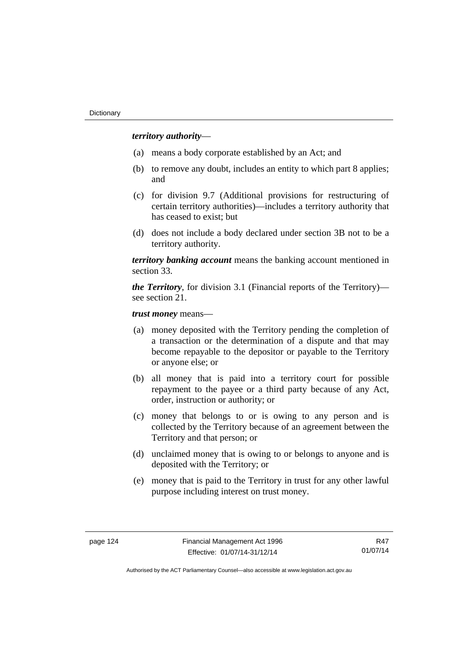## *territory authority*—

- (a) means a body corporate established by an Act; and
- (b) to remove any doubt, includes an entity to which part 8 applies; and
- (c) for division 9.7 (Additional provisions for restructuring of certain territory authorities)—includes a territory authority that has ceased to exist; but
- (d) does not include a body declared under section 3B not to be a territory authority.

*territory banking account* means the banking account mentioned in section 33.

*the Territory*, for division 3.1 (Financial reports of the Territory) see section 21.

*trust money* means—

- (a) money deposited with the Territory pending the completion of a transaction or the determination of a dispute and that may become repayable to the depositor or payable to the Territory or anyone else; or
- (b) all money that is paid into a territory court for possible repayment to the payee or a third party because of any Act, order, instruction or authority; or
- (c) money that belongs to or is owing to any person and is collected by the Territory because of an agreement between the Territory and that person; or
- (d) unclaimed money that is owing to or belongs to anyone and is deposited with the Territory; or
- (e) money that is paid to the Territory in trust for any other lawful purpose including interest on trust money.

R47 01/07/14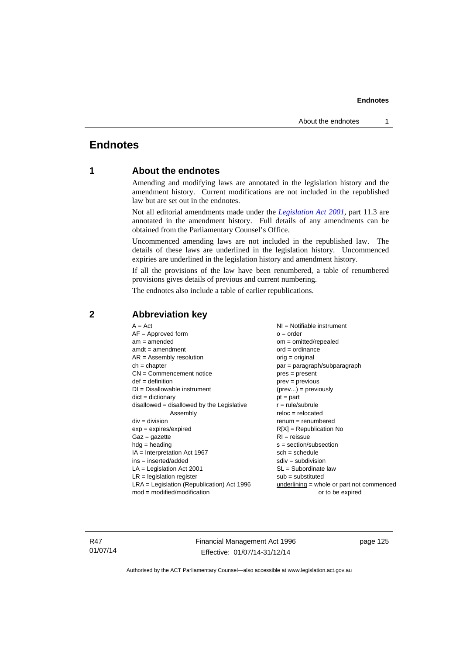## **Endnotes**

## **1 About the endnotes**

Amending and modifying laws are annotated in the legislation history and the amendment history. Current modifications are not included in the republished law but are set out in the endnotes.

Not all editorial amendments made under the *[Legislation Act 2001](http://www.legislation.act.gov.au/a/2001-14)*, part 11.3 are annotated in the amendment history. Full details of any amendments can be obtained from the Parliamentary Counsel's Office.

Uncommenced amending laws are not included in the republished law. The details of these laws are underlined in the legislation history. Uncommenced expiries are underlined in the legislation history and amendment history.

If all the provisions of the law have been renumbered, a table of renumbered provisions gives details of previous and current numbering.

The endnotes also include a table of earlier republications.

| $A = Act$                                    | $NI = Notifiable$ instrument                |
|----------------------------------------------|---------------------------------------------|
| $AF =$ Approved form                         | $o = order$                                 |
| $am = amended$                               | om = omitted/repealed                       |
| $amdt = amendment$                           | $ord = ordinance$                           |
| $AR = Assembly resolution$                   | $orig = original$                           |
| $ch = chapter$                               | par = paragraph/subparagraph                |
| $CN =$ Commencement notice                   | $pres = present$                            |
| $def = definition$                           | $prev = previous$                           |
| $DI = Disallowable instrument$               | $(\text{prev}) = \text{previously}$         |
| $dict = dictionary$                          | $pt = part$                                 |
| $disallowed = disallowed by the Legislative$ | $r = rule/subrule$                          |
| Assembly                                     | $reloc = relocated$                         |
| $div = division$                             | $renum = renumbered$                        |
| $exp = expires/expired$                      | $R[X]$ = Republication No                   |
| $Gaz = gazette$                              | $RI = reissue$                              |
| $hdg =$ heading                              | s = section/subsection                      |
| $IA = Interpretation Act 1967$               | $sch = schedule$                            |
| $ins = inserted/added$                       | $sdiv = subdivision$                        |
| $LA =$ Legislation Act 2001                  | $SL = Subordinate$ law                      |
| $LR =$ legislation register                  | $sub =$ substituted                         |
| $LRA =$ Legislation (Republication) Act 1996 | $underlining = whole or part not commenced$ |
| $mod = modified/modification$                | or to be expired                            |

## **2 Abbreviation key**

R47 01/07/14 Financial Management Act 1996 Effective: 01/07/14-31/12/14

page 125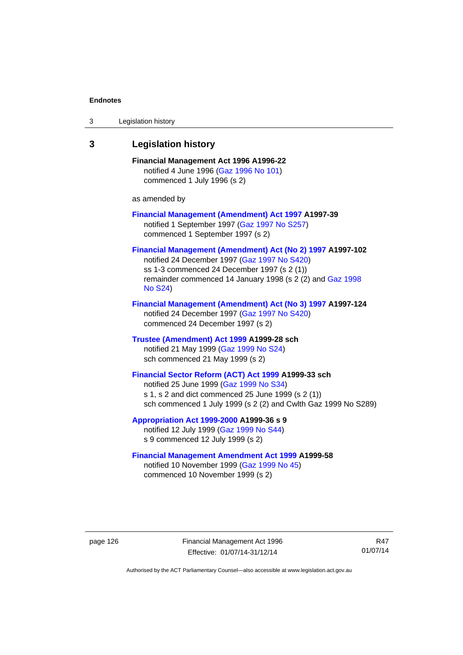| 3 | Legislation history                                                                                                                                                                                                                      |
|---|------------------------------------------------------------------------------------------------------------------------------------------------------------------------------------------------------------------------------------------|
| 3 | <b>Legislation history</b>                                                                                                                                                                                                               |
|   | Financial Management Act 1996 A1996-22<br>notified 4 June 1996 (Gaz 1996 No 101)<br>commenced 1 July 1996 (s 2)                                                                                                                          |
|   | as amended by                                                                                                                                                                                                                            |
|   | <b>Financial Management (Amendment) Act 1997 A1997-39</b><br>notified 1 September 1997 (Gaz 1997 No S257)<br>commenced 1 September 1997 (s 2)                                                                                            |
|   | Financial Management (Amendment) Act (No 2) 1997 A1997-102<br>notified 24 December 1997 (Gaz 1997 No S420)<br>ss 1-3 commenced 24 December 1997 (s 2 (1))<br>remainder commenced 14 January 1998 (s 2 (2) and Gaz 1998<br><b>No S24)</b> |
|   | Financial Management (Amendment) Act (No 3) 1997 A1997-124<br>notified 24 December 1997 (Gaz 1997 No S420)<br>commenced 24 December 1997 (s 2)                                                                                           |
|   | Trustee (Amendment) Act 1999 A1999-28 sch<br>notified 21 May 1999 (Gaz 1999 No S24)<br>sch commenced 21 May 1999 (s 2)                                                                                                                   |
|   | Financial Sector Reform (ACT) Act 1999 A1999-33 sch<br>notified 25 June 1999 (Gaz 1999 No S34)<br>s 1, s 2 and dict commenced 25 June 1999 (s 2 (1))<br>sch commenced 1 July 1999 (s 2 (2) and Cwlth Gaz 1999 No S289)                   |
|   | Appropriation Act 1999-2000 A1999-36 s 9<br>notified 12 July 1999 (Gaz 1999 No S44)<br>s 9 commenced 12 July 1999 (s 2)                                                                                                                  |
|   | <b>Financial Management Amendment Act 1999 A1999-58</b><br>notified 10 November 1999 (Gaz 1999 No 45)<br>commenced 10 November 1999 (s 2)                                                                                                |

page 126 Financial Management Act 1996 Effective: 01/07/14-31/12/14

R47 01/07/14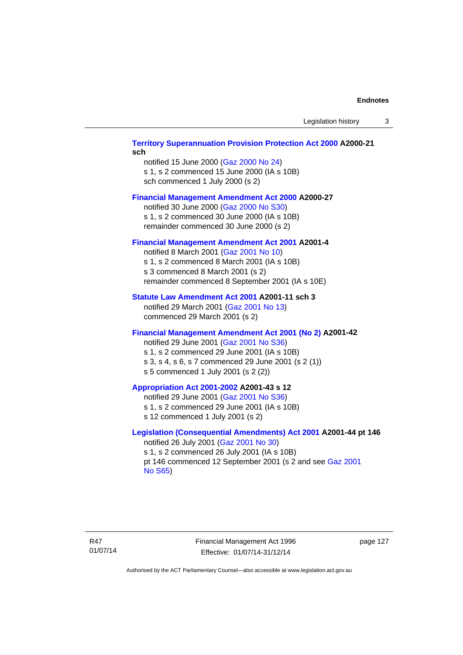### **[Territory Superannuation Provision Protection Act 2000](http://www.legislation.act.gov.au/a/2000-21) A2000-21 sch**

notified 15 June 2000 ([Gaz 2000 No 24\)](http://www.legislation.act.gov.au/gaz/2000-24/default.asp) s 1, s 2 commenced 15 June 2000 (IA s 10B) sch commenced 1 July 2000 (s 2)

### **[Financial Management Amendment Act 2000](http://www.legislation.act.gov.au/a/2000-27) A2000-27**

notified 30 June 2000 ([Gaz 2000 No S30](http://www.legislation.act.gov.au/gaz/2000-S30/default.asp)) s 1, s 2 commenced 30 June 2000 (IA s 10B) remainder commenced 30 June 2000 (s 2)

#### **[Financial Management Amendment Act 2001](http://www.legislation.act.gov.au/a/2001-4) A2001-4**

notified 8 March 2001 [\(Gaz 2001 No 10](http://www.legislation.act.gov.au/gaz/2001-10/default.asp)) s 1, s 2 commenced 8 March 2001 (IA s 10B) s 3 commenced 8 March 2001 (s 2) remainder commenced 8 September 2001 (IA s 10E)

### **[Statute Law Amendment Act 2001](http://www.legislation.act.gov.au/a/2001-11) A2001-11 sch 3**

notified 29 March 2001 ([Gaz 2001 No 13\)](http://www.legislation.act.gov.au/gaz/2001-13/default.asp) commenced 29 March 2001 (s 2)

### **[Financial Management Amendment Act 2001 \(No 2\)](http://www.legislation.act.gov.au/a/2001-42) A2001-42**

notified 29 June 2001 ([Gaz 2001 No S36](http://www.legislation.act.gov.au/gaz/2001-S36/default.asp)) s 1, s 2 commenced 29 June 2001 (IA s 10B) s 3, s 4, s 6, s 7 commenced 29 June 2001 (s 2 (1)) s 5 commenced 1 July 2001 (s 2 (2))

## **[Appropriation Act 2001-2002](http://www.legislation.act.gov.au/a/2001-43/default.asp) A2001-43 s 12**

notified 29 June 2001 ([Gaz 2001 No S36](http://www.legislation.act.gov.au/gaz/2001-S36/default.asp)) s 1, s 2 commenced 29 June 2001 (IA s 10B) s 12 commenced 1 July 2001 (s 2)

## **[Legislation \(Consequential Amendments\) Act 2001](http://www.legislation.act.gov.au/a/2001-44) A2001-44 pt 146**

notified 26 July 2001 ([Gaz 2001 No 30\)](http://www.legislation.act.gov.au/gaz/2001-30/default.asp) s 1, s 2 commenced 26 July 2001 (IA s 10B) pt 146 commenced 12 September 2001 (s 2 and see [Gaz 2001](http://www.legislation.act.gov.au/gaz/2001-S65/default.asp)  [No S65](http://www.legislation.act.gov.au/gaz/2001-S65/default.asp))

Financial Management Act 1996 Effective: 01/07/14-31/12/14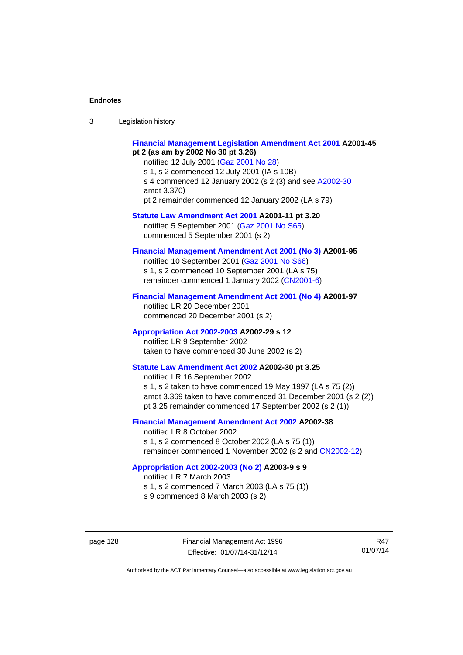| $\sqrt{2}$<br>- 3 | Legislation history |  |
|-------------------|---------------------|--|
|-------------------|---------------------|--|

### **[Financial Management Legislation Amendment Act 2001](http://www.legislation.act.gov.au/a/2001-45) A2001-45 pt 2 (as am by 2002 No 30 pt 3.26)**

notified 12 July 2001 ([Gaz 2001 No 28\)](http://www.legislation.act.gov.au/gaz/2001-28/default.asp) s 1, s 2 commenced 12 July 2001 (IA s 10B) s 4 commenced 12 January 2002 (s 2 (3) and see [A2002-30](http://www.legislation.act.gov.au/a/2002-30/default.asp) amdt 3.370) pt 2 remainder commenced 12 January 2002 (LA s 79)

**[Statute Law Amendment Act 2001](http://www.legislation.act.gov.au/a/2001-11) A2001-11 pt 3.20**  notified 5 September 2001 [\(Gaz 2001 No S65\)](http://www.legislation.act.gov.au/gaz/2001-S65/default.asp) commenced 5 September 2001 (s 2)

### **[Financial Management Amendment Act 2001 \(No 3\)](http://www.legislation.act.gov.au/a/2001-95) A2001-95**

notified 10 September 2001 [\(Gaz 2001 No S66\)](http://www.legislation.act.gov.au/gaz/2001-S66/default.asp) s 1, s 2 commenced 10 September 2001 (LA s 75) remainder commenced 1 January 2002 [\(CN2001-6\)](http://www.legislation.act.gov.au/cn/2001-6/default.asp)

### **[Financial Management Amendment Act 2001 \(No 4\)](http://www.legislation.act.gov.au/a/2001-97) A2001-97**

notified LR 20 December 2001 commenced 20 December 2001 (s 2)

### **[Appropriation Act 2002-2003](http://www.legislation.act.gov.au/a/2002-29/default.asp) A2002-29 s 12**

notified LR 9 September 2002 taken to have commenced 30 June 2002 (s 2)

## **[Statute Law Amendment Act 2002](http://www.legislation.act.gov.au/a/2002-30) A2002-30 pt 3.25**

notified LR 16 September 2002 s 1, s 2 taken to have commenced 19 May 1997 (LA s 75 (2)) amdt 3.369 taken to have commenced 31 December 2001 (s 2 (2)) pt 3.25 remainder commenced 17 September 2002 (s 2 (1))

## **[Financial Management Amendment Act 2002](http://www.legislation.act.gov.au/a/2002-38) A2002-38**

notified LR 8 October 2002 s 1, s 2 commenced 8 October 2002 (LA s 75 (1)) remainder commenced 1 November 2002 (s 2 and [CN2002-12](http://www.legislation.act.gov.au/cn/2002-12/default.asp))

#### **[Appropriation Act 2002-2003 \(No 2\)](http://www.legislation.act.gov.au/a/2003-9/default.asp) A2003-9 s 9**

notified LR 7 March 2003

s 1, s 2 commenced 7 March 2003 (LA s 75 (1))

s 9 commenced 8 March 2003 (s 2)

page 128 Financial Management Act 1996 Effective: 01/07/14-31/12/14

R47 01/07/14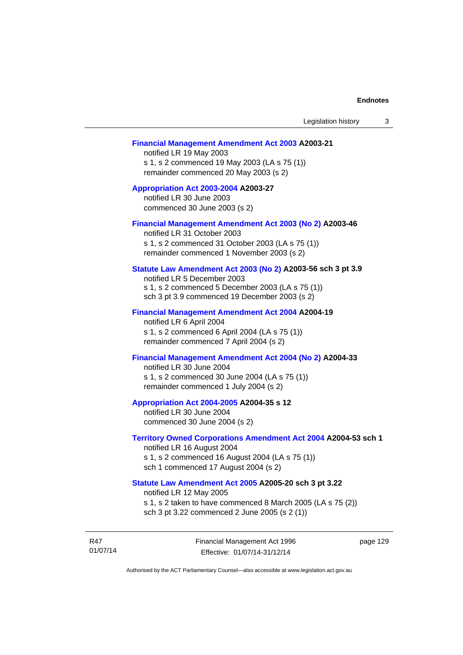#### **[Financial Management Amendment Act 2003](http://www.legislation.act.gov.au/a/2003-21) A2003-21**

notified LR 19 May 2003 s 1, s 2 commenced 19 May 2003 (LA s 75 (1)) remainder commenced 20 May 2003 (s 2)

### **[Appropriation Act 2003-2004](http://www.legislation.act.gov.au/a/2003-27/default.asp) A2003-27**  notified LR 30 June 2003

commenced 30 June 2003 (s 2)

#### **[Financial Management Amendment Act 2003 \(No 2\)](http://www.legislation.act.gov.au/a/2003-46) A2003-46**

notified LR 31 October 2003 s 1, s 2 commenced 31 October 2003 (LA s 75 (1)) remainder commenced 1 November 2003 (s 2)

### **[Statute Law Amendment Act 2003 \(No 2\)](http://www.legislation.act.gov.au/a/2003-56) A2003-56 sch 3 pt 3.9**

notified LR 5 December 2003 s 1, s 2 commenced 5 December 2003 (LA s 75 (1)) sch 3 pt 3.9 commenced 19 December 2003 (s 2)

#### **[Financial Management Amendment Act 2004](http://www.legislation.act.gov.au/a/2004-19) A2004-19**

notified LR 6 April 2004 s 1, s 2 commenced 6 April 2004 (LA s 75 (1)) remainder commenced 7 April 2004 (s 2)

## **[Financial Management Amendment Act 2004 \(No 2\)](http://www.legislation.act.gov.au/a/2004-33) A2004-33**

notified LR 30 June 2004 s 1, s 2 commenced 30 June 2004 (LA s 75 (1)) remainder commenced 1 July 2004 (s 2)

#### **[Appropriation Act 2004-2005](http://www.legislation.act.gov.au/a/2004-35/default.asp) A2004-35 s 12**

notified LR 30 June 2004 commenced 30 June 2004 (s 2)

## **[Territory Owned Corporations Amendment Act 2004](http://www.legislation.act.gov.au/a/2004-53) A2004-53 sch 1**

notified LR 16 August 2004 s 1, s 2 commenced 16 August 2004 (LA s 75 (1)) sch 1 commenced 17 August 2004 (s 2)

### **[Statute Law Amendment Act 2005](http://www.legislation.act.gov.au/a/2005-20) A2005-20 sch 3 pt 3.22**

notified LR 12 May 2005

s 1, s 2 taken to have commenced 8 March 2005 (LA s 75 (2))

sch 3 pt 3.22 commenced 2 June 2005 (s 2 (1))

R47 01/07/14 Financial Management Act 1996 Effective: 01/07/14-31/12/14

page 129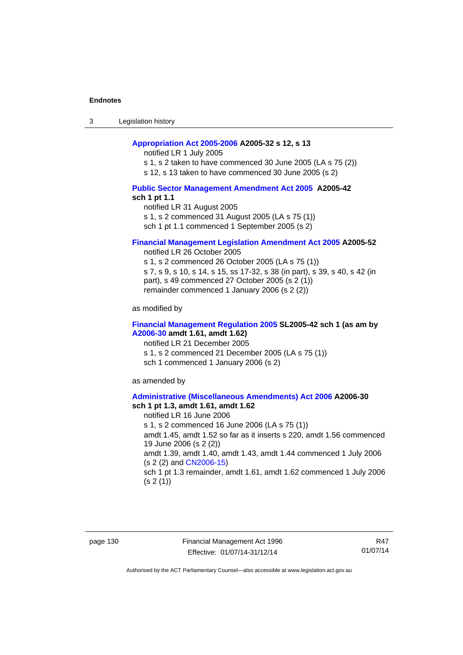3 Legislation history

### **[Appropriation Act 2005-2006](http://www.legislation.act.gov.au/a/2005-32/default.asp) A2005-32 s 12, s 13**

notified LR 1 July 2005

s 1, s 2 taken to have commenced 30 June 2005 (LA s 75 (2))

s 12, s 13 taken to have commenced 30 June 2005 (s 2)

### **[Public Sector Management Amendment Act 2005](http://www.legislation.act.gov.au/a/2005-42/default.asp) A2005-42 sch 1 pt 1.1**

notified LR 31 August 2005 s 1, s 2 commenced 31 August 2005 (LA s 75 (1)) sch 1 pt 1.1 commenced 1 September 2005 (s 2)

#### **[Financial Management Legislation Amendment Act 2005](http://www.legislation.act.gov.au/a/2005-52) A2005-52**

notified LR 26 October 2005

s 1, s 2 commenced 26 October 2005 (LA s 75 (1)) s 7, s 9, s 10, s 14, s 15, ss 17-32, s 38 (in part), s 39, s 40, s 42 (in part), s 49 commenced 27 October 2005 (s 2 (1)) remainder commenced 1 January 2006 (s 2 (2))

as modified by

### **[Financial Management Regulation 2005](http://www.legislation.act.gov.au/sl/2005-42) SL2005-42 sch 1 (as am by [A2006-30](http://www.legislation.act.gov.au/a/2006-30) amdt 1.61, amdt 1.62)**

notified LR 21 December 2005 s 1, s 2 commenced 21 December 2005 (LA s 75 (1)) sch 1 commenced 1 January 2006 (s 2)

as amended by

### **[Administrative \(Miscellaneous Amendments\) Act 2006](http://www.legislation.act.gov.au/a/2006-30) A2006-30 sch 1 pt 1.3, amdt 1.61, amdt 1.62**

notified LR 16 June 2006 s 1, s 2 commenced 16 June 2006 (LA s 75 (1)) amdt 1.45, amdt 1.52 so far as it inserts s 220, amdt 1.56 commenced 19 June 2006 (s 2 (2)) amdt 1.39, amdt 1.40, amdt 1.43, amdt 1.44 commenced 1 July 2006 (s 2 (2) and [CN2006-15](http://www.legislation.act.gov.au/cn/2006-15/default.asp)) sch 1 pt 1.3 remainder, amdt 1.61, amdt 1.62 commenced 1 July 2006  $(s 2(1))$ 

page 130 Financial Management Act 1996 Effective: 01/07/14-31/12/14

R47 01/07/14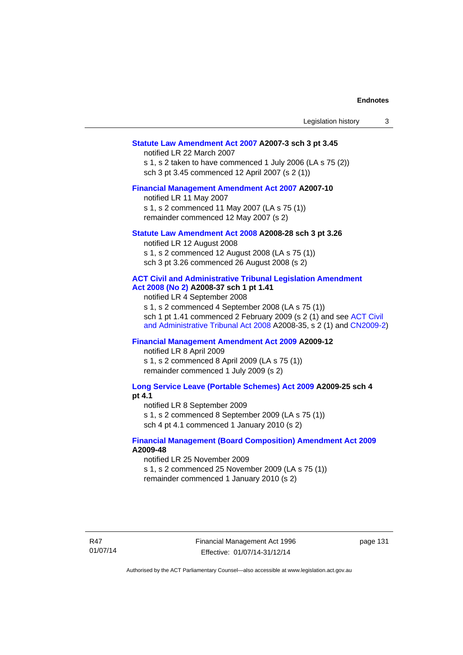| Statute Law Amendment Act 2007 A2007-3 sch 3 pt 3.45         |  |
|--------------------------------------------------------------|--|
| notified LR 22 March 2007                                    |  |
| s 1, s 2 taken to have commenced 1 July 2006 (LA s $75(2)$ ) |  |

Legislation history 3

s 1, s 2 taken to have commenced 1 July sch 3 pt 3.45 commenced 12 April 2007 (s 2 (1))

### **[Financial Management Amendment Act 2007](http://www.legislation.act.gov.au/a/2007-10) A2007-10**

notified LR 11 May 2007 s 1, s 2 commenced 11 May 2007 (LA s 75 (1)) remainder commenced 12 May 2007 (s 2)

### **[Statute Law Amendment Act 2008](http://www.legislation.act.gov.au/a/2008-28) A2008-28 sch 3 pt 3.26**

notified LR 12 August 2008 s 1, s 2 commenced 12 August 2008 (LA s 75 (1)) sch 3 pt 3.26 commenced 26 August 2008 (s 2)

## **[ACT Civil and Administrative Tribunal Legislation Amendment](http://www.legislation.act.gov.au/a/2008-37)**

## **[Act 2008 \(No 2\)](http://www.legislation.act.gov.au/a/2008-37) A2008-37 sch 1 pt 1.41**

notified LR 4 September 2008

s 1, s 2 commenced 4 September 2008 (LA s 75 (1)) sch 1 pt 1.41 commenced 2 February 2009 (s 2 (1) and see [ACT Civil](http://www.legislation.act.gov.au/a/2008-35)  [and Administrative Tribunal Act 2008](http://www.legislation.act.gov.au/a/2008-35) A2008-35, s 2 (1) and [CN2009-2](http://www.legislation.act.gov.au/cn/2009-2/default.asp))

## **[Financial Management Amendment Act 2009](http://www.legislation.act.gov.au/a/2009-12) A2009-12**

notified LR 8 April 2009

s 1, s 2 commenced 8 April 2009 (LA s 75 (1)) remainder commenced 1 July 2009 (s 2)

#### **[Long Service Leave \(Portable Schemes\) Act 2009](http://www.legislation.act.gov.au/a/2009-25) A2009-25 sch 4 pt 4.1**

notified LR 8 September 2009

s 1, s 2 commenced 8 September 2009 (LA s 75 (1))

sch 4 pt 4.1 commenced 1 January 2010 (s 2)

### **[Financial Management \(Board Composition\) Amendment Act 2009](http://www.legislation.act.gov.au/a/2009-48) A2009-48**

notified LR 25 November 2009

s 1, s 2 commenced 25 November 2009 (LA s 75 (1))

remainder commenced 1 January 2010 (s 2)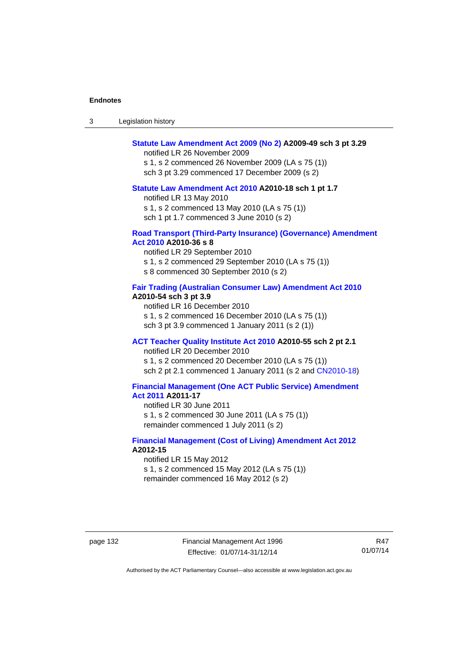| -3 | Legislation history |  |
|----|---------------------|--|
|----|---------------------|--|

### **[Statute Law Amendment Act 2009 \(No 2\)](http://www.legislation.act.gov.au/a/2009-49) A2009-49 sch 3 pt 3.29**

notified LR 26 November 2009

s 1, s 2 commenced 26 November 2009 (LA s 75 (1)) sch 3 pt 3.29 commenced 17 December 2009 (s 2)

#### **[Statute Law Amendment Act 2010](http://www.legislation.act.gov.au/a/2010-18) A2010-18 sch 1 pt 1.7**

notified LR 13 May 2010 s 1, s 2 commenced 13 May 2010 (LA s 75 (1))

sch 1 pt 1.7 commenced 3 June 2010 (s 2)

#### **[Road Transport \(Third-Party Insurance\) \(Governance\) Amendment](http://www.legislation.act.gov.au/a/2010-36)  [Act 2010](http://www.legislation.act.gov.au/a/2010-36) A2010-36 s 8**

notified LR 29 September 2010 s 1, s 2 commenced 29 September 2010 (LA s 75 (1)) s 8 commenced 30 September 2010 (s 2)

### **[Fair Trading \(Australian Consumer Law\) Amendment Act 2010](http://www.legislation.act.gov.au/a/2010-54) A2010-54 sch 3 pt 3.9**

notified LR 16 December 2010 s 1, s 2 commenced 16 December 2010 (LA s 75 (1)) sch 3 pt 3.9 commenced 1 January 2011 (s 2 (1))

### **[ACT Teacher Quality Institute Act 2010](http://www.legislation.act.gov.au/a/2010-55) A2010-55 sch 2 pt 2.1**

notified LR 20 December 2010

s 1, s 2 commenced 20 December 2010 (LA s 75 (1)) sch 2 pt 2.1 commenced 1 January 2011 (s 2 and [CN2010-18\)](http://www.legislation.act.gov.au/cn/2010-18/default.asp)

### **[Financial Management \(One ACT Public Service\) Amendment](http://www.legislation.act.gov.au/a/2011-17)  [Act 2011](http://www.legislation.act.gov.au/a/2011-17) A2011-17**

notified LR 30 June 2011 s 1, s 2 commenced 30 June 2011 (LA s 75 (1)) remainder commenced 1 July 2011 (s 2)

### **[Financial Management \(Cost of Living\) Amendment Act 2012](http://www.legislation.act.gov.au/a/2012-15) A2012-15**

notified LR 15 May 2012 s 1, s 2 commenced 15 May 2012 (LA s 75 (1)) remainder commenced 16 May 2012 (s 2)

page 132 Financial Management Act 1996 Effective: 01/07/14-31/12/14

R47 01/07/14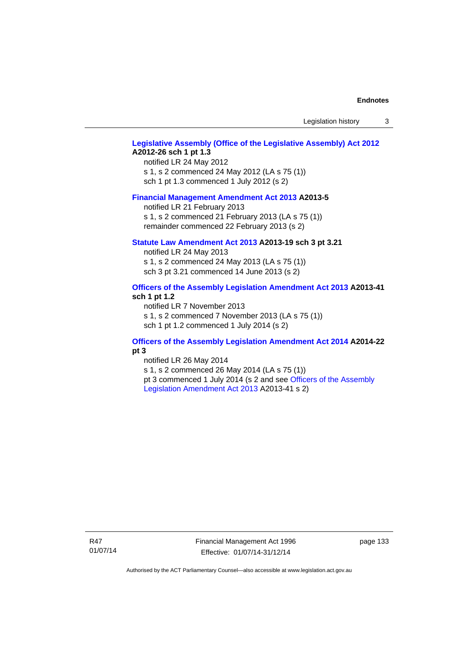Legislation history 3

### **[Legislative Assembly \(Office of the Legislative Assembly\) Act 2012](http://www.legislation.act.gov.au/a/2012-26) A2012-26 sch 1 pt 1.3**

notified LR 24 May 2012 s 1, s 2 commenced 24 May 2012 (LA s 75 (1)) sch 1 pt 1.3 commenced 1 July 2012 (s 2)

#### **[Financial Management Amendment Act 2013](http://www.legislation.act.gov.au/a/2013-5/default.asp) A2013-5**

notified LR 21 February 2013 s 1, s 2 commenced 21 February 2013 (LA s 75 (1)) remainder commenced 22 February 2013 (s 2)

#### **[Statute Law Amendment Act 2013](http://www.legislation.act.gov.au/a/2013-19) A2013-19 sch 3 pt 3.21**

notified LR 24 May 2013 s 1, s 2 commenced 24 May 2013 (LA s 75 (1)) sch 3 pt 3.21 commenced 14 June 2013 (s 2)

### **[Officers of the Assembly Legislation Amendment Act 2013](http://www.legislation.act.gov.au/a/2013-41/default.asp) A2013-41 sch 1 pt 1.2**

notified LR 7 November 2013 s 1, s 2 commenced 7 November 2013 (LA s 75 (1)) sch 1 pt 1.2 commenced 1 July 2014 (s 2)

### **[Officers of the Assembly Legislation Amendment Act 2014](http://www.legislation.act.gov.au/a/2014-22/default.asp) A2014-22 pt 3**

notified LR 26 May 2014 s 1, s 2 commenced 26 May 2014 (LA s 75 (1)) pt 3 commenced 1 July 2014 (s 2 and see [Officers of the Assembly](http://www.legislation.act.gov.au/a/2013-41/default.asp)  [Legislation Amendment Act 2013](http://www.legislation.act.gov.au/a/2013-41/default.asp) A2013-41 s 2)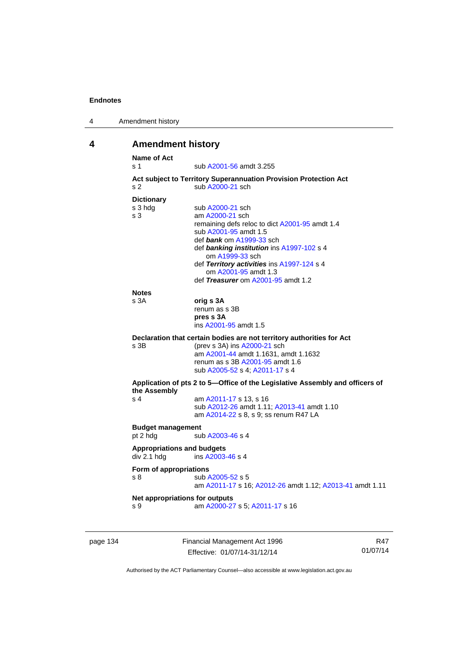| 4 | Amendment history |
|---|-------------------|
|---|-------------------|

# **4 Amendment history**

| Name of Act<br>s 1                | sub A2001-56 amdt 3.255                                                      |
|-----------------------------------|------------------------------------------------------------------------------|
|                                   | Act subject to Territory Superannuation Provision Protection Act             |
| s <sub>2</sub>                    | sub A2000-21 sch                                                             |
| <b>Dictionary</b>                 |                                                                              |
| s 3 hdg                           | sub A2000-21 sch                                                             |
| s <sub>3</sub>                    | am A2000-21 sch                                                              |
|                                   | remaining defs reloc to dict A2001-95 amdt 1.4                               |
|                                   | sub A2001-95 amdt 1.5                                                        |
|                                   | def bank om A1999-33 sch                                                     |
|                                   | def banking institution ins A1997-102 s 4<br>om A1999-33 sch                 |
|                                   | def Territory activities ins A1997-124 s 4                                   |
|                                   | om A2001-95 amdt 1.3                                                         |
|                                   | def Treasurer om A2001-95 amdt 1.2                                           |
| <b>Notes</b>                      |                                                                              |
| s <sub>3A</sub>                   | orig s 3A                                                                    |
|                                   | renum as s 3B                                                                |
|                                   | pres s 3A                                                                    |
|                                   | ins A2001-95 amdt 1.5                                                        |
|                                   | Declaration that certain bodies are not territory authorities for Act        |
| s 3B                              | (prev s 3A) ins A2000-21 sch                                                 |
|                                   | am A2001-44 amdt 1.1631, amdt 1.1632                                         |
|                                   | renum as s 3B A2001-95 amdt 1.6                                              |
|                                   | sub A2005-52 s 4; A2011-17 s 4                                               |
| the Assembly                      | Application of pts 2 to 5-Office of the Legislative Assembly and officers of |
| s <sub>4</sub>                    | am A2011-17 s 13, s 16                                                       |
|                                   | sub A2012-26 amdt 1.11; A2013-41 amdt 1.10                                   |
|                                   | am A2014-22 s 8, s 9; ss renum R47 LA                                        |
| <b>Budget management</b>          |                                                                              |
| pt 2 hdg                          | sub A2003-46 s 4                                                             |
| <b>Appropriations and budgets</b> |                                                                              |
| div 2.1 hdg                       | ins A2003-46 s 4                                                             |
| Form of appropriations            |                                                                              |
| s 8                               | sub A2005-52 s 5                                                             |
|                                   | am A2011-17 s 16; A2012-26 amdt 1.12; A2013-41 amdt 1.11                     |
| Net appropriations for outputs    |                                                                              |
|                                   | am A2000-27 s 5; A2011-17 s 16                                               |

page 134 Financial Management Act 1996 Effective: 01/07/14-31/12/14

R47 01/07/14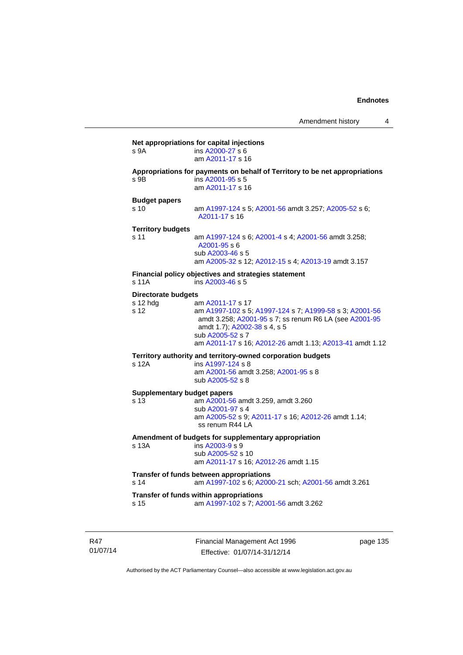| s 9A                                           | ins A2000-27 s 6<br>am A2011-17 s 16                                                                                                                                                                                                                  |
|------------------------------------------------|-------------------------------------------------------------------------------------------------------------------------------------------------------------------------------------------------------------------------------------------------------|
| s 9B                                           | Appropriations for payments on behalf of Territory to be net appropriations<br>ins A2001-95 s 5<br>am A2011-17 s 16                                                                                                                                   |
| <b>Budget papers</b><br>s <sub>10</sub>        | am A1997-124 s 5; A2001-56 amdt 3.257; A2005-52 s 6;<br>A2011-17 s 16                                                                                                                                                                                 |
| <b>Territory budgets</b><br>s 11               | am A1997-124 s 6; A2001-4 s 4; A2001-56 amdt 3.258;<br>$A2001 - 95s$<br>sub A2003-46 s 5<br>am A2005-32 s 12; A2012-15 s 4; A2013-19 amdt 3.157                                                                                                       |
| s 11A                                          | Financial policy objectives and strategies statement<br>ins A2003-46 s 5                                                                                                                                                                              |
| <b>Directorate budgets</b><br>s 12 hdg<br>s 12 | am A2011-17 s 17<br>am A1997-102 s 5; A1997-124 s 7; A1999-58 s 3; A2001-56<br>amdt 3.258; A2001-95 s 7; ss renum R6 LA (see A2001-95<br>amdt 1.7); A2002-38 s 4, s 5<br>sub A2005-52 s 7<br>am A2011-17 s 16; A2012-26 amdt 1.13; A2013-41 amdt 1.12 |
| s 12A                                          | Territory authority and territory-owned corporation budgets<br>ins A1997-124 s 8<br>am A2001-56 amdt 3.258; A2001-95 s 8<br>sub A2005-52 s 8                                                                                                          |
| <b>Supplementary budget papers</b><br>s 13     | am A2001-56 amdt 3.259, amdt 3.260<br>sub A2001-97 s 4<br>am A2005-52 s 9; A2011-17 s 16; A2012-26 amdt 1.14;<br>ss renum R44 LA                                                                                                                      |
| s 13A                                          | Amendment of budgets for supplementary appropriation<br>ins A2003-9 s 9<br>sub A2005-52 s 10<br>am A2011-17 s 16; A2012-26 amdt 1.15                                                                                                                  |
| s <sub>14</sub>                                | Transfer of funds between appropriations<br>am A1997-102 s 6; A2000-21 sch; A2001-56 amdt 3.261                                                                                                                                                       |
| s 15                                           | Transfer of funds within appropriations<br>am A1997-102 s 7; A2001-56 amdt 3.262                                                                                                                                                                      |

R47 01/07/14 Financial Management Act 1996 Effective: 01/07/14-31/12/14

page 135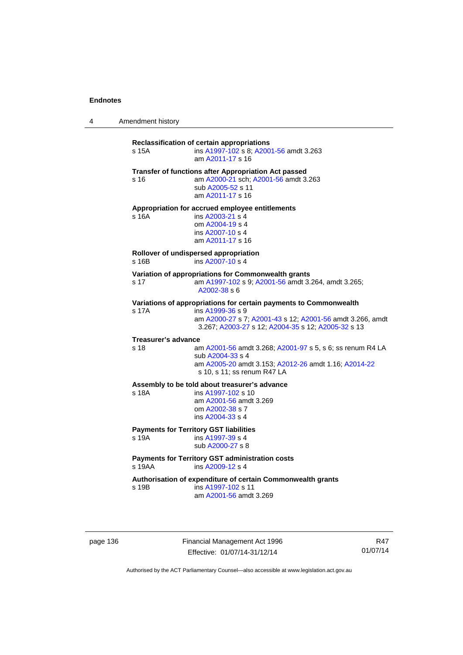4 Amendment history

**Reclassification of certain appropriations** s 15A ins [A1997-102](http://www.legislation.act.gov.au/a/1997-102) s 8; [A2001-56](http://www.legislation.act.gov.au/a/2001-56) amdt 3.263 am [A2011-17](http://www.legislation.act.gov.au/a/2011-17) s 16 **Transfer of functions after Appropriation Act passed**  s 16 am [A2000-21](http://www.legislation.act.gov.au/a/2000-21) sch; [A2001-56](http://www.legislation.act.gov.au/a/2001-56) amdt 3.263 sub [A2005-52](http://www.legislation.act.gov.au/a/2005-52) s 11 am [A2011-17](http://www.legislation.act.gov.au/a/2011-17) s 16 **Appropriation for accrued employee entitlements**  s 16A ins [A2003-21](http://www.legislation.act.gov.au/a/2003-21) s 4 om [A2004-19](http://www.legislation.act.gov.au/a/2004-19) s 4 ins [A2007-10](http://www.legislation.act.gov.au/a/2007-10) s 4 am [A2011-17](http://www.legislation.act.gov.au/a/2011-17) s 16 **Rollover of undispersed appropriation**  s 16B ins [A2007-10](http://www.legislation.act.gov.au/a/2007-10) s 4 **Variation of appropriations for Commonwealth grants** s 17 am [A1997-102](http://www.legislation.act.gov.au/a/1997-102) s 9; [A2001-56](http://www.legislation.act.gov.au/a/2001-56) amdt 3.264, amdt 3.265; [A2002-38](http://www.legislation.act.gov.au/a/2002-38) s 6 **Variations of appropriations for certain payments to Commonwealth**<br>s 17A **ins A1999-36 s** 9 ins [A1999-36](http://www.legislation.act.gov.au/a/1999-36) s 9 am [A2000-27](http://www.legislation.act.gov.au/a/2000-27) s 7; [A2001-43](http://www.legislation.act.gov.au/a/2001-43) s 12; [A2001-56](http://www.legislation.act.gov.au/a/2001-56) amdt 3.266, amdt 3.267; [A2003-27](http://www.legislation.act.gov.au/a/2003-27) s 12; [A2004-35](http://www.legislation.act.gov.au/a/2004-35) s 12; [A2005-32](http://www.legislation.act.gov.au/a/2005-32) s 13 **Treasurer's advance**  s 18 am [A2001-56](http://www.legislation.act.gov.au/a/2001-56) amdt 3.268; [A2001-97](http://www.legislation.act.gov.au/a/2001-97) s 5, s 6; ss renum R4 LA sub [A2004-33](http://www.legislation.act.gov.au/a/2004-33) s 4 am [A2005-20](http://www.legislation.act.gov.au/a/2005-20) amdt 3.153; [A2012-26](http://www.legislation.act.gov.au/a/2012-26) amdt 1.16; [A2014-22](http://www.legislation.act.gov.au/a/2014-22/default.asp) s 10, s 11; ss renum R47 LA **Assembly to be told about treasurer's advance** s 18A ins [A1997-102](http://www.legislation.act.gov.au/a/1997-102) s 10 am [A2001-56](http://www.legislation.act.gov.au/a/2001-56) amdt 3.269 om [A2002-38](http://www.legislation.act.gov.au/a/2002-38) s 7 ins [A2004-33](http://www.legislation.act.gov.au/a/2004-33) s 4 **Payments for Territory GST liabilities** s 19A ins [A1997-39](http://www.legislation.act.gov.au/a/1997-39) s 4 sub [A2000-27](http://www.legislation.act.gov.au/a/2000-27) s 8 **Payments for Territory GST administration costs**  s 19AA ins [A2009-12](http://www.legislation.act.gov.au/a/2009-12) s 4 **Authorisation of expenditure of certain Commonwealth grants**  s 19B ins [A1997-102](http://www.legislation.act.gov.au/a/1997-102) s 11 am [A2001-56](http://www.legislation.act.gov.au/a/2001-56) amdt 3.269

page 136 Financial Management Act 1996 Effective: 01/07/14-31/12/14

R47 01/07/14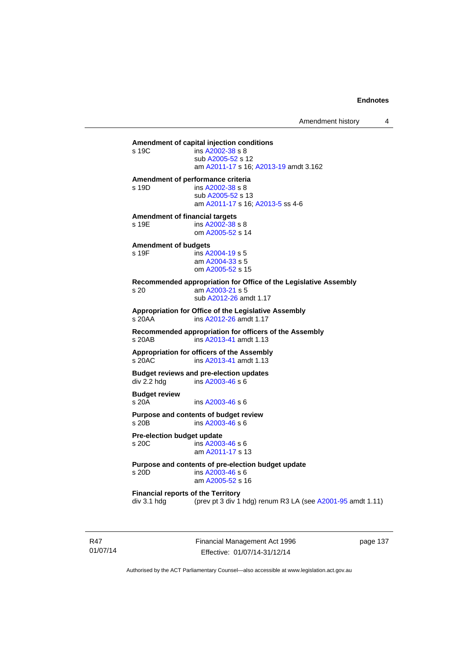**Amendment of capital injection conditions**   $ins A2002-38 s 8$  $ins A2002-38 s 8$  $ins A2002-38 s 8$  sub [A2005-52](http://www.legislation.act.gov.au/a/2005-52) s 12 am [A2011-17](http://www.legislation.act.gov.au/a/2011-17) s 16; [A2013-19](http://www.legislation.act.gov.au/a/2013-19) amdt 3.162

#### **Amendment of performance criteria**

s 19D ins [A2002-38](http://www.legislation.act.gov.au/a/2002-38) s 8 sub [A2005-52](http://www.legislation.act.gov.au/a/2005-52) s 13 am [A2011-17](http://www.legislation.act.gov.au/a/2011-17) s 16; [A2013-5](http://www.legislation.act.gov.au/a/2013-5/default.asp) ss 4-6

**Amendment of financial targets**  s 19E ins [A2002-38](http://www.legislation.act.gov.au/a/2002-38) s 8

om [A2005-52](http://www.legislation.act.gov.au/a/2005-52) s 14

# **Amendment of budgets**

 $ins$  [A2004-19](http://www.legislation.act.gov.au/a/2004-19) s 5 am [A2004-33](http://www.legislation.act.gov.au/a/2004-33) s 5 om [A2005-52](http://www.legislation.act.gov.au/a/2005-52) s 15

**Recommended appropriation for Office of the Legislative Assembly**  s 20 am [A2003-21](http://www.legislation.act.gov.au/a/2003-21) s 5 sub [A2012-26](http://www.legislation.act.gov.au/a/2012-26) amdt 1.17

**Appropriation for Office of the Legislative Assembly**  s 20AA ins [A2012-26](http://www.legislation.act.gov.au/a/2012-26) amdt 1.17

**Recommended appropriation for officers of the Assembly**  s 20AB ins [A2013-41](http://www.legislation.act.gov.au/a/2013-41/default.asp) amdt 1.13

**Appropriation for officers of the Assembly**  s 20AC ins [A2013-41](http://www.legislation.act.gov.au/a/2013-41/default.asp) amdt 1.13

**Budget reviews and pre-election updates**  div 2.2 hdg ins [A2003-46](http://www.legislation.act.gov.au/a/2003-46) s 6

**Budget review**  s 20A ins [A2003-46](http://www.legislation.act.gov.au/a/2003-46) s 6

**Purpose and contents of budget review**  s 20B ins [A2003-46](http://www.legislation.act.gov.au/a/2003-46) s 6

**Pre-election budget update**  s 20C ins [A2003-46](http://www.legislation.act.gov.au/a/2003-46) s 6 am [A2011-17](http://www.legislation.act.gov.au/a/2011-17) s 13

**Purpose and contents of pre-election budget update** 

ins [A2003-46](http://www.legislation.act.gov.au/a/2003-46) s 6 am [A2005-52](http://www.legislation.act.gov.au/a/2005-52) s 16

**Financial reports of the Territory**  div 3.1 hdg (prev pt 3 div 1 hdg) renum R3 LA (see [A2001-95](http://www.legislation.act.gov.au/a/2001-95) amdt 1.11)

R47 01/07/14 Financial Management Act 1996 Effective: 01/07/14-31/12/14

page 137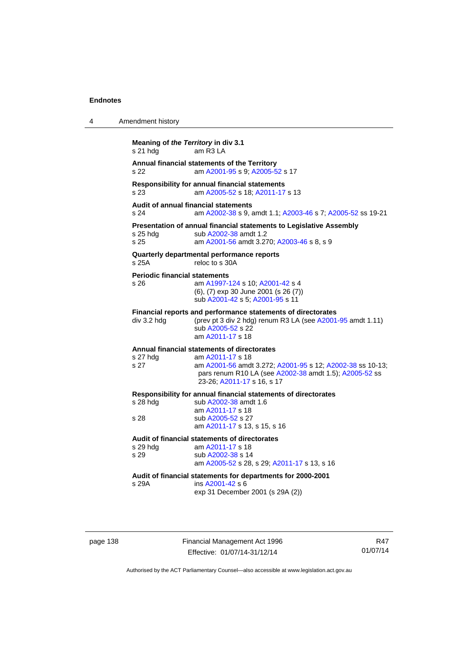| 4 | Amendment history                               |                                                                                                                                                                       |
|---|-------------------------------------------------|-----------------------------------------------------------------------------------------------------------------------------------------------------------------------|
|   | Meaning of the Territory in div 3.1<br>s 21 hdg | am R <sub>3</sub> LA                                                                                                                                                  |
|   | s 22                                            | Annual financial statements of the Territory<br>am A2001-95 s 9; A2005-52 s 17                                                                                        |
|   | s <sub>23</sub>                                 | Responsibility for annual financial statements<br>am A2005-52 s 18; A2011-17 s 13                                                                                     |
|   | s 24                                            | <b>Audit of annual financial statements</b><br>am A2002-38 s 9, amdt 1.1; A2003-46 s 7; A2005-52 ss 19-21                                                             |
|   | s 25 hdg<br>s 25                                | Presentation of annual financial statements to Legislative Assembly<br>sub A2002-38 amdt 1.2<br>am A2001-56 amdt 3.270; A2003-46 s 8, s 9                             |
|   | $s$ 25 $A$                                      | Quarterly departmental performance reports<br>reloc to s 30A                                                                                                          |
|   | <b>Periodic financial statements</b><br>s 26    | am A1997-124 s 10; A2001-42 s 4<br>(6), (7) exp 30 June 2001 (s 26 (7))<br>sub A2001-42 s 5; A2001-95 s 11                                                            |
|   | div 3.2 hdg                                     | Financial reports and performance statements of directorates<br>(prev pt 3 div 2 hdg) renum R3 LA (see A2001-95 amdt 1.11)<br>sub A2005-52 s 22<br>am A2011-17 s 18   |
|   |                                                 | Annual financial statements of directorates                                                                                                                           |
|   | s 27 hdg<br>s 27                                | am A2011-17 s 18<br>am A2001-56 amdt 3.272; A2001-95 s 12; A2002-38 ss 10-13;<br>pars renum R10 LA (see A2002-38 amdt 1.5); A2005-52 ss<br>23-26; A2011-17 s 16, s 17 |
|   | $s$ 28 hdg<br>s 28                              | Responsibility for annual financial statements of directorates<br>sub A2002-38 amdt 1.6<br>am A2011-17 s 18<br>sub A2005-52 s 27                                      |
|   |                                                 | am A2011-17 s 13, s 15, s 16                                                                                                                                          |
|   | s 29 hdg<br>s 29                                | Audit of financial statements of directorates<br>am A2011-17 s 18<br>sub A2002-38 s 14<br>am A2005-52 s 28, s 29; A2011-17 s 13, s 16                                 |
|   | s 29A                                           | Audit of financial statements for departments for 2000-2001<br>ins A2001-42 s 6<br>exp 31 December 2001 (s 29A (2))                                                   |

page 138 Financial Management Act 1996 Effective: 01/07/14-31/12/14

R47 01/07/14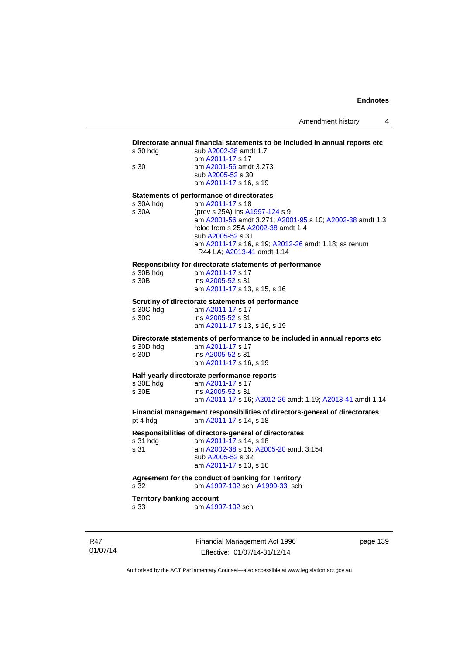#### **Directorate annual financial statements to be included in annual reports etc**

| s 30 hdg | sub A2002-38 amdt 1.7  |
|----------|------------------------|
|          | am A2011-17 s 17       |
| s 30     | am A2001-56 amdt 3.273 |
|          | sub A2005-52 s 30      |
|          | am A2011-17 s 16, s 19 |
|          |                        |

#### **Statements of performance of directorates**

| s 30A hdg | am A2011-17 s 18                                         |
|-----------|----------------------------------------------------------|
| s 30A     | (prev s 25A) ins A1997-124 s 9                           |
|           | am A2001-56 amdt 3.271; A2001-95 s 10; A2002-38 amdt 1.3 |
|           | reloc from s 25A A2002-38 amdt 1.4                       |
|           | sub A2005-52 s 31                                        |
|           | am A2011-17 s 16, s 19; A2012-26 amdt 1.18; ss renum     |
|           | R44 LA; A2013-41 amdt 1.14                               |

#### **Responsibility for directorate statements of performance**

| s 30B hdg | am A2011-17 s 17             |
|-----------|------------------------------|
| s 30B     | ins A2005-52 s 31            |
|           | am A2011-17 s 13, s 15, s 16 |

#### **Scrutiny of directorate statements of performance**

| s 30C hdg | am A2011-17 s 17             |
|-----------|------------------------------|
| s 30C     | ins A2005-52 s 31            |
|           | am A2011-17 s 13, s 16, s 19 |

**Directorate statements of performance to be included in annual reports etc** 

| s 30D hdg | am A2011-17 s 17       |
|-----------|------------------------|
| s 30D     | ins A2005-52 s 31      |
|           | am A2011-17 s 16, s 19 |

### **Half-yearly directorate performance reports**

| s 30E hdq | am A2011-17 s 17                                         |
|-----------|----------------------------------------------------------|
| s 30E     | ins A2005-52 s 31                                        |
|           | am A2011-17 s 16: A2012-26 amdt 1.19: A2013-41 amdt 1.14 |

**Financial management responsibilities of directors-general of directorates**  pt 4 hdg am [A2011-17](http://www.legislation.act.gov.au/a/2011-17) s 14, s 18

# **Responsibilities of directors-general of directorates**

s 31 hdg am [A2011-17](http://www.legislation.act.gov.au/a/2011-17) s 14, s 18 s 31 am [A2002-38](http://www.legislation.act.gov.au/a/2002-38) s 15; [A2005-20](http://www.legislation.act.gov.au/a/2005-20) amdt 3.154 sub [A2005-52](http://www.legislation.act.gov.au/a/2005-52) s 32 am [A2011-17](http://www.legislation.act.gov.au/a/2011-17) s 13, s 16

## **Agreement for the conduct of banking for Territory**

s 32 am [A1997-102](http://www.legislation.act.gov.au/a/1997-102) sch; [A1999-33](http://www.legislation.act.gov.au/a/1999-33) sch

# **Territory banking account**<br>s 33 am A199

am [A1997-102](http://www.legislation.act.gov.au/a/1997-102) sch

R47 01/07/14 Financial Management Act 1996 Effective: 01/07/14-31/12/14

page 139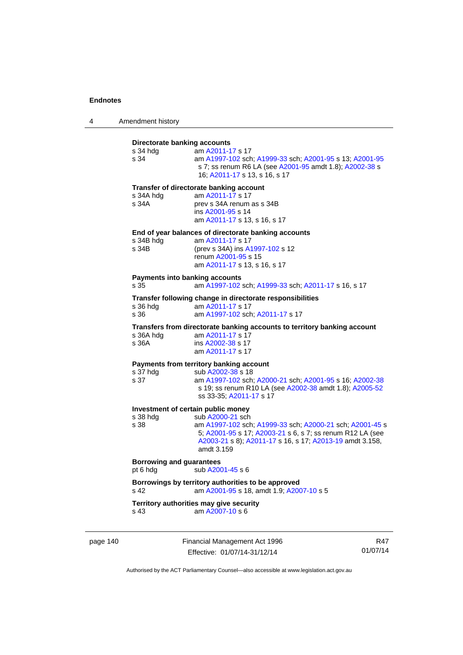| 4 | Amendment history |  |
|---|-------------------|--|
|---|-------------------|--|

| Directorate banking accounts<br>s 34 hda      | am A2011-17 s 17                                                                                                                                                                                                    |
|-----------------------------------------------|---------------------------------------------------------------------------------------------------------------------------------------------------------------------------------------------------------------------|
| s 34                                          | am A1997-102 sch; A1999-33 sch; A2001-95 s 13; A2001-95<br>s 7; ss renum R6 LA (see A2001-95 amdt 1.8); A2002-38 s<br>16; A2011-17 s 13, s 16, s 17                                                                 |
|                                               | Transfer of directorate banking account                                                                                                                                                                             |
| s 34A hdg<br>s 34A                            | am A2011-17 s 17<br>prev s 34A renum as s 34B<br>ins A2001-95 s 14<br>am A2011-17 s 13, s 16, s 17                                                                                                                  |
|                                               | End of year balances of directorate banking accounts                                                                                                                                                                |
| s 34B hdg<br>s 34B                            | am A2011-17 s 17<br>(prev s 34A) ins A1997-102 s 12<br>renum A2001-95 s 15                                                                                                                                          |
|                                               | am A2011-17 s 13, s 16, s 17                                                                                                                                                                                        |
| <b>Payments into banking accounts</b><br>s 35 | am A1997-102 sch; A1999-33 sch; A2011-17 s 16, s 17                                                                                                                                                                 |
|                                               | Transfer following change in directorate responsibilities                                                                                                                                                           |
| s 36 hda<br>s 36                              | am A2011-17 s 17<br>am A1997-102 sch; A2011-17 s 17                                                                                                                                                                 |
|                                               | Transfers from directorate banking accounts to territory banking account                                                                                                                                            |
| s 36A hdg<br>s 36A                            | am A2011-17 s 17<br>ins A2002-38 s 17<br>am A2011-17 s 17                                                                                                                                                           |
|                                               | Payments from territory banking account                                                                                                                                                                             |
| s 37 hdg<br>s 37                              | sub A2002-38 s 18<br>am A1997-102 sch; A2000-21 sch; A2001-95 s 16; A2002-38<br>s 19; ss renum R10 LA (see A2002-38 amdt 1.8); A2005-52<br>ss 33-35; A2011-17 s 17                                                  |
| Investment of certain public money            |                                                                                                                                                                                                                     |
| s 38 hdg<br>s 38                              | sub A2000-21 sch<br>am A1997-102 sch; A1999-33 sch; A2000-21 sch; A2001-45 s<br>5; A2001-95 s 17; A2003-21 s 6, s 7; ss renum R12 LA (see<br>A2003-21 s 8); A2011-17 s 16, s 17; A2013-19 amdt 3.158,<br>amdt 3.159 |
| <b>Borrowing and guarantees</b><br>pt 6 hdg   | sub A2001-45 s 6                                                                                                                                                                                                    |
| s 42                                          | Borrowings by territory authorities to be approved<br>am A2001-95 s 18, amdt 1.9; A2007-10 s 5                                                                                                                      |
| s 43                                          | Territory authorities may give security<br>am A2007-10 s 6                                                                                                                                                          |
|                                               |                                                                                                                                                                                                                     |

page 140 Financial Management Act 1996 Effective: 01/07/14-31/12/14

R47 01/07/14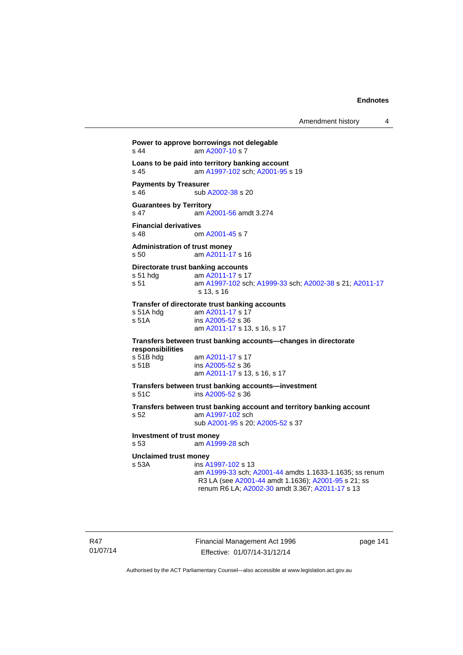Amendment history 4

```
Power to approve borrowings not delegable 
A2007-10 s 7
Loans to be paid into territory banking account
s 45 am A1997-102 sch; A2001-95 s 19 
Payments by Treasurer 
A2002-38 s 20
Guarantees by Territory 
s 47 am A2001-56 amdt 3.274
Financial derivatives<br>s 48 on
                A2001-45 s 7
Administration of trust money 
s 50 am A2011-17 s 16 
Directorate trust banking accounts
 A2011-17 s 17
s 51 am A1997-102 sch; A1999-33 sch; A2002-38 s 21; A2011-17
                s 13, s 16 
Transfer of directorate trust banking accounts 
 A2011-17 s 17
s 51A ins A2005-52 s 36 
                am A2011-17 s 13, s 16, s 17 
Transfers between trust banking accounts—changes in directorate 
responsibilities 
 A2011-17 s 17<br>s 51B ins A2005-52 s 36
                A2005-52 s 36
                 am A2011-17 s 13, s 16, s 17 
Transfers between trust banking accounts—investment 
s 51C ins A2005-52 s 36 
Transfers between trust banking account and territory banking account 
s 52 am A1997-102 sch 
                 sub A2001-95 s 20; A2005-52 s 37 
Investment of trust money 
s 53 am A1999-28 sch 
Unclaimed trust money 
s 53A ins A1997-102 s 13 
                 am A1999-33 sch; A2001-44 amdts 1.1633-1.1635; ss renum 
                 R3 LA (see A2001-44 amdt 1.1636); A2001-95 s 21; ss 
                 renum R6 LA; A2002-30 amdt 3.367; A2011-17 s 13
```
Financial Management Act 1996 Effective: 01/07/14-31/12/14

page 141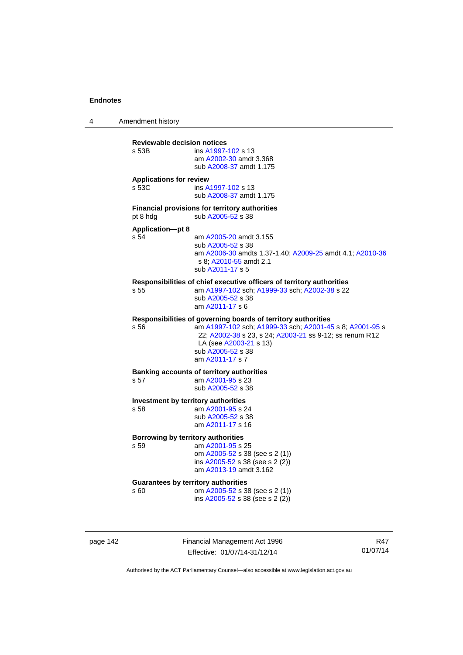4 Amendment history

| s 53B                                   | ins A1997-102 s 13<br>am A2002-30 amdt 3.368<br>sub A2008-37 amdt 1.175                                                                                                                                                                                |
|-----------------------------------------|--------------------------------------------------------------------------------------------------------------------------------------------------------------------------------------------------------------------------------------------------------|
| <b>Applications for review</b><br>s 53C | ins A1997-102 s 13<br>sub A2008-37 amdt 1.175                                                                                                                                                                                                          |
| pt 8 hdg                                | <b>Financial provisions for territory authorities</b><br>sub A2005-52 s 38                                                                                                                                                                             |
| <b>Application-pt 8</b><br>s 54         | am A2005-20 amdt 3.155<br>sub A2005-52 s 38<br>am A2006-30 amdts 1.37-1.40; A2009-25 amdt 4.1; A2010-36<br>s 8; A2010-55 amdt 2.1<br>sub A2011-17 s 5                                                                                                  |
| s 55                                    | Responsibilities of chief executive officers of territory authorities<br>am A1997-102 sch; A1999-33 sch; A2002-38 s 22<br>sub A2005-52 s 38<br>am A2011-17 s 6                                                                                         |
| s 56                                    | Responsibilities of governing boards of territory authorities<br>am A1997-102 sch; A1999-33 sch; A2001-45 s 8; A2001-95 s<br>22; A2002-38 s 23, s 24; A2003-21 ss 9-12; ss renum R12<br>LA (see A2003-21 s 13)<br>sub A2005-52 s 38<br>am A2011-17 s 7 |
| s 57                                    | <b>Banking accounts of territory authorities</b><br>am A2001-95 s 23<br>sub A2005-52 s 38                                                                                                                                                              |
| s 58                                    | Investment by territory authorities<br>am A2001-95 s 24<br>sub A2005-52 s 38<br>am A2011-17 s 16                                                                                                                                                       |
| s 59                                    | Borrowing by territory authorities<br>am A2001-95 s 25<br>om A2005-52 s 38 (see s 2 (1))<br>ins A2005-52 s 38 (see s 2 (2))<br>am A2013-19 amdt 3.162                                                                                                  |
| s 60                                    | <b>Guarantees by territory authorities</b><br>om A2005-52 s 38 (see s 2 (1))<br>ins A2005-52 s 38 (see s 2 (2))                                                                                                                                        |

page 142 Financial Management Act 1996 Effective: 01/07/14-31/12/14

R47 01/07/14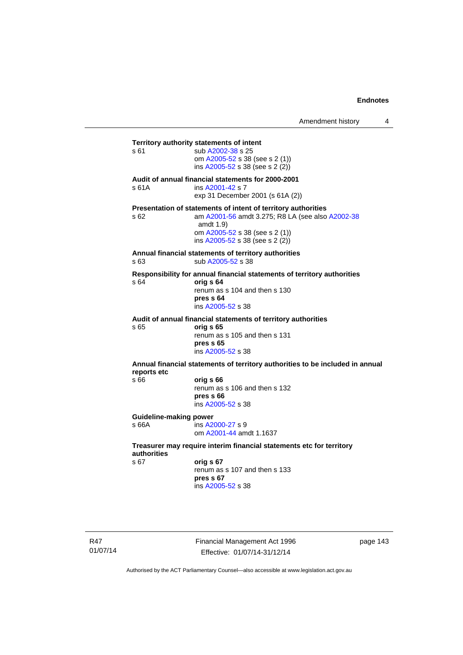**Territory authority statements of intent**  s 61 sub [A2002-38](http://www.legislation.act.gov.au/a/2002-38) s 25 om [A2005-52](http://www.legislation.act.gov.au/a/2005-52) s 38 (see s 2 (1)) ins  $A2005 - 52$  s 38 (see s 2 (2)) **Audit of annual financial statements for 2000-2001**  s 61A ins [A2001-42](http://www.legislation.act.gov.au/a/2001-42) s 7 exp 31 December 2001 (s 61A (2)) **Presentation of statements of intent of territory authorities**  s 62 am [A2001-56](http://www.legislation.act.gov.au/a/2001-56) amdt 3.275; R8 LA (see also [A2002-38](http://www.legislation.act.gov.au/a/2002-38) amdt 1.9) om [A2005-52](http://www.legislation.act.gov.au/a/2005-52) s 38 (see s 2 (1)) ins [A2005-52](http://www.legislation.act.gov.au/a/2005-52) s 38 (see s 2 (2)) **Annual financial statements of territory authorities**  s 63 sub [A2005-52](http://www.legislation.act.gov.au/a/2005-52) s 38 **Responsibility for annual financial statements of territory authorities**  s 64 **orig s 64** renum as s 104 and then s 130 **pres s 64**  ins [A2005-52](http://www.legislation.act.gov.au/a/2005-52) s 38 **Audit of annual financial statements of territory authorities**  s 65 **orig s 65**  renum as s 105 and then s 131 **pres s 65**  ins [A2005-52](http://www.legislation.act.gov.au/a/2005-52) s 38 **Annual financial statements of territory authorities to be included in annual reports etc**  s 66 **orig s 66**  renum as s 106 and then s 132 **pres s 66**  ins [A2005-52](http://www.legislation.act.gov.au/a/2005-52) s 38 **Guideline-making power**  s 66A ins [A2000-27](http://www.legislation.act.gov.au/a/2000-27) s 9 om [A2001-44](http://www.legislation.act.gov.au/a/2001-44) amdt 1.1637 **Treasurer may require interim financial statements etc for territory authorities** s 67 **orig s 67**  renum as s 107 and then s 133 **pres s 67** 

ins [A2005-52](http://www.legislation.act.gov.au/a/2005-52) s 38

R47 01/07/14 Financial Management Act 1996 Effective: 01/07/14-31/12/14

page 143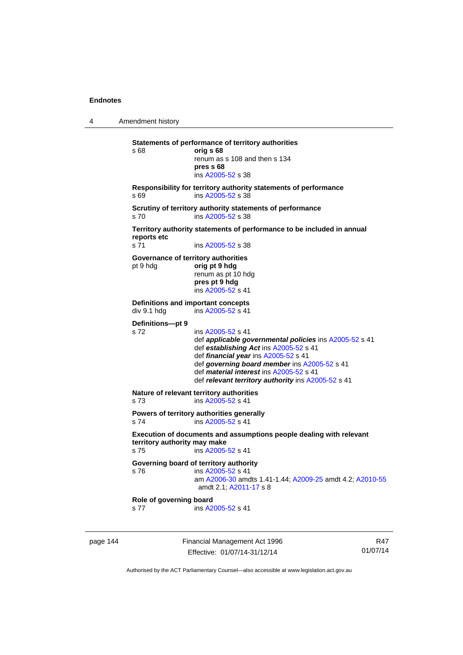4 Amendment history page 144 Financial Management Act 1996 R47 **Statements of performance of territory authorities**  s 68 **orig s 68**  renum as s 108 and then s 134 **pres s 68**  ins [A2005-52](http://www.legislation.act.gov.au/a/2005-52) s 38 **Responsibility for territory authority statements of performance**  s 69 ins [A2005-52](http://www.legislation.act.gov.au/a/2005-52) s 38 **Scrutiny of territory authority statements of performance**  s 70 ins [A2005-52](http://www.legislation.act.gov.au/a/2005-52) s 38 **Territory authority statements of performance to be included in annual reports etc**  s 71 ins [A2005-52](http://www.legislation.act.gov.au/a/2005-52) s 38 **Governance of territory authorities**  pt 9 hdg **orig pt 9 hdg**  renum as pt 10 hdg **pres pt 9 hdg**  ins [A2005-52](http://www.legislation.act.gov.au/a/2005-52) s 41 **Definitions and important concepts<br>div 9.1 hdg** ins A2005-52 s 41  $ins A2005-52 s 41$  $ins A2005-52 s 41$  $ins A2005-52 s 41$ **Definitions—pt 9**  s 72 ins [A2005-52](http://www.legislation.act.gov.au/a/2005-52) s 41 def *applicable governmental policies* ins [A2005-52](http://www.legislation.act.gov.au/a/2005-52) s 41 def *establishing Act* ins [A2005-52](http://www.legislation.act.gov.au/a/2005-52) s 41 def *financial year* ins [A2005-52](http://www.legislation.act.gov.au/a/2005-52) s 41 def *governing board member* ins [A2005-52](http://www.legislation.act.gov.au/a/2005-52) s 41 def *material interest* ins [A2005-52](http://www.legislation.act.gov.au/a/2005-52) s 41 def *relevant territory authority* ins [A2005-52](http://www.legislation.act.gov.au/a/2005-52) s 41 **Nature of relevant territory authorities**  s 73 ins [A2005-52](http://www.legislation.act.gov.au/a/2005-52) s 41 **Powers of territory authorities generally**  s 74 ins [A2005-52](http://www.legislation.act.gov.au/a/2005-52) s 41 **Execution of documents and assumptions people dealing with relevant territory authority may make**  s 75 ins [A2005-52](http://www.legislation.act.gov.au/a/2005-52) s 41 **Governing board of territory authority**  s 76 ins [A2005-52](http://www.legislation.act.gov.au/a/2005-52) s 41 am [A2006-30](http://www.legislation.act.gov.au/a/2006-30) amdts 1.41-1.44; [A2009-25](http://www.legislation.act.gov.au/a/2009-25) amdt 4.2; [A2010-55](http://www.legislation.act.gov.au/a/2010-55) amdt 2.1; [A2011-17](http://www.legislation.act.gov.au/a/2011-17) s 8 **Role of governing board**  s 77 ins [A2005-52](http://www.legislation.act.gov.au/a/2005-52) s 41

Authorised by the ACT Parliamentary Counsel—also accessible at www.legislation.act.gov.au

01/07/14

Effective: 01/07/14-31/12/14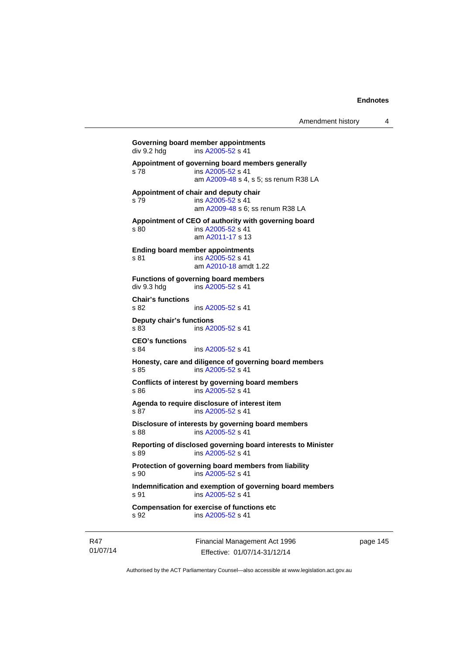```
Governing board member appointments<br>
div 9.2 hdg ins A2005-52 s 41
                A2005-52 s 41
Appointment of governing board members generally 
s 78 ins A2005-52 s 41 
                 am A2009-48 s 4, s 5; ss renum R38 LA 
Appointment of chair and deputy chair 
s 79 ins A2005-52 s 41 
                 am A2009-48 s 6; ss renum R38 LA
Appointment of CEO of authority with governing board 
s 80 ins A2005-52 s 41 
                 am A2011-17 s 13 
Ending board member appointments 
A2005-52 s 41
                 am A2010-18 amdt 1.22
Functions of governing board members 
A2005-52 s 41
Chair's functions 
s 82 ins A2005-52 s 41 
Deputy chair's functions 
               A2005-52 s 41
CEO's functions 
s 84 ins A2005-52 s 41 
Honesty, care and diligence of governing board members 
s 85 ins A2005-52 s 41 
Conflicts of interest by governing board members 
s 86 ins A2005-52 s 41 
Agenda to require disclosure of interest item 
s 87 ins A2005-52 s 41 
Disclosure of interests by governing board members 
s 88 ins A2005-52 s 41 
Reporting of disclosed governing board interests to Minister 
s 89 ins A2005-52 s 41 
Protection of governing board members from liability 
s 90 ins A2005-52 s 41 
Indemnification and exemption of governing board members 
A2005-52 s 41
Compensation for exercise of functions etc 
s 92 ins A2005-52 s 41
```
R47 01/07/14 Financial Management Act 1996 Effective: 01/07/14-31/12/14

page 145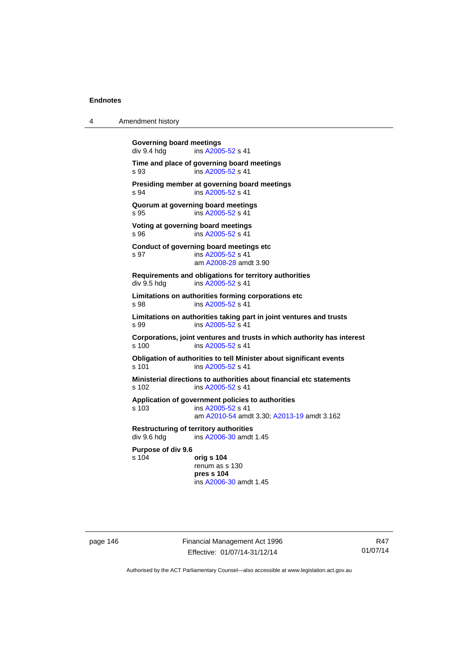4 Amendment history

| <b>Governing board meetings</b><br>div 9.4 hdg | ins A2005-52 s 41                                                                                                    |
|------------------------------------------------|----------------------------------------------------------------------------------------------------------------------|
| s 93                                           | Time and place of governing board meetings<br>ins A2005-52 s 41                                                      |
| s 94                                           | Presiding member at governing board meetings<br>ins A2005-52 s 41                                                    |
| s 95                                           | Quorum at governing board meetings<br>ins A2005-52 s 41                                                              |
| s 96                                           | Voting at governing board meetings<br>ins A2005-52 s 41                                                              |
| s 97                                           | Conduct of governing board meetings etc<br>ins A2005-52 s 41<br>am A2008-28 amdt 3.90                                |
| div 9.5 hdg                                    | Requirements and obligations for territory authorities<br>ins A2005-52 s 41                                          |
| s 98                                           | Limitations on authorities forming corporations etc<br>ins A2005-52 s 41                                             |
| s 99                                           | Limitations on authorities taking part in joint ventures and trusts<br>ins A2005-52 s 41                             |
| s, 100                                         | Corporations, joint ventures and trusts in which authority has interest<br>ins A2005-52 s 41                         |
| s 101                                          | Obligation of authorities to tell Minister about significant events<br>ins A2005-52 s 41                             |
| s 102                                          | Ministerial directions to authorities about financial etc statements<br>ins A2005-52 s 41                            |
| s 103                                          | Application of government policies to authorities<br>ins A2005-52 s 41<br>am A2010-54 amdt 3.30; A2013-19 amdt 3.162 |
| div 9.6 hdg                                    | <b>Restructuring of territory authorities</b><br>ins A2006-30 amdt 1.45                                              |
| Purpose of div 9.6<br>s 104                    | orig s 104<br>renum as s 130<br>pres s 104<br>ins A2006-30 amdt 1.45                                                 |

page 146 Financial Management Act 1996 Effective: 01/07/14-31/12/14

R47 01/07/14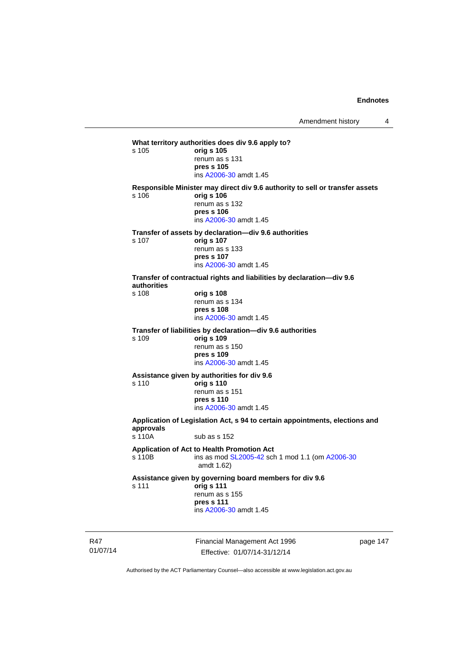**What territory authorities does div 9.6 apply to?**  s 105 **orig s 105** renum as s 131 **pres s 105**  ins [A2006-30](http://www.legislation.act.gov.au/a/2006-30) amdt 1.45 **Responsible Minister may direct div 9.6 authority to sell or transfer assets**  s 106 **orig s 106** renum as s 132 **pres s 106**  ins [A2006-30](http://www.legislation.act.gov.au/a/2006-30) amdt 1.45 **Transfer of assets by declaration—div 9.6 authorities**  s 107 **orig s 107** renum as s 133 **pres s 107**  ins [A2006-30](http://www.legislation.act.gov.au/a/2006-30) amdt 1.45 **Transfer of contractual rights and liabilities by declaration—div 9.6 authorities**  s 108 **orig s 108** renum as s 134 **pres s 108**  ins [A2006-30](http://www.legislation.act.gov.au/a/2006-30) amdt 1.45 **Transfer of liabilities by declaration—div 9.6 authorities**  s 109 **orig s 109** renum as s 150 **pres s 109**  ins [A2006-30](http://www.legislation.act.gov.au/a/2006-30) amdt 1.45 **Assistance given by authorities for div 9.6**  s 110 **orig s 110** renum as s 151 **pres s 110**  ins [A2006-30](http://www.legislation.act.gov.au/a/2006-30) amdt 1.45 **Application of Legislation Act, s 94 to certain appointments, elections and approvals**  s 110A sub as s 152 **Application of Act to Health Promotion Act**  ins as mod [SL2005-42](http://www.legislation.act.gov.au/sl/2005-42) sch 1 mod 1.1 (om [A2006-30](http://www.legislation.act.gov.au/a/2006-30) amdt 1.62) **Assistance given by governing board members for div 9.6**  s 111 **orig s 111** renum as s 155 **pres s 111**  ins [A2006-30](http://www.legislation.act.gov.au/a/2006-30) amdt 1.45

R47 01/07/14 Financial Management Act 1996 Effective: 01/07/14-31/12/14

page 147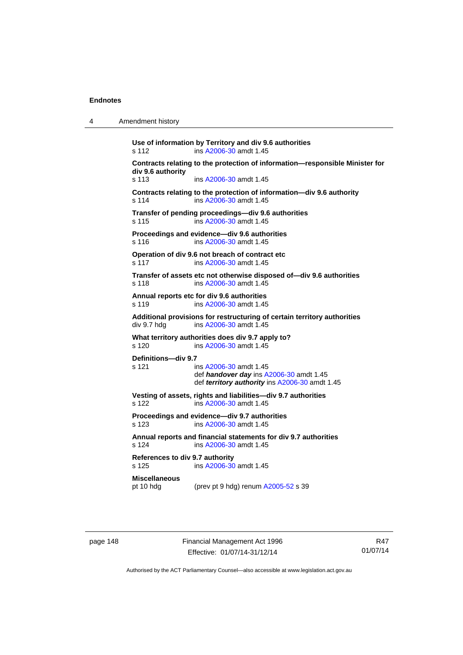| 4 | Amendment history |
|---|-------------------|
|---|-------------------|

**Use of information by Territory and div 9.6 authorities**  s 112 ins [A2006-30](http://www.legislation.act.gov.au/a/2006-30) amdt 1.45 **Contracts relating to the protection of information—responsible Minister for div 9.6 authority**  s 113 ins [A2006-30](http://www.legislation.act.gov.au/a/2006-30) amdt 1.45 **Contracts relating to the protection of information—div 9.6 authority**  s 114 ins [A2006-30](http://www.legislation.act.gov.au/a/2006-30) amdt 1.45 **Transfer of pending proceedings—div 9.6 authorities**  s 115 ins [A2006-30](http://www.legislation.act.gov.au/a/2006-30) amdt 1.45 **Proceedings and evidence—div 9.6 authorities**  s 116 ins [A2006-30](http://www.legislation.act.gov.au/a/2006-30) amdt 1.45 **Operation of div 9.6 not breach of contract etc**  s 117 ins [A2006-30](http://www.legislation.act.gov.au/a/2006-30) amdt 1.45 **Transfer of assets etc not otherwise disposed of—div 9.6 authorities**  s 118 ins [A2006-30](http://www.legislation.act.gov.au/a/2006-30) amdt 1.45 **Annual reports etc for div 9.6 authorities**  s 119 ins [A2006-30](http://www.legislation.act.gov.au/a/2006-30) amdt 1.45 **Additional provisions for restructuring of certain territory authorities**   $div 9.7$  hdg ins  $A2006-30$  amdt 1.45 **What territory authorities does div 9.7 apply to?**  s 120 ins [A2006-30](http://www.legislation.act.gov.au/a/2006-30) amdt 1.45 **Definitions—div 9.7**  s 121 ins [A2006-30](http://www.legislation.act.gov.au/a/2006-30) amdt 1.45 def *handover day* ins [A2006-30](http://www.legislation.act.gov.au/a/2006-30) amdt 1.45 def *territory authority* ins [A2006-30](http://www.legislation.act.gov.au/a/2006-30) amdt 1.45 **Vesting of assets, rights and liabilities—div 9.7 authorities**  s 122 ins [A2006-30](http://www.legislation.act.gov.au/a/2006-30) amdt 1.45 **Proceedings and evidence—div 9.7 authorities**  s 123 ins [A2006-30](http://www.legislation.act.gov.au/a/2006-30) amdt 1.45 **Annual reports and financial statements for div 9.7 authorities**  s 124 ins [A2006-30](http://www.legislation.act.gov.au/a/2006-30) amdt 1.45 **References to div 9.7 authority**  ins [A2006-30](http://www.legislation.act.gov.au/a/2006-30) amdt 1.45 **Miscellaneous**  pt 10 hdg (prev pt 9 hdg) renum [A2005-52](http://www.legislation.act.gov.au/a/2005-52) s 39

page 148 Financial Management Act 1996 Effective: 01/07/14-31/12/14

R47 01/07/14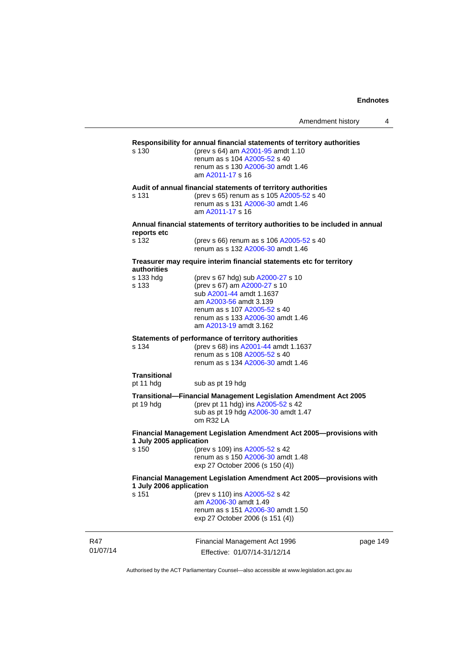| Amendment history |  |  |
|-------------------|--|--|
|-------------------|--|--|

# **Responsibility for annual financial statements of territory authorities**

(prev s 64) am [A2001-95](http://www.legislation.act.gov.au/a/2001-95) amdt 1.10 renum as s 104 [A2005-52](http://www.legislation.act.gov.au/a/2005-52) s 40 renum as s 130 [A2006-30](http://www.legislation.act.gov.au/a/2006-30) amdt 1.46 am [A2011-17](http://www.legislation.act.gov.au/a/2011-17) s 16

**Audit of annual financial statements of territory authorities** 

s 131 (prev s 65) renum as s 105 [A2005-52](http://www.legislation.act.gov.au/a/2005-52) s 40 renum as s 131 [A2006-30](http://www.legislation.act.gov.au/a/2006-30) amdt 1.46 am [A2011-17](http://www.legislation.act.gov.au/a/2011-17) s 16

#### **Annual financial statements of territory authorities to be included in annual reports etc**

| s 132 | (prev s 66) renum as s 106 A2005-52 s 40 |
|-------|------------------------------------------|
|       | renum as s 132 A2006-30 amdt 1.46        |

#### **Treasurer may require interim financial statements etc for territory authorities**

| s 133 hdg<br>s 133               | (prev s 67 hdg) sub A2000-27 s 10<br>(prev s 67) am A2000-27 s 10<br>sub A2001-44 amdt 1.1637<br>am A2003-56 amdt 3.139<br>renum as s 107 A2005-52 s 40<br>renum as s 133 A2006-30 amdt 1.46<br>am A2013-19 amdt 3.162 |        |
|----------------------------------|------------------------------------------------------------------------------------------------------------------------------------------------------------------------------------------------------------------------|--------|
| s 134                            | Statements of performance of territory authorities<br>(prev s 68) ins A2001-44 amdt 1.1637<br>renum as s 108 A2005-52 s 40<br>renum as s 134 A2006-30 amdt 1.46                                                        |        |
| <b>Transitional</b><br>pt 11 hdg | sub as pt 19 hdg                                                                                                                                                                                                       |        |
| pt 19 hdg                        | Transitional-Financial Management Legislation Amendment Act 2005<br>(prev pt 11 hdg) ins A2005-52 s 42<br>sub as pt 19 hdg A2006-30 amdt 1.47<br>$om$ R32 LA                                                           |        |
| 1 July 2005 application<br>s 150 | Financial Management Legislation Amendment Act 2005--- provisions with<br>(prev s 109) ins A2005-52 s 42<br>renum as s 150 A2006-30 amdt 1.48<br>exp 27 October 2006 (s 150 (4))                                       |        |
| 1 July 2006 application<br>s 151 | Financial Management Legislation Amendment Act 2005--- provisions with<br>(prev s 110) ins A2005-52 s 42<br>am A2006-30 amdt 1.49<br>renum as s 151 A2006-30 amdt 1.50<br>exp 27 October 2006 (s 151 (4))              |        |
|                                  | Financial Management Act 1996                                                                                                                                                                                          | nage 1 |

01/07/14

R47

Financial Management Act 1996 Effective: 01/07/14-31/12/14

page 149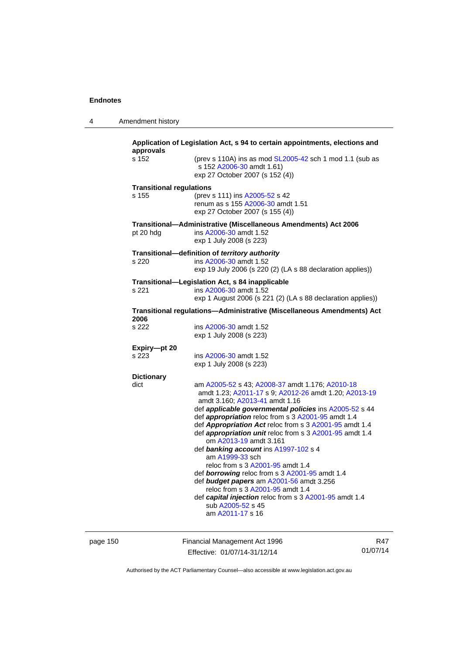| approvals                       | Application of Legislation Act, s 94 to certain appointments, elections and                                                                                                                          |
|---------------------------------|------------------------------------------------------------------------------------------------------------------------------------------------------------------------------------------------------|
| s 152                           | (prev s 110A) ins as mod SL2005-42 sch 1 mod 1.1 (sub as<br>s 152 A2006-30 amdt 1.61)<br>exp 27 October 2007 (s 152 (4))                                                                             |
| <b>Transitional regulations</b> |                                                                                                                                                                                                      |
| s 155                           | (prev s 111) ins A2005-52 s 42<br>renum as s 155 A2006-30 amdt 1.51<br>exp 27 October 2007 (s 155 (4))                                                                                               |
|                                 | Transitional-Administrative (Miscellaneous Amendments) Act 2006                                                                                                                                      |
| pt 20 hdg                       | ins A2006-30 amdt 1.52<br>exp 1 July 2008 (s 223)                                                                                                                                                    |
|                                 | Transitional-definition of territory authority                                                                                                                                                       |
| s 220                           | ins A2006-30 amdt 1.52<br>exp 19 July 2006 (s 220 (2) (LA s 88 declaration applies))                                                                                                                 |
|                                 | Transitional-Legislation Act, s 84 inapplicable                                                                                                                                                      |
| s 221                           | ins A2006-30 amdt 1.52                                                                                                                                                                               |
|                                 | exp 1 August 2006 (s 221 (2) (LA s 88 declaration applies))                                                                                                                                          |
| 2006                            | Transitional regulations-Administrative (Miscellaneous Amendments) Act                                                                                                                               |
| s 222                           | ins A2006-30 amdt 1.52                                                                                                                                                                               |
|                                 | exp 1 July 2008 (s 223)                                                                                                                                                                              |
| Expiry-pt 20                    |                                                                                                                                                                                                      |
| s 223                           | ins A2006-30 amdt 1.52<br>exp 1 July 2008 (s 223)                                                                                                                                                    |
| <b>Dictionary</b>               |                                                                                                                                                                                                      |
| dict                            | am A2005-52 s 43; A2008-37 amdt 1.176; A2010-18<br>amdt 1.23; A2011-17 s 9; A2012-26 amdt 1.20; A2013-19<br>amdt 3.160; A2013-41 amdt 1.16<br>def applicable governmental policies ins A2005-52 s 44 |
|                                 | def appropriation reloc from s 3 A2001-95 amdt 1.4                                                                                                                                                   |
|                                 | def Appropriation Act reloc from s 3 A2001-95 amdt 1.4                                                                                                                                               |
|                                 | def appropriation unit reloc from s 3 A2001-95 amdt 1.4<br>om A2013-19 amdt 3.161                                                                                                                    |
|                                 | def banking account ins A1997-102 s 4                                                                                                                                                                |
|                                 | am A1999-33 sch                                                                                                                                                                                      |
|                                 | reloc from s 3 A2001-95 amdt 1.4                                                                                                                                                                     |
|                                 | def borrowing reloc from s 3 A2001-95 amdt 1.4<br>def budget papers am A2001-56 amdt 3.256                                                                                                           |
|                                 | reloc from s 3 A2001-95 amdt 1.4                                                                                                                                                                     |
|                                 | def capital injection reloc from s 3 A2001-95 amdt 1.4                                                                                                                                               |
|                                 | sub A2005-52 s 45<br>am A2011-17 s 16                                                                                                                                                                |
|                                 |                                                                                                                                                                                                      |

page 150 Financial Management Act 1996 Effective: 01/07/14-31/12/14

R47 01/07/14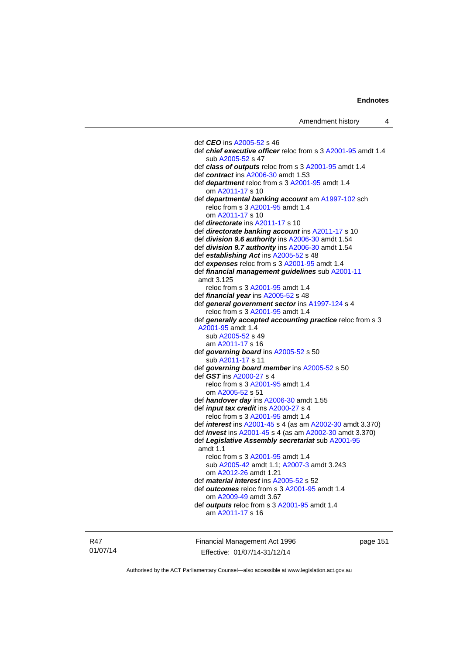def *CEO* ins [A2005-52](http://www.legislation.act.gov.au/a/2005-52) s 46 def *chief executive officer* reloc from s 3 [A2001-95](http://www.legislation.act.gov.au/a/2001-95) amdt 1.4 sub [A2005-52](http://www.legislation.act.gov.au/a/2005-52) s 47 def *class of outputs* reloc from s 3 [A2001-95](http://www.legislation.act.gov.au/a/2001-95) amdt 1.4 def *contract* ins [A2006-30](http://www.legislation.act.gov.au/a/2006-30) amdt 1.53 def *department* reloc from s 3 [A2001-95](http://www.legislation.act.gov.au/a/2001-95) amdt 1.4 om [A2011-17](http://www.legislation.act.gov.au/a/2011-17) s 10 def *departmental banking account* am [A1997-102](http://www.legislation.act.gov.au/a/1997-102) sch reloc from s 3 [A2001-95](http://www.legislation.act.gov.au/a/2001-95) amdt 1.4 om [A2011-17](http://www.legislation.act.gov.au/a/2011-17) s 10 def *directorate* ins [A2011-17](http://www.legislation.act.gov.au/a/2011-17) s 10 def *directorate banking account* ins [A2011-17](http://www.legislation.act.gov.au/a/2011-17) s 10 def *division 9.6 authority* ins [A2006-30](http://www.legislation.act.gov.au/a/2006-30) amdt 1.54 def *division 9.7 authority* ins [A2006-30](http://www.legislation.act.gov.au/a/2006-30) amdt 1.54 def *establishing Act* ins [A2005-52](http://www.legislation.act.gov.au/a/2005-52) s 48 def *expenses* reloc from s 3 [A2001-95](http://www.legislation.act.gov.au/a/2001-95) amdt 1.4 def *financial management guidelines* sub [A2001-11](http://www.legislation.act.gov.au/a/2001-11) amdt 3.125 reloc from s 3 [A2001-95](http://www.legislation.act.gov.au/a/2001-95) amdt 1.4 def *financial year* ins [A2005-52](http://www.legislation.act.gov.au/a/2005-52) s 48 def *general government sector* ins [A1997-124](http://www.legislation.act.gov.au/a/1997-124) s 4 reloc from s 3 [A2001-95](http://www.legislation.act.gov.au/a/2001-95) amdt 1.4 def *generally accepted accounting practice* reloc from s 3 [A2001-95](http://www.legislation.act.gov.au/a/2001-95) amdt 1.4 sub [A2005-52](http://www.legislation.act.gov.au/a/2005-52) s 49 am [A2011-17](http://www.legislation.act.gov.au/a/2011-17) s 16 def *governing board* ins [A2005-52](http://www.legislation.act.gov.au/a/2005-52) s 50 sub [A2011-17](http://www.legislation.act.gov.au/a/2011-17) s 11 def *governing board member* ins [A2005-52](http://www.legislation.act.gov.au/a/2005-52) s 50 def *GST* ins [A2000-27](http://www.legislation.act.gov.au/a/2000-27) s 4 reloc from s 3 [A2001-95](http://www.legislation.act.gov.au/a/2001-95) amdt 1.4 om [A2005-52](http://www.legislation.act.gov.au/a/2005-52) s 51 def *handover day* ins [A2006-30](http://www.legislation.act.gov.au/a/2006-30) amdt 1.55 def *input tax credit* ins [A2000-27](http://www.legislation.act.gov.au/a/2000-27) s 4 reloc from s 3 [A2001-95](http://www.legislation.act.gov.au/a/2001-95) amdt 1.4 def *interest* ins [A2001-45](http://www.legislation.act.gov.au/a/2001-45) s 4 (as am [A2002-30](http://www.legislation.act.gov.au/a/2002-30) amdt 3.370) def *invest* ins [A2001-45](http://www.legislation.act.gov.au/a/2001-45) s 4 (as am [A2002-30](http://www.legislation.act.gov.au/a/2002-30) amdt 3.370) def *Legislative Assembly secretariat* sub [A2001-95](http://www.legislation.act.gov.au/a/2001-95) amdt 1.1 reloc from s 3 [A2001-95](http://www.legislation.act.gov.au/a/2001-95) amdt 1.4 sub [A2005-42](http://www.legislation.act.gov.au/a/2005-42) amdt 1.1; [A2007-3](http://www.legislation.act.gov.au/a/2007-3) amdt 3.243 om [A2012-26](http://www.legislation.act.gov.au/a/2012-26) amdt 1.21 def *material interest* ins [A2005-52](http://www.legislation.act.gov.au/a/2005-52) s 52 def *outcomes* reloc from s 3 [A2001-95](http://www.legislation.act.gov.au/a/2001-95) amdt 1.4 om [A2009-49](http://www.legislation.act.gov.au/a/2009-49) amdt 3.67 def *outputs* reloc from s 3 [A2001-95](http://www.legislation.act.gov.au/a/2001-95) amdt 1.4 am [A2011-17](http://www.legislation.act.gov.au/a/2011-17) s 16

R47 01/07/14 Financial Management Act 1996 Effective: 01/07/14-31/12/14

page 151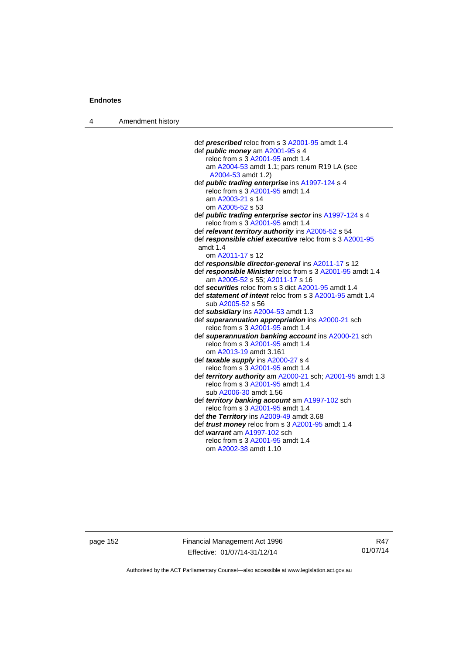4 Amendment history

| def <i>prescribed</i> reloc from s 3 A2001-95 amdt 1.4                |
|-----------------------------------------------------------------------|
| def <i>public money</i> am A2001-95 s 4                               |
| reloc from s 3 A2001-95 amdt 1.4                                      |
| am A2004-53 amdt 1.1; pars renum R19 LA (see                          |
| A2004-53 amdt 1.2)                                                    |
| def public trading enterprise ins A1997-124 s 4                       |
| reloc from s 3 A2001-95 amdt 1.4                                      |
| am A2003-21 s 14                                                      |
| om A2005-52 s 53                                                      |
| def <i>public trading enterprise sector</i> ins A1997-124 s 4         |
| reloc from s 3 A2001-95 amdt 1.4                                      |
| def relevant territory authority ins A2005-52 s 54                    |
| def responsible chief executive reloc from s 3 A2001-95<br>amdt $1.4$ |
| om A2011-17 s 12                                                      |
| def responsible director-general ins A2011-17 s 12                    |
| def responsible Minister reloc from s 3 A2001-95 amdt 1.4             |
| am A2005-52 s 55; A2011-17 s 16                                       |
| def securities reloc from s 3 dict A2001-95 amdt 1.4                  |
| def statement of intent reloc from s 3 A2001-95 amdt 1.4              |
| sub A2005-52 s 56                                                     |
| def subsidiary ins A2004-53 amdt 1.3                                  |
| def superannuation appropriation ins A2000-21 sch                     |
| reloc from s 3 A2001-95 amdt 1.4                                      |
| def superannuation banking account ins A2000-21 sch                   |
| reloc from s 3 A2001-95 amdt 1.4                                      |
| om A2013-19 amdt 3.161                                                |
| def taxable supply ins A2000-27 s 4                                   |
| reloc from s 3 A2001-95 amdt 1.4                                      |
| def territory authority am A2000-21 sch; A2001-95 amdt 1.3            |
| reloc from s 3 A2001-95 amdt 1.4                                      |
| sub A2006-30 amdt 1.56                                                |
| def territory banking account am A1997-102 sch                        |
| reloc from s 3 A2001-95 amdt 1.4                                      |
| def the Territory ins A2009-49 amdt 3.68                              |
| def <i>trust money</i> reloc from s 3 A2001-95 amdt 1.4               |
| def warrant am A1997-102 sch                                          |
| reloc from s 3 A2001-95 amdt 1.4                                      |
| om A2002-38 amdt 1.10                                                 |

page 152 Financial Management Act 1996 Effective: 01/07/14-31/12/14

R47 01/07/14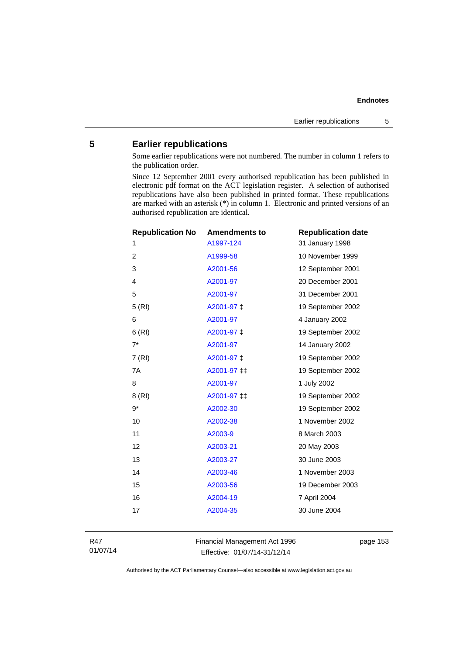# **5 Earlier republications**

Some earlier republications were not numbered. The number in column 1 refers to the publication order.

Since 12 September 2001 every authorised republication has been published in electronic pdf format on the ACT legislation register. A selection of authorised republications have also been published in printed format. These republications are marked with an asterisk (\*) in column 1. Electronic and printed versions of an authorised republication are identical.

| <b>Republication No</b> | <b>Amendments to</b> | <b>Republication date</b> |
|-------------------------|----------------------|---------------------------|
| 1                       | A1997-124            | 31 January 1998           |
| 2                       | A1999-58             | 10 November 1999          |
| 3                       | A2001-56             | 12 September 2001         |
| $\overline{4}$          | A2001-97             | 20 December 2001          |
| 5                       | A2001-97             | 31 December 2001          |
| 5(RI)                   | A2001-97 ‡           | 19 September 2002         |
| 6                       | A2001-97             | 4 January 2002            |
| 6(RI)                   | A2001-97 ‡           | 19 September 2002         |
| $7^*$                   | A2001-97             | 14 January 2002           |
| 7(RI)                   | A2001-97 ‡           | 19 September 2002         |
| 7A                      | A2001-97 ‡‡          | 19 September 2002         |
| 8                       | A2001-97             | 1 July 2002               |
| 8(RI)                   | A2001-97 ‡‡          | 19 September 2002         |
| $9*$                    | A2002-30             | 19 September 2002         |
| 10                      | A2002-38             | 1 November 2002           |
| 11                      | A2003-9              | 8 March 2003              |
| 12                      | A2003-21             | 20 May 2003               |
| 13                      | A2003-27             | 30 June 2003              |
| 14                      | A2003-46             | 1 November 2003           |
| 15                      | A2003-56             | 19 December 2003          |
| 16                      | A2004-19             | 7 April 2004              |
| 17                      | A2004-35             | 30 June 2004              |
|                         |                      |                           |

R47 01/07/14 Financial Management Act 1996 Effective: 01/07/14-31/12/14

page 153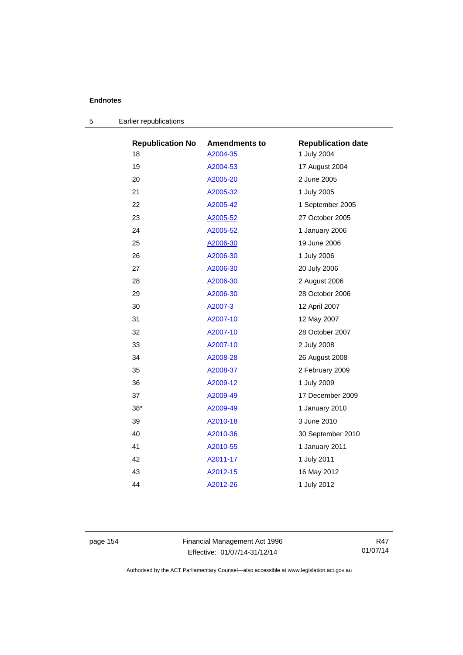| <b>Republication No</b> | <b>Amendments to</b> | <b>Republication date</b> |
|-------------------------|----------------------|---------------------------|
| 18                      | A2004-35             | 1 July 2004               |
| 19                      | A2004-53             | 17 August 2004            |
| 20                      | A2005-20             | 2 June 2005               |
| 21                      | A2005-32             | 1 July 2005               |
| 22                      | A2005-42             | 1 September 2005          |
| 23                      | A2005-52             | 27 October 2005           |
| 24                      | A2005-52             | 1 January 2006            |
| 25                      | A2006-30             | 19 June 2006              |
| 26                      | A2006-30             | 1 July 2006               |
| 27                      | A2006-30             | 20 July 2006              |
| 28                      | A2006-30             | 2 August 2006             |
| 29                      | A2006-30             | 28 October 2006           |
| 30                      | A2007-3              | 12 April 2007             |
| 31                      | A2007-10             | 12 May 2007               |
| 32                      | A2007-10             | 28 October 2007           |
| 33                      | A2007-10             | 2 July 2008               |
| 34                      | A2008-28             | 26 August 2008            |
| 35                      | A2008-37             | 2 February 2009           |
| 36                      | A2009-12             | 1 July 2009               |
| 37                      | A2009-49             | 17 December 2009          |
| $38*$                   | A2009-49             | 1 January 2010            |
| 39                      | A2010-18             | 3 June 2010               |
| 40                      | A2010-36             | 30 September 2010         |
| 41                      | A2010-55             | 1 January 2011            |
| 42                      | A2011-17             | 1 July 2011               |
| 43                      | A2012-15             | 16 May 2012               |
| 44                      | A2012-26             | 1 July 2012               |
|                         |                      |                           |

| Earlier republications |
|------------------------|
|                        |

page 154 Financial Management Act 1996 Effective: 01/07/14-31/12/14

R47 01/07/14